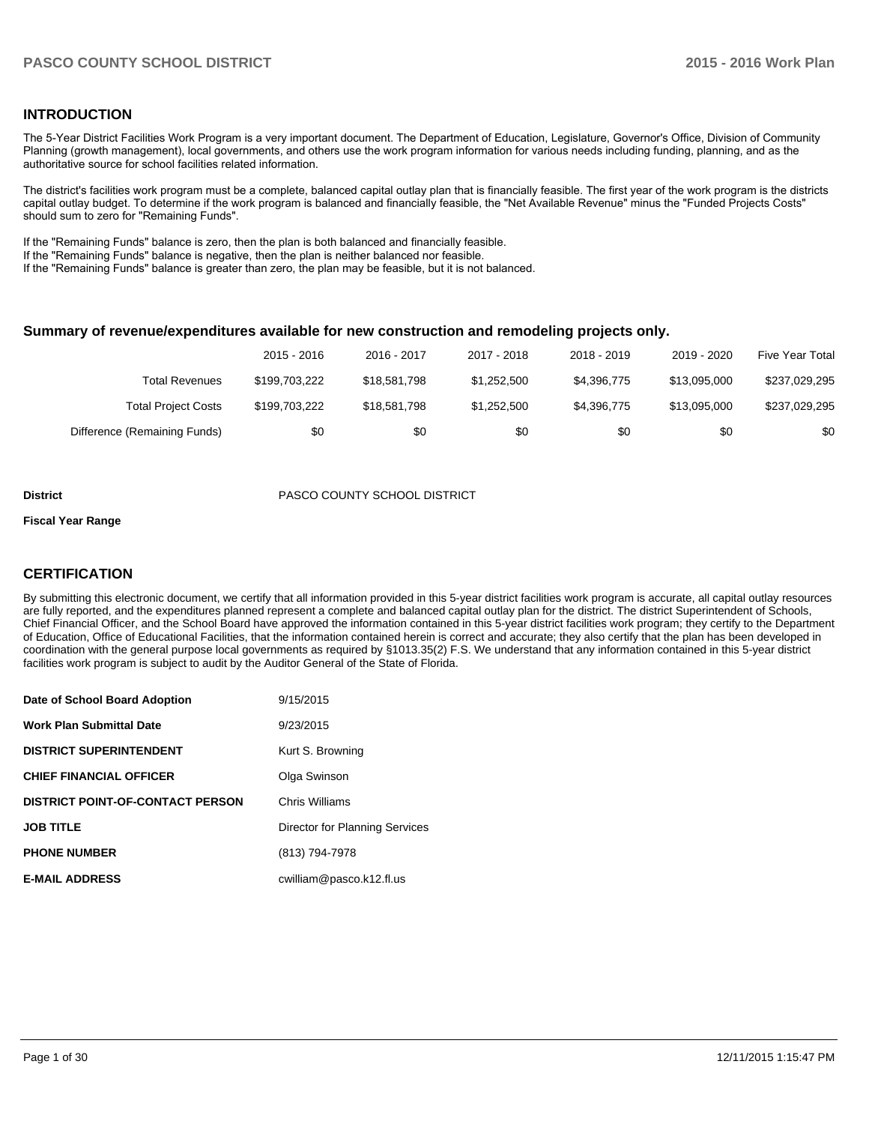#### **INTRODUCTION**

The 5-Year District Facilities Work Program is a very important document. The Department of Education, Legislature, Governor's Office, Division of Community Planning (growth management), local governments, and others use the work program information for various needs including funding, planning, and as the authoritative source for school facilities related information.

The district's facilities work program must be a complete, balanced capital outlay plan that is financially feasible. The first year of the work program is the districts capital outlay budget. To determine if the work program is balanced and financially feasible, the "Net Available Revenue" minus the "Funded Projects Costs" should sum to zero for "Remaining Funds".

If the "Remaining Funds" balance is zero, then the plan is both balanced and financially feasible.

If the "Remaining Funds" balance is negative, then the plan is neither balanced nor feasible.

If the "Remaining Funds" balance is greater than zero, the plan may be feasible, but it is not balanced.

#### **Summary of revenue/expenditures available for new construction and remodeling projects only.**

|                              | 2015 - 2016   | 2016 - 2017  | 2017 - 2018 | 2018 - 2019 | 2019 - 2020  | Five Year Total |
|------------------------------|---------------|--------------|-------------|-------------|--------------|-----------------|
| <b>Total Revenues</b>        | \$199.703.222 | \$18,581,798 | \$1,252,500 | \$4,396,775 | \$13.095.000 | \$237,029,295   |
| <b>Total Project Costs</b>   | \$199.703.222 | \$18,581,798 | \$1,252,500 | \$4.396.775 | \$13,095,000 | \$237,029,295   |
| Difference (Remaining Funds) | \$0           | \$0          | \$0         | \$0         | \$0          | \$0             |

#### **District** PASCO COUNTY SCHOOL DISTRICT

#### **Fiscal Year Range**

#### **CERTIFICATION**

By submitting this electronic document, we certify that all information provided in this 5-year district facilities work program is accurate, all capital outlay resources are fully reported, and the expenditures planned represent a complete and balanced capital outlay plan for the district. The district Superintendent of Schools, Chief Financial Officer, and the School Board have approved the information contained in this 5-year district facilities work program; they certify to the Department of Education, Office of Educational Facilities, that the information contained herein is correct and accurate; they also certify that the plan has been developed in coordination with the general purpose local governments as required by §1013.35(2) F.S. We understand that any information contained in this 5-year district facilities work program is subject to audit by the Auditor General of the State of Florida.

| Date of School Board Adoption           | 9/15/2015                      |
|-----------------------------------------|--------------------------------|
| <b>Work Plan Submittal Date</b>         | 9/23/2015                      |
| <b>DISTRICT SUPERINTENDENT</b>          | Kurt S. Browning               |
| <b>CHIEF FINANCIAL OFFICER</b>          | Olga Swinson                   |
| <b>DISTRICT POINT-OF-CONTACT PERSON</b> | Chris Williams                 |
| <b>JOB TITLE</b>                        | Director for Planning Services |
| <b>PHONE NUMBER</b>                     | (813) 794-7978                 |
| <b>E-MAIL ADDRESS</b>                   | cwilliam@pasco.k12.fl.us       |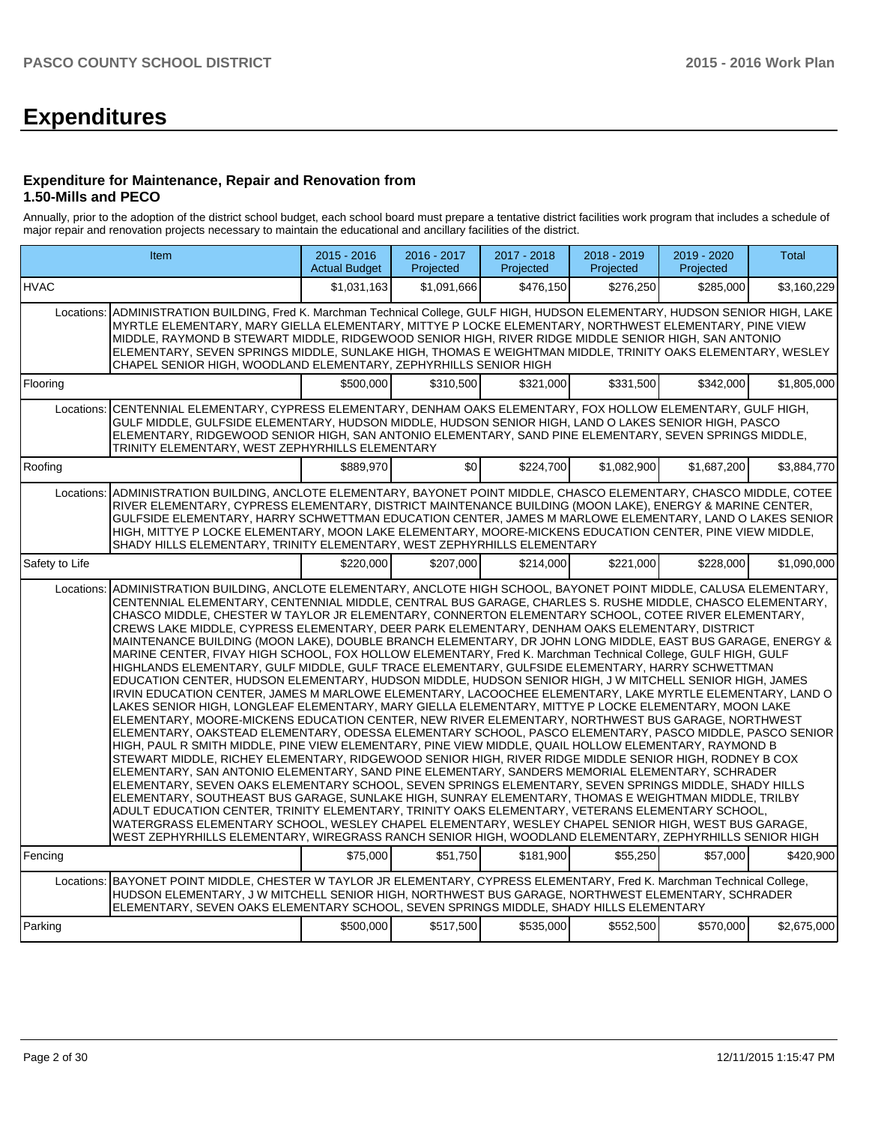# **Expenditures**

#### **Expenditure for Maintenance, Repair and Renovation from 1.50-Mills and PECO**

Annually, prior to the adoption of the district school budget, each school board must prepare a tentative district facilities work program that includes a schedule of major repair and renovation projects necessary to maintain the educational and ancillary facilities of the district.

|                | Item                                                                                                                                                                                                                                                                                                                                                                                                                                                                                                                                                                                                                                                                                                                                                                                                                                                                                                                                                                                                                                                                                                                                                                                                                                                                                                                                                                                                                                                                                                                                                                                                                                                                                                                                                                                                                                                                                                                                                                                                                                                                                                                                                                        | $2015 - 2016$<br><b>Actual Budget</b> | $2016 - 2017$<br>Projected | 2017 - 2018<br>Projected | $2018 - 2019$<br>Projected | 2019 - 2020<br>Projected | <b>Total</b> |  |  |  |
|----------------|-----------------------------------------------------------------------------------------------------------------------------------------------------------------------------------------------------------------------------------------------------------------------------------------------------------------------------------------------------------------------------------------------------------------------------------------------------------------------------------------------------------------------------------------------------------------------------------------------------------------------------------------------------------------------------------------------------------------------------------------------------------------------------------------------------------------------------------------------------------------------------------------------------------------------------------------------------------------------------------------------------------------------------------------------------------------------------------------------------------------------------------------------------------------------------------------------------------------------------------------------------------------------------------------------------------------------------------------------------------------------------------------------------------------------------------------------------------------------------------------------------------------------------------------------------------------------------------------------------------------------------------------------------------------------------------------------------------------------------------------------------------------------------------------------------------------------------------------------------------------------------------------------------------------------------------------------------------------------------------------------------------------------------------------------------------------------------------------------------------------------------------------------------------------------------|---------------------------------------|----------------------------|--------------------------|----------------------------|--------------------------|--------------|--|--|--|
| <b>HVAC</b>    |                                                                                                                                                                                                                                                                                                                                                                                                                                                                                                                                                                                                                                                                                                                                                                                                                                                                                                                                                                                                                                                                                                                                                                                                                                                                                                                                                                                                                                                                                                                                                                                                                                                                                                                                                                                                                                                                                                                                                                                                                                                                                                                                                                             | \$1.031.163                           | \$1.091.666                | \$476.150                | \$276.250                  | \$285,000                | \$3,160,229  |  |  |  |
|                | ADMINISTRATION BUILDING, Fred K. Marchman Technical College, GULF HIGH, HUDSON ELEMENTARY, HUDSON SENIOR HIGH, LAKE<br>Locations:<br>MYRTLE ELEMENTARY, MARY GIELLA ELEMENTARY, MITTYE P LOCKE ELEMENTARY, NORTHWEST ELEMENTARY, PINE VIEW<br>MIDDLE, RAYMOND B STEWART MIDDLE, RIDGEWOOD SENIOR HIGH, RIVER RIDGE MIDDLE SENIOR HIGH, SAN ANTONIO<br>ELEMENTARY, SEVEN SPRINGS MIDDLE, SUNLAKE HIGH, THOMAS E WEIGHTMAN MIDDLE, TRINITY OAKS ELEMENTARY, WESLEY<br>CHAPEL SENIOR HIGH, WOODLAND ELEMENTARY, ZEPHYRHILLS SENIOR HIGH                                                                                                                                                                                                                                                                                                                                                                                                                                                                                                                                                                                                                                                                                                                                                                                                                                                                                                                                                                                                                                                                                                                                                                                                                                                                                                                                                                                                                                                                                                                                                                                                                                        |                                       |                            |                          |                            |                          |              |  |  |  |
| Flooring       |                                                                                                                                                                                                                                                                                                                                                                                                                                                                                                                                                                                                                                                                                                                                                                                                                                                                                                                                                                                                                                                                                                                                                                                                                                                                                                                                                                                                                                                                                                                                                                                                                                                                                                                                                                                                                                                                                                                                                                                                                                                                                                                                                                             | \$500,000                             | \$310,500                  | \$321.000                | \$331.500                  | \$342,000                | \$1.805.000  |  |  |  |
| Locations:     | CENTENNIAL ELEMENTARY, CYPRESS ELEMENTARY, DENHAM OAKS ELEMENTARY, FOX HOLLOW ELEMENTARY, GULF HIGH,<br>GULF MIDDLE, GULFSIDE ELEMENTARY, HUDSON MIDDLE, HUDSON SENIOR HIGH, LAND O LAKES SENIOR HIGH, PASCO<br>ELEMENTARY, RIDGEWOOD SENIOR HIGH, SAN ANTONIO ELEMENTARY, SAND PINE ELEMENTARY, SEVEN SPRINGS MIDDLE,<br>TRINITY ELEMENTARY, WEST ZEPHYRHILLS ELEMENTARY                                                                                                                                                                                                                                                                                                                                                                                                                                                                                                                                                                                                                                                                                                                                                                                                                                                                                                                                                                                                                                                                                                                                                                                                                                                                                                                                                                                                                                                                                                                                                                                                                                                                                                                                                                                                   |                                       |                            |                          |                            |                          |              |  |  |  |
| Roofing        |                                                                                                                                                                                                                                                                                                                                                                                                                                                                                                                                                                                                                                                                                                                                                                                                                                                                                                                                                                                                                                                                                                                                                                                                                                                                                                                                                                                                                                                                                                                                                                                                                                                                                                                                                                                                                                                                                                                                                                                                                                                                                                                                                                             | \$889.970                             | \$0                        | \$224,700                | \$1,082,900                | \$1,687,200              | \$3,884,770  |  |  |  |
| Locations:     | ADMINISTRATION BUILDING, ANCLOTE ELEMENTARY, BAYONET POINT MIDDLE, CHASCO ELEMENTARY, CHASCO MIDDLE, COTEE<br>RIVER ELEMENTARY, CYPRESS ELEMENTARY, DISTRICT MAINTENANCE BUILDING (MOON LAKE), ENERGY & MARINE CENTER,<br>GULFSIDE ELEMENTARY, HARRY SCHWETTMAN EDUCATION CENTER, JAMES M MARLOWE ELEMENTARY, LAND O LAKES SENIOR<br>HIGH, MITTYE P LOCKE ELEMENTARY, MOON LAKE ELEMENTARY, MOORE-MICKENS EDUCATION CENTER, PINE VIEW MIDDLE,<br>SHADY HILLS ELEMENTARY, TRINITY ELEMENTARY, WEST ZEPHYRHILLS ELEMENTARY                                                                                                                                                                                                                                                                                                                                                                                                                                                                                                                                                                                                                                                                                                                                                                                                                                                                                                                                                                                                                                                                                                                                                                                                                                                                                                                                                                                                                                                                                                                                                                                                                                                    |                                       |                            |                          |                            |                          |              |  |  |  |
| Safety to Life |                                                                                                                                                                                                                                                                                                                                                                                                                                                                                                                                                                                                                                                                                                                                                                                                                                                                                                                                                                                                                                                                                                                                                                                                                                                                                                                                                                                                                                                                                                                                                                                                                                                                                                                                                                                                                                                                                                                                                                                                                                                                                                                                                                             | \$220,000                             | \$207,000                  | \$214,000                | \$221,000                  | \$228,000                | \$1,090,000  |  |  |  |
| Locations:     | ADMINISTRATION BUILDING, ANCLOTE ELEMENTARY, ANCLOTE HIGH SCHOOL, BAYONET POINT MIDDLE, CALUSA ELEMENTARY,<br>CENTENNIAL ELEMENTARY, CENTENNIAL MIDDLE, CENTRAL BUS GARAGE, CHARLES S. RUSHE MIDDLE, CHASCO ELEMENTARY,<br>CHASCO MIDDLE, CHESTER W TAYLOR JR ELEMENTARY, CONNERTON ELEMENTARY SCHOOL, COTEE RIVER ELEMENTARY,<br>CREWS LAKE MIDDLE, CYPRESS ELEMENTARY, DEER PARK ELEMENTARY, DENHAM OAKS ELEMENTARY, DISTRICT<br>MAINTENANCE BUILDING (MOON LAKE), DOUBLE BRANCH ELEMENTARY, DR JOHN LONG MIDDLE, EAST BUS GARAGE, ENERGY &<br>MARINE CENTER, FIVAY HIGH SCHOOL, FOX HOLLOW ELEMENTARY, Fred K. Marchman Technical College, GULF HIGH, GULF<br>HIGHLANDS ELEMENTARY, GULF MIDDLE, GULF TRACE ELEMENTARY, GULFSIDE ELEMENTARY, HARRY SCHWETTMAN<br>EDUCATION CENTER, HUDSON ELEMENTARY, HUDSON MIDDLE, HUDSON SENIOR HIGH, J W MITCHELL SENIOR HIGH, JAMES<br>IRVIN EDUCATION CENTER, JAMES M MARLOWE ELEMENTARY, LACOOCHEE ELEMENTARY, LAKE MYRTLE ELEMENTARY, LAND O<br>LAKES SENIOR HIGH, LONGLEAF ELEMENTARY, MARY GIELLA ELEMENTARY, MITTYE P LOCKE ELEMENTARY, MOON LAKE<br>ELEMENTARY, MOORE-MICKENS EDUCATION CENTER, NEW RIVER ELEMENTARY, NORTHWEST BUS GARAGE, NORTHWEST<br>ELEMENTARY, OAKSTEAD ELEMENTARY, ODESSA ELEMENTARY SCHOOL, PASCO ELEMENTARY, PASCO MIDDLE, PASCO SENIOR<br>HIGH, PAUL R SMITH MIDDLE, PINE VIEW ELEMENTARY, PINE VIEW MIDDLE, QUAIL HOLLOW ELEMENTARY, RAYMOND B<br>STEWART MIDDLE, RICHEY ELEMENTARY, RIDGEWOOD SENIOR HIGH, RIVER RIDGE MIDDLE SENIOR HIGH, RODNEY B COX<br>ELEMENTARY, SAN ANTONIO ELEMENTARY, SAND PINE ELEMENTARY, SANDERS MEMORIAL ELEMENTARY, SCHRADER<br>ELEMENTARY, SEVEN OAKS ELEMENTARY SCHOOL, SEVEN SPRINGS ELEMENTARY, SEVEN SPRINGS MIDDLE, SHADY HILLS<br>ELEMENTARY, SOUTHEAST BUS GARAGE, SUNLAKE HIGH, SUNRAY ELEMENTARY, THOMAS E WEIGHTMAN MIDDLE, TRILBY<br>ADULT EDUCATION CENTER, TRINITY ELEMENTARY, TRINITY OAKS ELEMENTARY, VETERANS ELEMENTARY SCHOOL,<br>WATERGRASS ELEMENTARY SCHOOL, WESLEY CHAPEL ELEMENTARY, WESLEY CHAPEL SENIOR HIGH, WEST BUS GARAGE,<br>WEST ZEPHYRHILLS ELEMENTARY, WIREGRASS RANCH SENIOR HIGH, WOODLAND ELEMENTARY, ZEPHYRHILLS SENIOR HIGH |                                       |                            |                          |                            |                          |              |  |  |  |
| Fencing        |                                                                                                                                                                                                                                                                                                                                                                                                                                                                                                                                                                                                                                                                                                                                                                                                                                                                                                                                                                                                                                                                                                                                                                                                                                                                                                                                                                                                                                                                                                                                                                                                                                                                                                                                                                                                                                                                                                                                                                                                                                                                                                                                                                             | \$75,000                              | \$51,750                   | \$181,900                | \$55,250                   | \$57,000                 | \$420,900    |  |  |  |
| Locations:     | BAYONET POINT MIDDLE, CHESTER W TAYLOR JR ELEMENTARY, CYPRESS ELEMENTARY, Fred K. Marchman Technical College,<br>HUDSON ELEMENTARY, J W MITCHELL SENIOR HIGH, NORTHWEST BUS GARAGE, NORTHWEST ELEMENTARY, SCHRADER<br>ELEMENTARY, SEVEN OAKS ELEMENTARY SCHOOL, SEVEN SPRINGS MIDDLE, SHADY HILLS ELEMENTARY                                                                                                                                                                                                                                                                                                                                                                                                                                                                                                                                                                                                                                                                                                                                                                                                                                                                                                                                                                                                                                                                                                                                                                                                                                                                                                                                                                                                                                                                                                                                                                                                                                                                                                                                                                                                                                                                |                                       |                            |                          |                            |                          |              |  |  |  |
| Parking        |                                                                                                                                                                                                                                                                                                                                                                                                                                                                                                                                                                                                                                                                                                                                                                                                                                                                                                                                                                                                                                                                                                                                                                                                                                                                                                                                                                                                                                                                                                                                                                                                                                                                                                                                                                                                                                                                                                                                                                                                                                                                                                                                                                             | \$500,000                             | \$517,500                  | \$535,000                | \$552,500                  | \$570,000                | \$2,675,000  |  |  |  |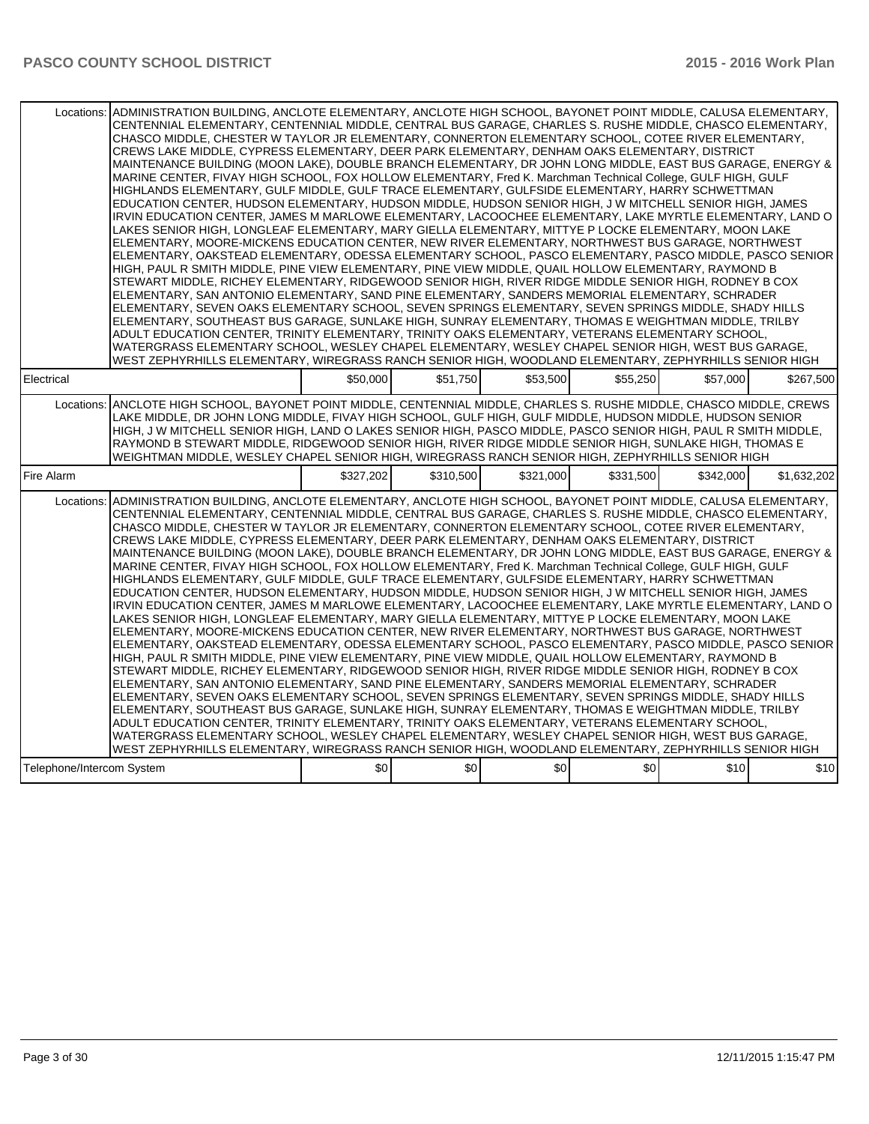|                           | Locations: ADMINISTRATION BUILDING, ANCLOTE ELEMENTARY, ANCLOTE HIGH SCHOOL, BAYONET POINT MIDDLE, CALUSA ELEMENTARY,<br>CENTENNIAL ELEMENTARY, CENTENNIAL MIDDLE, CENTRAL BUS GARAGE, CHARLES S. RUSHE MIDDLE, CHASCO ELEMENTARY,<br>CHASCO MIDDLE, CHESTER W TAYLOR JR ELEMENTARY, CONNERTON ELEMENTARY SCHOOL, COTEE RIVER ELEMENTARY,<br>CREWS LAKE MIDDLE, CYPRESS ELEMENTARY, DEER PARK ELEMENTARY, DENHAM OAKS ELEMENTARY, DISTRICT<br>MAINTENANCE BUILDING (MOON LAKE), DOUBLE BRANCH ELEMENTARY, DR JOHN LONG MIDDLE, EAST BUS GARAGE, ENERGY &<br>MARINE CENTER, FIVAY HIGH SCHOOL, FOX HOLLOW ELEMENTARY, Fred K. Marchman Technical College, GULF HIGH, GULF<br>HIGHLANDS ELEMENTARY, GULF MIDDLE, GULF TRACE ELEMENTARY, GULFSIDE ELEMENTARY, HARRY SCHWETTMAN<br>EDUCATION CENTER, HUDSON ELEMENTARY, HUDSON MIDDLE, HUDSON SENIOR HIGH, J W MITCHELL SENIOR HIGH, JAMES<br>IRVIN EDUCATION CENTER, JAMES M MARLOWE ELEMENTARY, LACOOCHEE ELEMENTARY, LAKE MYRTLE ELEMENTARY, LAND O                                                                                                                                                                                                                                                                                                                                                                                                                                                                                                                                                                                                                                                                                                                                                                                                                                                                                                                                                                                                                                                                                                                                                                          |           |           |                  |           |           |             |  |  |  |  |
|---------------------------|-----------------------------------------------------------------------------------------------------------------------------------------------------------------------------------------------------------------------------------------------------------------------------------------------------------------------------------------------------------------------------------------------------------------------------------------------------------------------------------------------------------------------------------------------------------------------------------------------------------------------------------------------------------------------------------------------------------------------------------------------------------------------------------------------------------------------------------------------------------------------------------------------------------------------------------------------------------------------------------------------------------------------------------------------------------------------------------------------------------------------------------------------------------------------------------------------------------------------------------------------------------------------------------------------------------------------------------------------------------------------------------------------------------------------------------------------------------------------------------------------------------------------------------------------------------------------------------------------------------------------------------------------------------------------------------------------------------------------------------------------------------------------------------------------------------------------------------------------------------------------------------------------------------------------------------------------------------------------------------------------------------------------------------------------------------------------------------------------------------------------------------------------------------------------------|-----------|-----------|------------------|-----------|-----------|-------------|--|--|--|--|
|                           | LAKES SENIOR HIGH, LONGLEAF ELEMENTARY, MARY GIELLA ELEMENTARY, MITTYE P LOCKE ELEMENTARY, MOON LAKE<br>ELEMENTARY, MOORE-MICKENS EDUCATION CENTER, NEW RIVER ELEMENTARY, NORTHWEST BUS GARAGE, NORTHWEST<br>ELEMENTARY, OAKSTEAD ELEMENTARY, ODESSA ELEMENTARY SCHOOL, PASCO ELEMENTARY, PASCO MIDDLE, PASCO SENIOR<br>HIGH, PAUL R SMITH MIDDLE, PINE VIEW ELEMENTARY, PINE VIEW MIDDLE, QUAIL HOLLOW ELEMENTARY, RAYMOND B<br>STEWART MIDDLE, RICHEY ELEMENTARY, RIDGEWOOD SENIOR HIGH, RIVER RIDGE MIDDLE SENIOR HIGH, RODNEY B COX<br>ELEMENTARY, SAN ANTONIO ELEMENTARY, SAND PINE ELEMENTARY, SANDERS MEMORIAL ELEMENTARY, SCHRADER<br>ELEMENTARY, SEVEN OAKS ELEMENTARY SCHOOL, SEVEN SPRINGS ELEMENTARY, SEVEN SPRINGS MIDDLE, SHADY HILLS<br>ELEMENTARY, SOUTHEAST BUS GARAGE, SUNLAKE HIGH, SUNRAY ELEMENTARY, THOMAS E WEIGHTMAN MIDDLE, TRILBY<br>ADULT EDUCATION CENTER, TRINITY ELEMENTARY, TRINITY OAKS ELEMENTARY, VETERANS ELEMENTARY SCHOOL,<br>WATERGRASS ELEMENTARY SCHOOL, WESLEY CHAPEL ELEMENTARY, WESLEY CHAPEL SENIOR HIGH, WEST BUS GARAGE,                                                                                                                                                                                                                                                                                                                                                                                                                                                                                                                                                                                                                                                                                                                                                                                                                                                                                                                                                                                                                                                                                                      |           |           |                  |           |           |             |  |  |  |  |
| Electrical                | WEST ZEPHYRHILLS ELEMENTARY, WIREGRASS RANCH SENIOR HIGH, WOODLAND ELEMENTARY, ZEPHYRHILLS SENIOR HIGH                                                                                                                                                                                                                                                                                                                                                                                                                                                                                                                                                                                                                                                                                                                                                                                                                                                                                                                                                                                                                                                                                                                                                                                                                                                                                                                                                                                                                                                                                                                                                                                                                                                                                                                                                                                                                                                                                                                                                                                                                                                                      | \$50,000  | \$51.750  | \$53,500         | \$55,250  | \$57,000  | \$267.500   |  |  |  |  |
| Locations:                | ANCLOTE HIGH SCHOOL, BAYONET POINT MIDDLE, CENTENNIAL MIDDLE, CHARLES S. RUSHE MIDDLE, CHASCO MIDDLE, CREWS<br>LAKE MIDDLE, DR JOHN LONG MIDDLE, FIVAY HIGH SCHOOL, GULF HIGH, GULF MIDDLE, HUDSON MIDDLE, HUDSON SENIOR<br>HIGH, J W MITCHELL SENIOR HIGH, LAND O LAKES SENIOR HIGH, PASCO MIDDLE, PASCO SENIOR HIGH, PAUL R SMITH MIDDLE,<br>RAYMOND B STEWART MIDDLE, RIDGEWOOD SENIOR HIGH, RIVER RIDGE MIDDLE SENIOR HIGH, SUNLAKE HIGH, THOMAS E<br>WEIGHTMAN MIDDLE, WESLEY CHAPEL SENIOR HIGH, WIREGRASS RANCH SENIOR HIGH, ZEPHYRHILLS SENIOR HIGH                                                                                                                                                                                                                                                                                                                                                                                                                                                                                                                                                                                                                                                                                                                                                                                                                                                                                                                                                                                                                                                                                                                                                                                                                                                                                                                                                                                                                                                                                                                                                                                                                 |           |           |                  |           |           |             |  |  |  |  |
| Fire Alarm                |                                                                                                                                                                                                                                                                                                                                                                                                                                                                                                                                                                                                                                                                                                                                                                                                                                                                                                                                                                                                                                                                                                                                                                                                                                                                                                                                                                                                                                                                                                                                                                                                                                                                                                                                                                                                                                                                                                                                                                                                                                                                                                                                                                             | \$327,202 | \$310,500 | \$321,000        | \$331,500 | \$342,000 | \$1,632,202 |  |  |  |  |
| Locations:                | ADMINISTRATION BUILDING, ANCLOTE ELEMENTARY, ANCLOTE HIGH SCHOOL, BAYONET POINT MIDDLE, CALUSA ELEMENTARY,<br>CENTENNIAL ELEMENTARY, CENTENNIAL MIDDLE, CENTRAL BUS GARAGE, CHARLES S. RUSHE MIDDLE, CHASCO ELEMENTARY,<br>CHASCO MIDDLE, CHESTER W TAYLOR JR ELEMENTARY, CONNERTON ELEMENTARY SCHOOL, COTEE RIVER ELEMENTARY,<br>CREWS LAKE MIDDLE, CYPRESS ELEMENTARY, DEER PARK ELEMENTARY, DENHAM OAKS ELEMENTARY, DISTRICT<br>MAINTENANCE BUILDING (MOON LAKE), DOUBLE BRANCH ELEMENTARY, DR JOHN LONG MIDDLE, EAST BUS GARAGE, ENERGY &<br>MARINE CENTER, FIVAY HIGH SCHOOL, FOX HOLLOW ELEMENTARY, Fred K. Marchman Technical College, GULF HIGH, GULF<br>HIGHLANDS ELEMENTARY, GULF MIDDLE, GULF TRACE ELEMENTARY, GULFSIDE ELEMENTARY, HARRY SCHWETTMAN<br>EDUCATION CENTER, HUDSON ELEMENTARY, HUDSON MIDDLE, HUDSON SENIOR HIGH, J W MITCHELL SENIOR HIGH, JAMES<br>IRVIN EDUCATION CENTER, JAMES M MARLOWE ELEMENTARY, LACOOCHEE ELEMENTARY, LAKE MYRTLE ELEMENTARY, LAND O<br>LAKES SENIOR HIGH, LONGLEAF ELEMENTARY, MARY GIELLA ELEMENTARY, MITTYE P LOCKE ELEMENTARY, MOON LAKE<br>ELEMENTARY, MOORE-MICKENS EDUCATION CENTER, NEW RIVER ELEMENTARY, NORTHWEST BUS GARAGE, NORTHWEST<br>ELEMENTARY, OAKSTEAD ELEMENTARY, ODESSA ELEMENTARY SCHOOL, PASCO ELEMENTARY, PASCO MIDDLE, PASCO SENIOR<br>HIGH, PAUL R SMITH MIDDLE, PINE VIEW ELEMENTARY, PINE VIEW MIDDLE, QUAIL HOLLOW ELEMENTARY, RAYMOND B<br>STEWART MIDDLE, RICHEY ELEMENTARY, RIDGEWOOD SENIOR HIGH, RIVER RIDGE MIDDLE SENIOR HIGH, RODNEY B COX<br>ELEMENTARY, SAN ANTONIO ELEMENTARY, SAND PINE ELEMENTARY, SANDERS MEMORIAL ELEMENTARY, SCHRADER<br>ELEMENTARY, SEVEN OAKS ELEMENTARY SCHOOL, SEVEN SPRINGS ELEMENTARY, SEVEN SPRINGS MIDDLE, SHADY HILLS<br>ELEMENTARY, SOUTHEAST BUS GARAGE, SUNLAKE HIGH, SUNRAY ELEMENTARY, THOMAS E WEIGHTMAN MIDDLE, TRILBY<br>ADULT EDUCATION CENTER, TRINITY ELEMENTARY, TRINITY OAKS ELEMENTARY, VETERANS ELEMENTARY SCHOOL,<br>WATERGRASS ELEMENTARY SCHOOL, WESLEY CHAPEL ELEMENTARY, WESLEY CHAPEL SENIOR HIGH, WEST BUS GARAGE,<br>WEST ZEPHYRHILLS ELEMENTARY, WIREGRASS RANCH SENIOR HIGH, WOODLAND ELEMENTARY, ZEPHYRHILLS SENIOR HIGH |           |           |                  |           |           |             |  |  |  |  |
| Telephone/Intercom System |                                                                                                                                                                                                                                                                                                                                                                                                                                                                                                                                                                                                                                                                                                                                                                                                                                                                                                                                                                                                                                                                                                                                                                                                                                                                                                                                                                                                                                                                                                                                                                                                                                                                                                                                                                                                                                                                                                                                                                                                                                                                                                                                                                             | \$0       | \$0       | \$0 <sub>1</sub> | \$0       | \$10      | \$10        |  |  |  |  |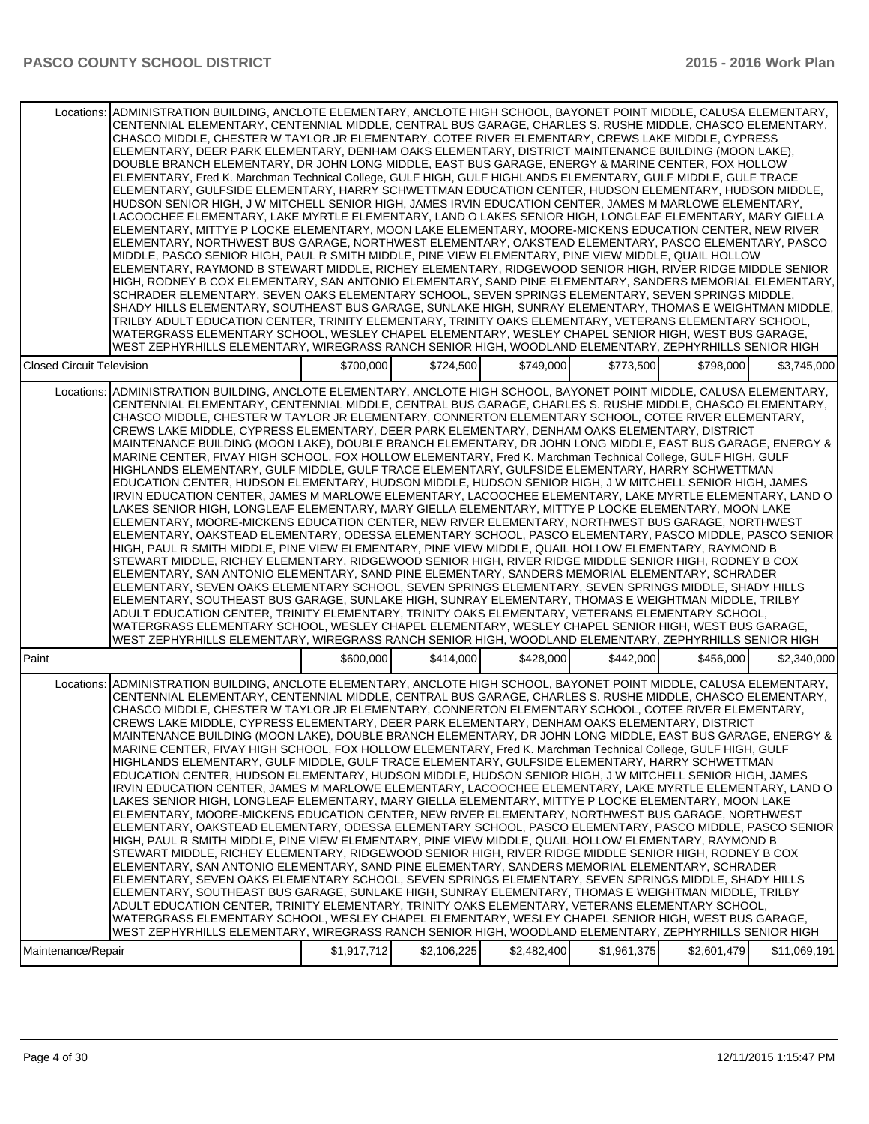| ADMINISTRATION BUILDING, ANCLOTE ELEMENTARY, ANCLOTE HIGH SCHOOL, BAYONET POINT MIDDLE, CALUSA ELEMENTARY,<br>Locations:                                                                                                                                                                                                                                                                                                                                                                                                                                                                                                                                                                                                                                                                                                                                                                                                                                                                                                                                                                                                                                                                                                                                                                                                                                                                                                                                                                                                                                                                                                                                                                                                                                                                                                                                                                                                                                                                                                                                                                                                                                                                  |           |           |           |                            |             |             |
|-------------------------------------------------------------------------------------------------------------------------------------------------------------------------------------------------------------------------------------------------------------------------------------------------------------------------------------------------------------------------------------------------------------------------------------------------------------------------------------------------------------------------------------------------------------------------------------------------------------------------------------------------------------------------------------------------------------------------------------------------------------------------------------------------------------------------------------------------------------------------------------------------------------------------------------------------------------------------------------------------------------------------------------------------------------------------------------------------------------------------------------------------------------------------------------------------------------------------------------------------------------------------------------------------------------------------------------------------------------------------------------------------------------------------------------------------------------------------------------------------------------------------------------------------------------------------------------------------------------------------------------------------------------------------------------------------------------------------------------------------------------------------------------------------------------------------------------------------------------------------------------------------------------------------------------------------------------------------------------------------------------------------------------------------------------------------------------------------------------------------------------------------------------------------------------------|-----------|-----------|-----------|----------------------------|-------------|-------------|
| CENTENNIAL ELEMENTARY, CENTENNIAL MIDDLE, CENTRAL BUS GARAGE, CHARLES S. RUSHE MIDDLE, CHASCO ELEMENTARY,<br>CHASCO MIDDLE, CHESTER W TAYLOR JR ELEMENTARY, COTEE RIVER ELEMENTARY, CREWS LAKE MIDDLE, CYPRESS<br>ELEMENTARY, DEER PARK ELEMENTARY, DENHAM OAKS ELEMENTARY, DISTRICT MAINTENANCE BUILDING (MOON LAKE),<br>DOUBLE BRANCH ELEMENTARY, DR JOHN LONG MIDDLE, EAST BUS GARAGE, ENERGY & MARINE CENTER, FOX HOLLOW<br>ELEMENTARY, Fred K. Marchman Technical College, GULF HIGH, GULF HIGHLANDS ELEMENTARY, GULF MIDDLE, GULF TRACE<br>ELEMENTARY, GULFSIDE ELEMENTARY, HARRY SCHWETTMAN EDUCATION CENTER, HUDSON ELEMENTARY, HUDSON MIDDLE,<br>HUDSON SENIOR HIGH, J W MITCHELL SENIOR HIGH, JAMES IRVIN EDUCATION CENTER, JAMES M MARLOWE ELEMENTARY,<br>LACOOCHEE ELEMENTARY, LAKE MYRTLE ELEMENTARY, LAND O LAKES SENIOR HIGH, LONGLEAF ELEMENTARY, MARY GIELLA<br>ELEMENTARY, MITTYE P LOCKE ELEMENTARY, MOON LAKE ELEMENTARY, MOORE-MICKENS EDUCATION CENTER, NEW RIVER<br>ELEMENTARY, NORTHWEST BUS GARAGE, NORTHWEST ELEMENTARY, OAKSTEAD ELEMENTARY, PASCO ELEMENTARY, PASCO<br>MIDDLE, PASCO SENIOR HIGH, PAUL R SMITH MIDDLE, PINE VIEW ELEMENTARY, PINE VIEW MIDDLE, QUAIL HOLLOW<br>ELEMENTARY, RAYMOND B STEWART MIDDLE, RICHEY ELEMENTARY, RIDGEWOOD SENIOR HIGH, RIVER RIDGE MIDDLE SENIOR<br>HIGH, RODNEY B COX ELEMENTARY, SAN ANTONIO ELEMENTARY, SAND PINE ELEMENTARY, SANDERS MEMORIAL ELEMENTARY,<br>SCHRADER ELEMENTARY, SEVEN OAKS ELEMENTARY SCHOOL, SEVEN SPRINGS ELEMENTARY, SEVEN SPRINGS MIDDLE,<br>SHADY HILLS ELEMENTARY, SOUTHEAST BUS GARAGE, SUNLAKE HIGH, SUNRAY ELEMENTARY, THOMAS E WEIGHTMAN MIDDLE,<br>TRILBY ADULT EDUCATION CENTER, TRINITY ELEMENTARY, TRINITY OAKS ELEMENTARY, VETERANS ELEMENTARY SCHOOL,<br>WATERGRASS ELEMENTARY SCHOOL, WESLEY CHAPEL ELEMENTARY, WESLEY CHAPEL SENIOR HIGH, WEST BUS GARAGE,<br>WEST ZEPHYRHILLS ELEMENTARY, WIREGRASS RANCH SENIOR HIGH, WOODLAND ELEMENTARY, ZEPHYRHILLS SENIOR HIGH                                                                                                                                                                                                          |           |           |           |                            |             |             |
| <b>Closed Circuit Television</b>                                                                                                                                                                                                                                                                                                                                                                                                                                                                                                                                                                                                                                                                                                                                                                                                                                                                                                                                                                                                                                                                                                                                                                                                                                                                                                                                                                                                                                                                                                                                                                                                                                                                                                                                                                                                                                                                                                                                                                                                                                                                                                                                                          | \$700,000 | \$724,500 | \$749,000 | \$773,500                  | \$798,000   | \$3,745,000 |
| ADMINISTRATION BUILDING, ANCLOTE ELEMENTARY, ANCLOTE HIGH SCHOOL, BAYONET POINT MIDDLE, CALUSA ELEMENTARY,<br>Locations:<br>CENTENNIAL ELEMENTARY, CENTENNIAL MIDDLE, CENTRAL BUS GARAGE, CHARLES S. RUSHE MIDDLE, CHASCO ELEMENTARY,<br>CHASCO MIDDLE. CHESTER W TAYLOR JR ELEMENTARY. CONNERTON ELEMENTARY SCHOOL. COTEE RIVER ELEMENTARY.<br>CREWS LAKE MIDDLE, CYPRESS ELEMENTARY, DEER PARK ELEMENTARY, DENHAM OAKS ELEMENTARY, DISTRICT<br>MAINTENANCE BUILDING (MOON LAKE), DOUBLE BRANCH ELEMENTARY, DR JOHN LONG MIDDLE, EAST BUS GARAGE, ENERGY &<br>MARINE CENTER, FIVAY HIGH SCHOOL, FOX HOLLOW ELEMENTARY, Fred K. Marchman Technical College, GULF HIGH, GULF<br>HIGHLANDS ELEMENTARY, GULF MIDDLE, GULF TRACE ELEMENTARY, GULFSIDE ELEMENTARY, HARRY SCHWETTMAN<br>EDUCATION CENTER, HUDSON ELEMENTARY, HUDSON MIDDLE, HUDSON SENIOR HIGH, J W MITCHELL SENIOR HIGH, JAMES<br>IRVIN EDUCATION CENTER, JAMES M MARLOWE ELEMENTARY, LACOOCHEE ELEMENTARY, LAKE MYRTLE ELEMENTARY, LAND O<br>LAKES SENIOR HIGH. LONGLEAF ELEMENTARY. MARY GIELLA ELEMENTARY. MITTYE P LOCKE ELEMENTARY. MOON LAKE<br>ELEMENTARY, MOORE-MICKENS EDUCATION CENTER, NEW RIVER ELEMENTARY, NORTHWEST BUS GARAGE, NORTHWEST<br>ELEMENTARY, OAKSTEAD ELEMENTARY, ODESSA ELEMENTARY SCHOOL, PASCO ELEMENTARY, PASCO MIDDLE, PASCO SENIOR<br>HIGH, PAUL R SMITH MIDDLE, PINE VIEW ELEMENTARY, PINE VIEW MIDDLE, QUAIL HOLLOW ELEMENTARY, RAYMOND B<br>STEWART MIDDLE, RICHEY ELEMENTARY, RIDGEWOOD SENIOR HIGH, RIVER RIDGE MIDDLE SENIOR HIGH, RODNEY B COX<br>ELEMENTARY, SAN ANTONIO ELEMENTARY, SAND PINE ELEMENTARY, SANDERS MEMORIAL ELEMENTARY, SCHRADER<br>ELEMENTARY, SEVEN OAKS ELEMENTARY SCHOOL, SEVEN SPRINGS ELEMENTARY, SEVEN SPRINGS MIDDLE, SHADY HILLS<br>ELEMENTARY, SOUTHEAST BUS GARAGE, SUNLAKE HIGH, SUNRAY ELEMENTARY, THOMAS E WEIGHTMAN MIDDLE, TRILBY<br>ADULT EDUCATION CENTER, TRINITY ELEMENTARY, TRINITY OAKS ELEMENTARY, VETERANS ELEMENTARY SCHOOL,<br>WATERGRASS ELEMENTARY SCHOOL, WESLEY CHAPEL ELEMENTARY, WESLEY CHAPEL SENIOR HIGH, WEST BUS GARAGE,<br>WEST ZEPHYRHILLS ELEMENTARY, WIREGRASS RANCH SENIOR HIGH, WOODLAND ELEMENTARY, ZEPHYRHILLS SENIOR HIGH |           |           |           |                            |             |             |
| Paint                                                                                                                                                                                                                                                                                                                                                                                                                                                                                                                                                                                                                                                                                                                                                                                                                                                                                                                                                                                                                                                                                                                                                                                                                                                                                                                                                                                                                                                                                                                                                                                                                                                                                                                                                                                                                                                                                                                                                                                                                                                                                                                                                                                     | \$600,000 | \$414,000 | \$428,000 | \$442,000                  | \$456,000   | \$2,340,000 |
| ADMINISTRATION BUILDING, ANCLOTE ELEMENTARY, ANCLOTE HIGH SCHOOL, BAYONET POINT MIDDLE, CALUSA ELEMENTARY,<br>Locations:<br>CENTENNIAL ELEMENTARY, CENTENNIAL MIDDLE, CENTRAL BUS GARAGE, CHARLES S. RUSHE MIDDLE, CHASCO ELEMENTARY,<br>CHASCO MIDDLE, CHESTER W TAYLOR JR ELEMENTARY, CONNERTON ELEMENTARY SCHOOL, COTEE RIVER ELEMENTARY,<br>CREWS LAKE MIDDLE, CYPRESS ELEMENTARY, DEER PARK ELEMENTARY, DENHAM OAKS ELEMENTARY, DISTRICT<br>MAINTENANCE BUILDING (MOON LAKE), DOUBLE BRANCH ELEMENTARY, DR JOHN LONG MIDDLE, EAST BUS GARAGE, ENERGY &<br>MARINE CENTER, FIVAY HIGH SCHOOL, FOX HOLLOW ELEMENTARY, Fred K. Marchman Technical College, GULF HIGH, GULF<br>HIGHLANDS ELEMENTARY, GULF MIDDLE, GULF TRACE ELEMENTARY, GULFSIDE ELEMENTARY, HARRY SCHWETTMAN<br>EDUCATION CENTER, HUDSON ELEMENTARY, HUDSON MIDDLE, HUDSON SENIOR HIGH, J W MITCHELL SENIOR HIGH, JAMES<br>IRVIN EDUCATION CENTER. JAMES M MARLOWE ELEMENTARY. LACOOCHEE ELEMENTARY. LAKE MYRTLE ELEMENTARY. LAND O<br>LAKES SENIOR HIGH, LONGLEAF ELEMENTARY, MARY GIELLA ELEMENTARY, MITTYE P LOCKE ELEMENTARY, MOON LAKE<br>ELEMENTARY. MOORE-MICKENS EDUCATION CENTER. NEW RIVER ELEMENTARY. NORTHWEST BUS GARAGE. NORTHWEST<br>ELEMENTARY, OAKSTEAD ELEMENTARY, ODESSA ELEMENTARY SCHOOL, PASCO ELEMENTARY, PASCO MIDDLE, PASCO SENIOR<br>HIGH, PAUL R SMITH MIDDLE, PINE VIEW ELEMENTARY, PINE VIEW MIDDLE, QUAIL HOLLOW ELEMENTARY, RAYMOND B<br>STEWART MIDDLE, RICHEY ELEMENTARY, RIDGEWOOD SENIOR HIGH, RIVER RIDGE MIDDLE SENIOR HIGH, RODNEY B COX<br>ELEMENTARY, SAN ANTONIO ELEMENTARY, SAND PINE ELEMENTARY, SANDERS MEMORIAL ELEMENTARY, SCHRADER<br>ELEMENTARY, SEVEN OAKS ELEMENTARY SCHOOL, SEVEN SPRINGS ELEMENTARY, SEVEN SPRINGS MIDDLE, SHADY HILLS<br>ELEMENTARY, SOUTHEAST BUS GARAGE, SUNLAKE HIGH, SUNRAY ELEMENTARY, THOMAS E WEIGHTMAN MIDDLE, TRILBY<br>ADULT EDUCATION CENTER, TRINITY ELEMENTARY, TRINITY OAKS ELEMENTARY, VETERANS ELEMENTARY SCHOOL,<br>WATERGRASS ELEMENTARY SCHOOL, WESLEY CHAPEL ELEMENTARY, WESLEY CHAPEL SENIOR HIGH, WEST BUS GARAGE,<br>WEST ZEPHYRHILLS ELEMENTARY, WIREGRASS RANCH SENIOR HIGH, WOODLAND ELEMENTARY, ZEPHYRHILLS SENIOR HIGH |           |           |           |                            |             |             |
|                                                                                                                                                                                                                                                                                                                                                                                                                                                                                                                                                                                                                                                                                                                                                                                                                                                                                                                                                                                                                                                                                                                                                                                                                                                                                                                                                                                                                                                                                                                                                                                                                                                                                                                                                                                                                                                                                                                                                                                                                                                                                                                                                                                           |           |           |           | \$2,482,400<br>\$1,961,375 | \$2,601,479 |             |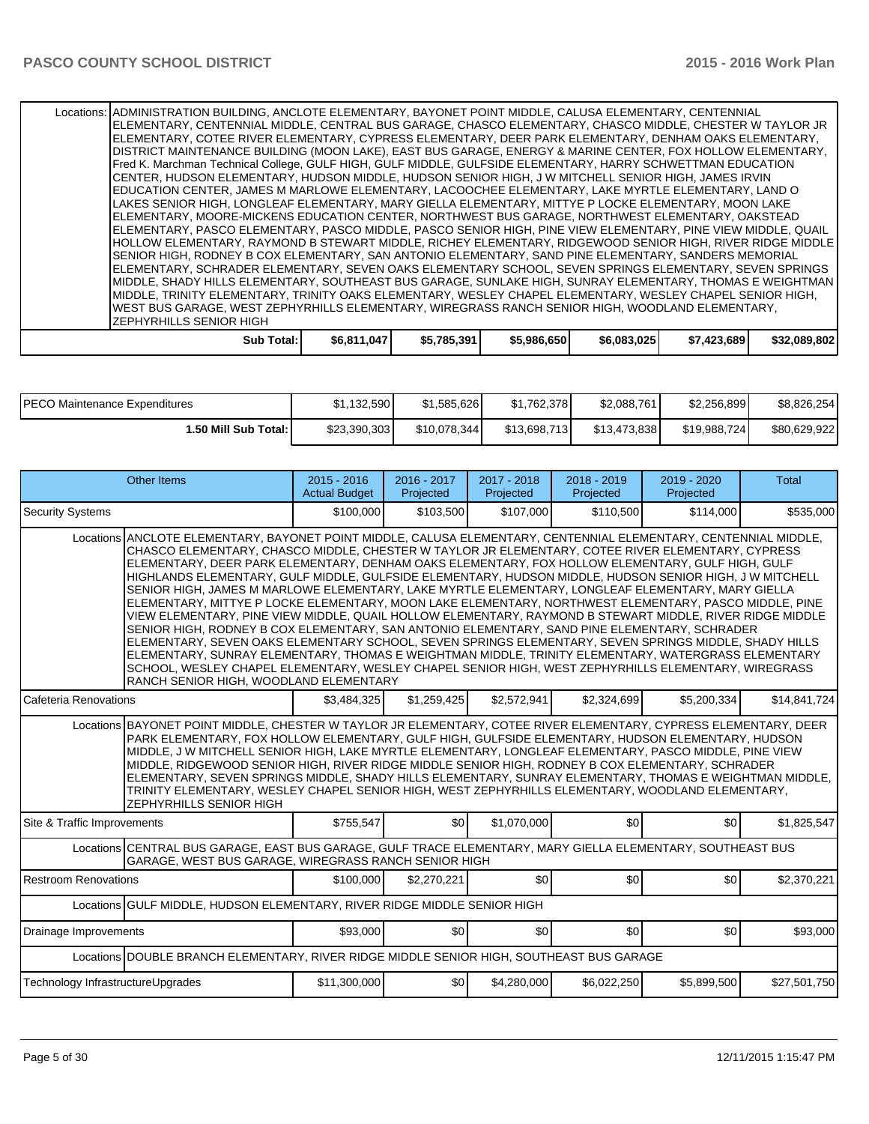Locations: ADMINISTRATION BUILDING, ANCLOTE ELEMENTARY, BAYONET POINT MIDDLE, CALUSA ELEMENTARY, CENTENNIAL ELEMENTARY, CENTENNIAL MIDDLE, CENTRAL BUS GARAGE, CHASCO ELEMENTARY, CHASCO MIDDLE, CHESTER W TAYLOR JR ELEMENTARY, COTEE RIVER ELEMENTARY, CYPRESS ELEMENTARY, DEER PARK ELEMENTARY, DENHAM OAKS ELEMENTARY, DISTRICT MAINTENANCE BUILDING (MOON LAKE), EAST BUS GARAGE, ENERGY & MARINE CENTER, FOX HOLLOW ELEMENTARY, Fred K. Marchman Technical College, GULF HIGH, GULF MIDDLE, GULFSIDE ELEMENTARY, HARRY SCHWETTMAN EDUCATION CENTER, HUDSON ELEMENTARY, HUDSON MIDDLE, HUDSON SENIOR HIGH, J W MITCHELL SENIOR HIGH, JAMES IRVIN EDUCATION CENTER, JAMES M MARLOWE ELEMENTARY, LACOOCHEE ELEMENTARY, LAKE MYRTLE ELEMENTARY, LAND O LAKES SENIOR HIGH, LONGLEAF ELEMENTARY, MARY GIELLA ELEMENTARY, MITTYE P LOCKE ELEMENTARY, MOON LAKE ELEMENTARY, MOORE-MICKENS EDUCATION CENTER, NORTHWEST BUS GARAGE, NORTHWEST ELEMENTARY, OAKSTEAD ELEMENTARY, PASCO ELEMENTARY, PASCO MIDDLE, PASCO SENIOR HIGH, PINE VIEW ELEMENTARY, PINE VIEW MIDDLE, QUAIL HOLLOW ELEMENTARY, RAYMOND B STEWART MIDDLE, RICHEY ELEMENTARY, RIDGEWOOD SENIOR HIGH, RIVER RIDGE MIDDLE SENIOR HIGH, RODNEY B COX ELEMENTARY, SAN ANTONIO ELEMENTARY, SAND PINE ELEMENTARY, SANDERS MEMORIAL ELEMENTARY, SCHRADER ELEMENTARY, SEVEN OAKS ELEMENTARY SCHOOL, SEVEN SPRINGS ELEMENTARY, SEVEN SPRINGS MIDDLE, SHADY HILLS ELEMENTARY, SOUTHEAST BUS GARAGE, SUNLAKE HIGH, SUNRAY ELEMENTARY, THOMAS E WEIGHTMAN MIDDLE, TRINITY ELEMENTARY, TRINITY OAKS ELEMENTARY, WESLEY CHAPEL ELEMENTARY, WESLEY CHAPEL SENIOR HIGH, WEST BUS GARAGE, WEST ZEPHYRHILLS ELEMENTARY, WIREGRASS RANCH SENIOR HIGH, WOODLAND ELEMENTARY, ZEPHYRHILLS SENIOR HIGH

| Sub Total: | \$6.811.047 | \$5,785,391 | \$5,986,650 | \$6,083,025 | \$7,423,689 | \$32.089.802 |
|------------|-------------|-------------|-------------|-------------|-------------|--------------|
|            |             |             |             |             |             |              |

| <b>IPECO Maintenance Expenditures</b> | \$1.132.590  | \$1,585,626  | \$1.762.378  | \$2,088,761  | \$2.256.899  | \$8,826,254  |
|---------------------------------------|--------------|--------------|--------------|--------------|--------------|--------------|
| ا :50 Mill Sub Total.                 | \$23,390,303 | \$10,078,344 | \$13,698,713 | \$13,473,838 | \$19,988,724 | \$80,629,922 |

| <b>Other Items</b>                                                                                                                                                                                                                                                                                                                                                                                                                                                                                                                                                                                                                                                                                                                                                                                                                                                                                                                                                                                                                                                                                                                                                                                                              | $2015 - 2016$<br><b>Actual Budget</b> | 2016 - 2017<br>Projected | $2017 - 2018$<br>Projected | $2018 - 2019$<br>Projected | 2019 - 2020<br>Projected | Total        |  |  |
|---------------------------------------------------------------------------------------------------------------------------------------------------------------------------------------------------------------------------------------------------------------------------------------------------------------------------------------------------------------------------------------------------------------------------------------------------------------------------------------------------------------------------------------------------------------------------------------------------------------------------------------------------------------------------------------------------------------------------------------------------------------------------------------------------------------------------------------------------------------------------------------------------------------------------------------------------------------------------------------------------------------------------------------------------------------------------------------------------------------------------------------------------------------------------------------------------------------------------------|---------------------------------------|--------------------------|----------------------------|----------------------------|--------------------------|--------------|--|--|
| <b>Security Systems</b>                                                                                                                                                                                                                                                                                                                                                                                                                                                                                                                                                                                                                                                                                                                                                                                                                                                                                                                                                                                                                                                                                                                                                                                                         | \$100,000                             | \$103,500                | \$107,000                  | \$110.500                  | \$114,000                | \$535,000    |  |  |
| Locations ANCLOTE ELEMENTARY, BAYONET POINT MIDDLE, CALUSA ELEMENTARY, CENTENNIAL ELEMENTARY, CENTENNIAL MIDDLE,<br>CHASCO ELEMENTARY, CHASCO MIDDLE, CHESTER W TAYLOR JR ELEMENTARY, COTEE RIVER ELEMENTARY, CYPRESS<br>ELEMENTARY, DEER PARK ELEMENTARY, DENHAM OAKS ELEMENTARY, FOX HOLLOW ELEMENTARY, GULF HIGH, GULF<br>HIGHLANDS ELEMENTARY, GULF MIDDLE, GULFSIDE ELEMENTARY, HUDSON MIDDLE, HUDSON SENIOR HIGH, J W MITCHELL<br>SENIOR HIGH, JAMES M MARLOWE ELEMENTARY, LAKE MYRTLE ELEMENTARY, LONGLEAF ELEMENTARY, MARY GIELLA<br>ELEMENTARY, MITTYE P LOCKE ELEMENTARY, MOON LAKE ELEMENTARY, NORTHWEST ELEMENTARY, PASCO MIDDLE, PINE<br>VIEW ELEMENTARY, PINE VIEW MIDDLE, QUAIL HOLLOW ELEMENTARY, RAYMOND B STEWART MIDDLE, RIVER RIDGE MIDDLE<br>SENIOR HIGH, RODNEY B COX ELEMENTARY, SAN ANTONIO ELEMENTARY, SAND PINE ELEMENTARY, SCHRADER<br>ELEMENTARY, SEVEN OAKS ELEMENTARY SCHOOL, SEVEN SPRINGS ELEMENTARY, SEVEN SPRINGS MIDDLE, SHADY HILLS<br>ELEMENTARY, SUNRAY ELEMENTARY, THOMAS E WEIGHTMAN MIDDLE, TRINITY ELEMENTARY, WATERGRASS ELEMENTARY<br>SCHOOL, WESLEY CHAPEL ELEMENTARY, WESLEY CHAPEL SENIOR HIGH, WEST ZEPHYRHILLS ELEMENTARY, WIREGRASS<br>RANCH SENIOR HIGH, WOODLAND ELEMENTARY |                                       |                          |                            |                            |                          |              |  |  |
| Cafeteria Renovations                                                                                                                                                                                                                                                                                                                                                                                                                                                                                                                                                                                                                                                                                                                                                                                                                                                                                                                                                                                                                                                                                                                                                                                                           | \$3.484.325                           | \$1.259.425              | \$2,572,941                | \$2,324,699                | \$5,200,334              | \$14,841,724 |  |  |
| Locations BAYONET POINT MIDDLE, CHESTER W TAYLOR JR ELEMENTARY, COTEE RIVER ELEMENTARY, CYPRESS ELEMENTARY, DEER<br>PARK ELEMENTARY, FOX HOLLOW ELEMENTARY, GULF HIGH, GULFSIDE ELEMENTARY, HUDSON ELEMENTARY, HUDSON<br>MIDDLE, J W MITCHELL SENIOR HIGH, LAKE MYRTLE ELEMENTARY, LONGLEAF ELEMENTARY, PASCO MIDDLE, PINE VIEW<br>MIDDLE, RIDGEWOOD SENIOR HIGH, RIVER RIDGE MIDDLE SENIOR HIGH, RODNEY B COX ELEMENTARY, SCHRADER<br>ELEMENTARY, SEVEN SPRINGS MIDDLE, SHADY HILLS ELEMENTARY, SUNRAY ELEMENTARY, THOMAS E WEIGHTMAN MIDDLE,<br>TRINITY ELEMENTARY, WESLEY CHAPEL SENIOR HIGH, WEST ZEPHYRHILLS ELEMENTARY, WOODLAND ELEMENTARY,<br><b>ZEPHYRHILLS SENIOR HIGH</b>                                                                                                                                                                                                                                                                                                                                                                                                                                                                                                                                            |                                       |                          |                            |                            |                          |              |  |  |
| Site & Traffic Improvements                                                                                                                                                                                                                                                                                                                                                                                                                                                                                                                                                                                                                                                                                                                                                                                                                                                                                                                                                                                                                                                                                                                                                                                                     | \$755,547                             | \$0                      | \$1,070,000                | \$0 <sub>1</sub>           | \$0                      | \$1,825,547  |  |  |
| Locations CENTRAL BUS GARAGE, EAST BUS GARAGE, GULF TRACE ELEMENTARY, MARY GIELLA ELEMENTARY, SOUTHEAST BUS<br>GARAGE, WEST BUS GARAGE, WIREGRASS RANCH SENIOR HIGH                                                                                                                                                                                                                                                                                                                                                                                                                                                                                                                                                                                                                                                                                                                                                                                                                                                                                                                                                                                                                                                             |                                       |                          |                            |                            |                          |              |  |  |
| Restroom Renovations                                                                                                                                                                                                                                                                                                                                                                                                                                                                                                                                                                                                                                                                                                                                                                                                                                                                                                                                                                                                                                                                                                                                                                                                            | \$100,000                             | \$2,270,221              | \$0                        | \$0                        | \$0                      | \$2,370,221  |  |  |
| Locations GULF MIDDLE, HUDSON ELEMENTARY, RIVER RIDGE MIDDLE SENIOR HIGH                                                                                                                                                                                                                                                                                                                                                                                                                                                                                                                                                                                                                                                                                                                                                                                                                                                                                                                                                                                                                                                                                                                                                        |                                       |                          |                            |                            |                          |              |  |  |
| Drainage Improvements                                                                                                                                                                                                                                                                                                                                                                                                                                                                                                                                                                                                                                                                                                                                                                                                                                                                                                                                                                                                                                                                                                                                                                                                           | \$93,000                              | \$0 <sub>l</sub>         | \$0                        | \$0                        | \$0                      | \$93,000     |  |  |
| Locations DOUBLE BRANCH ELEMENTARY, RIVER RIDGE MIDDLE SENIOR HIGH, SOUTHEAST BUS GARAGE                                                                                                                                                                                                                                                                                                                                                                                                                                                                                                                                                                                                                                                                                                                                                                                                                                                                                                                                                                                                                                                                                                                                        |                                       |                          |                            |                            |                          |              |  |  |
| Technology InfrastructureUpgrades                                                                                                                                                                                                                                                                                                                                                                                                                                                                                                                                                                                                                                                                                                                                                                                                                                                                                                                                                                                                                                                                                                                                                                                               | \$11,300,000                          | \$0                      | \$4,280,000                | \$6,022,250                | \$5,899,500              | \$27,501,750 |  |  |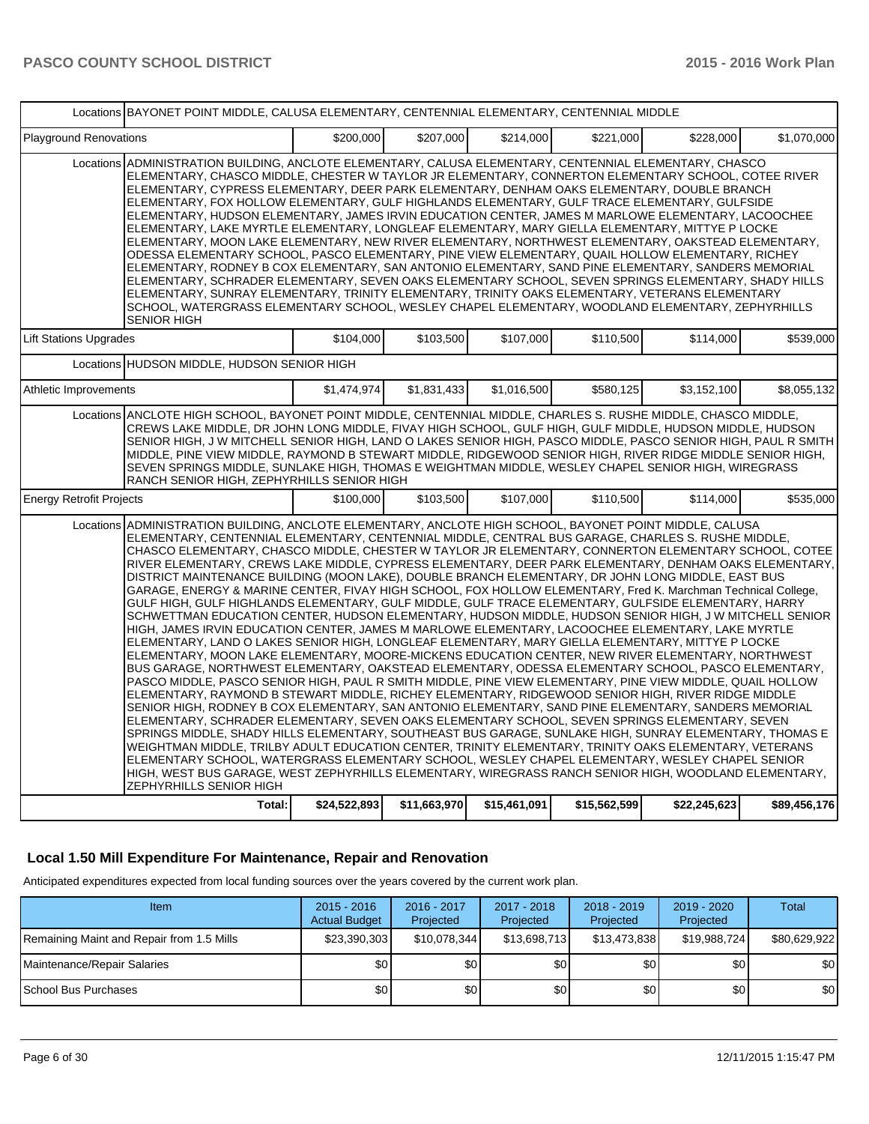|                                 | Locations BAYONET POINT MIDDLE, CALUSA ELEMENTARY, CENTENNIAL ELEMENTARY, CENTENNIAL MIDDLE                                                                                                                                                                                                                                                                                                                                                                                                                                                                                                                                                                                                                                                                                                                                                                                                                                                                                                                                                                                                                                                                                                                                                                                                                                                                                                                                                                                                                                                                                                                                                                                                                                                                                                                                                                                                                                                                                                                                                                                                                                                                                              |              |              |              |              |              |              |  |
|---------------------------------|------------------------------------------------------------------------------------------------------------------------------------------------------------------------------------------------------------------------------------------------------------------------------------------------------------------------------------------------------------------------------------------------------------------------------------------------------------------------------------------------------------------------------------------------------------------------------------------------------------------------------------------------------------------------------------------------------------------------------------------------------------------------------------------------------------------------------------------------------------------------------------------------------------------------------------------------------------------------------------------------------------------------------------------------------------------------------------------------------------------------------------------------------------------------------------------------------------------------------------------------------------------------------------------------------------------------------------------------------------------------------------------------------------------------------------------------------------------------------------------------------------------------------------------------------------------------------------------------------------------------------------------------------------------------------------------------------------------------------------------------------------------------------------------------------------------------------------------------------------------------------------------------------------------------------------------------------------------------------------------------------------------------------------------------------------------------------------------------------------------------------------------------------------------------------------------|--------------|--------------|--------------|--------------|--------------|--------------|--|
| <b>Playground Renovations</b>   |                                                                                                                                                                                                                                                                                                                                                                                                                                                                                                                                                                                                                                                                                                                                                                                                                                                                                                                                                                                                                                                                                                                                                                                                                                                                                                                                                                                                                                                                                                                                                                                                                                                                                                                                                                                                                                                                                                                                                                                                                                                                                                                                                                                          | \$200,000    | \$207.000    | \$214.000    | \$221.000    | \$228,000    | \$1,070,000  |  |
|                                 | Locations ADMINISTRATION BUILDING, ANCLOTE ELEMENTARY, CALUSA ELEMENTARY, CENTENNIAL ELEMENTARY, CHASCO<br>ELEMENTARY, CHASCO MIDDLE, CHESTER W TAYLOR JR ELEMENTARY, CONNERTON ELEMENTARY SCHOOL, COTEE RIVER<br>ELEMENTARY, CYPRESS ELEMENTARY, DEER PARK ELEMENTARY, DENHAM OAKS ELEMENTARY, DOUBLE BRANCH<br>ELEMENTARY, FOX HOLLOW ELEMENTARY, GULF HIGHLANDS ELEMENTARY, GULF TRACE ELEMENTARY, GULFSIDE<br>ELEMENTARY, HUDSON ELEMENTARY, JAMES IRVIN EDUCATION CENTER, JAMES M MARLOWE ELEMENTARY, LACOOCHEE<br>ELEMENTARY, LAKE MYRTLE ELEMENTARY, LONGLEAF ELEMENTARY, MARY GIELLA ELEMENTARY, MITTYE P LOCKE<br>ELEMENTARY, MOON LAKE ELEMENTARY, NEW RIVER ELEMENTARY, NORTHWEST ELEMENTARY, OAKSTEAD ELEMENTARY,<br>ODESSA ELEMENTARY SCHOOL, PASCO ELEMENTARY, PINE VIEW ELEMENTARY, QUAIL HOLLOW ELEMENTARY, RICHEY<br>ELEMENTARY, RODNEY B COX ELEMENTARY, SAN ANTONIO ELEMENTARY, SAND PINE ELEMENTARY, SANDERS MEMORIAL<br>IELEMENTARY. SCHRADER ELEMENTARY. SEVEN OAKS ELEMENTARY SCHOOL. SEVEN SPRINGS ELEMENTARY. SHADY HILLS<br>ELEMENTARY, SUNRAY ELEMENTARY, TRINITY ELEMENTARY, TRINITY OAKS ELEMENTARY, VETERANS ELEMENTARY<br>SCHOOL, WATERGRASS ELEMENTARY SCHOOL, WESLEY CHAPEL ELEMENTARY, WOODLAND ELEMENTARY, ZEPHYRHILLS<br><b>SENIOR HIGH</b>                                                                                                                                                                                                                                                                                                                                                                                                                                                                                                                                                                                                                                                                                                                                                                                                                                                                                                          |              |              |              |              |              |              |  |
| <b>Lift Stations Upgrades</b>   |                                                                                                                                                                                                                                                                                                                                                                                                                                                                                                                                                                                                                                                                                                                                                                                                                                                                                                                                                                                                                                                                                                                                                                                                                                                                                                                                                                                                                                                                                                                                                                                                                                                                                                                                                                                                                                                                                                                                                                                                                                                                                                                                                                                          | \$104,000    | \$103,500    | \$107,000    | \$110,500    | \$114,000    | \$539.000    |  |
|                                 | Locations HUDSON MIDDLE, HUDSON SENIOR HIGH                                                                                                                                                                                                                                                                                                                                                                                                                                                                                                                                                                                                                                                                                                                                                                                                                                                                                                                                                                                                                                                                                                                                                                                                                                                                                                                                                                                                                                                                                                                                                                                                                                                                                                                                                                                                                                                                                                                                                                                                                                                                                                                                              |              |              |              |              |              |              |  |
| Athletic Improvements           |                                                                                                                                                                                                                                                                                                                                                                                                                                                                                                                                                                                                                                                                                                                                                                                                                                                                                                                                                                                                                                                                                                                                                                                                                                                                                                                                                                                                                                                                                                                                                                                                                                                                                                                                                                                                                                                                                                                                                                                                                                                                                                                                                                                          | \$1,474,974  | \$1,831,433  | \$1,016,500  | \$580,125    | \$3,152,100  | \$8,055,132  |  |
|                                 | Locations ANCLOTE HIGH SCHOOL, BAYONET POINT MIDDLE, CENTENNIAL MIDDLE, CHARLES S. RUSHE MIDDLE, CHASCO MIDDLE,<br>CREWS LAKE MIDDLE, DR JOHN LONG MIDDLE, FIVAY HIGH SCHOOL, GULF HIGH, GULF MIDDLE, HUDSON MIDDLE, HUDSON<br>SENIOR HIGH, J W MITCHELL SENIOR HIGH, LAND O LAKES SENIOR HIGH, PASCO MIDDLE, PASCO SENIOR HIGH, PAUL R SMITH<br>MIDDLE, PINE VIEW MIDDLE, RAYMOND B STEWART MIDDLE, RIDGEWOOD SENIOR HIGH, RIVER RIDGE MIDDLE SENIOR HIGH,<br>SEVEN SPRINGS MIDDLE, SUNLAKE HIGH, THOMAS E WEIGHTMAN MIDDLE, WESLEY CHAPEL SENIOR HIGH, WIREGRASS<br>RANCH SENIOR HIGH, ZEPHYRHILLS SENIOR HIGH                                                                                                                                                                                                                                                                                                                                                                                                                                                                                                                                                                                                                                                                                                                                                                                                                                                                                                                                                                                                                                                                                                                                                                                                                                                                                                                                                                                                                                                                                                                                                                         |              |              |              |              |              |              |  |
| <b>Energy Retrofit Projects</b> |                                                                                                                                                                                                                                                                                                                                                                                                                                                                                                                                                                                                                                                                                                                                                                                                                                                                                                                                                                                                                                                                                                                                                                                                                                                                                                                                                                                                                                                                                                                                                                                                                                                                                                                                                                                                                                                                                                                                                                                                                                                                                                                                                                                          | \$100,000    | \$103.500    | \$107.000    | \$110,500    | \$114,000    | \$535.000    |  |
|                                 | Locations ADMINISTRATION BUILDING, ANCLOTE ELEMENTARY, ANCLOTE HIGH SCHOOL, BAYONET POINT MIDDLE, CALUSA<br>ELEMENTARY, CENTENNIAL ELEMENTARY, CENTENNIAL MIDDLE, CENTRAL BUS GARAGE, CHARLES S. RUSHE MIDDLE,<br>CHASCO ELEMENTARY, CHASCO MIDDLE, CHESTER W TAYLOR JR ELEMENTARY, CONNERTON ELEMENTARY SCHOOL, COTEE<br>RIVER ELEMENTARY, CREWS LAKE MIDDLE, CYPRESS ELEMENTARY, DEER PARK ELEMENTARY, DENHAM OAKS ELEMENTARY,<br>DISTRICT MAINTENANCE BUILDING (MOON LAKE), DOUBLE BRANCH ELEMENTARY, DR JOHN LONG MIDDLE, EAST BUS<br>GARAGE, ENERGY & MARINE CENTER, FIVAY HIGH SCHOOL, FOX HOLLOW ELEMENTARY, Fred K. Marchman Technical College,<br>GULF HIGH, GULF HIGHLANDS ELEMENTARY, GULF MIDDLE, GULF TRACE ELEMENTARY, GULFSIDE ELEMENTARY, HARRY<br>SCHWETTMAN EDUCATION CENTER, HUDSON ELEMENTARY, HUDSON MIDDLE, HUDSON SENIOR HIGH, J W MITCHELL SENIOR<br>HIGH, JAMES IRVIN EDUCATION CENTER, JAMES M MARLOWE ELEMENTARY, LACOOCHEE ELEMENTARY, LAKE MYRTLE<br>ELEMENTARY, LAND O LAKES SENIOR HIGH, LONGLEAF ELEMENTARY, MARY GIELLA ELEMENTARY, MITTYE P LOCKE<br>ELEMENTARY, MOON LAKE ELEMENTARY, MOORE-MICKENS EDUCATION CENTER, NEW RIVER ELEMENTARY, NORTHWEST<br>BUS GARAGE, NORTHWEST ELEMENTARY, OAKSTEAD ELEMENTARY, ODESSA ELEMENTARY SCHOOL, PASCO ELEMENTARY,<br>PASCO MIDDLE, PASCO SENIOR HIGH, PAUL R SMITH MIDDLE, PINE VIEW ELEMENTARY, PINE VIEW MIDDLE, QUAIL HOLLOW<br>ELEMENTARY, RAYMOND B STEWART MIDDLE, RICHEY ELEMENTARY, RIDGEWOOD SENIOR HIGH, RIVER RIDGE MIDDLE<br>SENIOR HIGH, RODNEY B COX ELEMENTARY, SAN ANTONIO ELEMENTARY, SAND PINE ELEMENTARY, SANDERS MEMORIAL<br>ELEMENTARY, SCHRADER ELEMENTARY, SEVEN OAKS ELEMENTARY SCHOOL, SEVEN SPRINGS ELEMENTARY, SEVEN<br>SPRINGS MIDDLE, SHADY HILLS ELEMENTARY, SOUTHEAST BUS GARAGE, SUNLAKE HIGH, SUNRAY ELEMENTARY, THOMAS E<br>WEIGHTMAN MIDDLE, TRILBY ADULT EDUCATION CENTER, TRINITY ELEMENTARY, TRINITY OAKS ELEMENTARY, VETERANS<br>ELEMENTARY SCHOOL, WATERGRASS ELEMENTARY SCHOOL, WESLEY CHAPEL ELEMENTARY, WESLEY CHAPEL SENIOR<br>HIGH, WEST BUS GARAGE, WEST ZEPHYRHILLS ELEMENTARY, WIREGRASS RANCH SENIOR HIGH, WOODLAND ELEMENTARY,<br>ZEPHYRHILLS SENIOR HIGH |              |              |              |              |              |              |  |
|                                 | Total:                                                                                                                                                                                                                                                                                                                                                                                                                                                                                                                                                                                                                                                                                                                                                                                                                                                                                                                                                                                                                                                                                                                                                                                                                                                                                                                                                                                                                                                                                                                                                                                                                                                                                                                                                                                                                                                                                                                                                                                                                                                                                                                                                                                   | \$24,522,893 | \$11,663,970 | \$15,461,091 | \$15,562,599 | \$22,245,623 | \$89,456,176 |  |
|                                 |                                                                                                                                                                                                                                                                                                                                                                                                                                                                                                                                                                                                                                                                                                                                                                                                                                                                                                                                                                                                                                                                                                                                                                                                                                                                                                                                                                                                                                                                                                                                                                                                                                                                                                                                                                                                                                                                                                                                                                                                                                                                                                                                                                                          |              |              |              |              |              |              |  |

## **Local 1.50 Mill Expenditure For Maintenance, Repair and Renovation**

Anticipated expenditures expected from local funding sources over the years covered by the current work plan.

| Item                                      | $2015 - 2016$<br><b>Actual Budget</b> | 2016 - 2017<br>Projected | 2017 - 2018<br>Projected | $2018 - 2019$<br>Projected | $2019 - 2020$<br>Projected | Total            |
|-------------------------------------------|---------------------------------------|--------------------------|--------------------------|----------------------------|----------------------------|------------------|
| Remaining Maint and Repair from 1.5 Mills | \$23,390,303                          | \$10,078,344             | \$13,698,713             | \$13,473,838               | \$19,988,724               | \$80,629,922     |
| Maintenance/Repair Salaries               | \$0                                   | \$0                      | \$٥Ι                     | \$0 <sub>1</sub>           | \$0                        | \$0              |
| I School Bus Purchases                    | \$0 <sub>1</sub>                      | \$0                      | \$٥Ι                     | \$0 <sub>1</sub>           | \$0                        | \$0 <sub>1</sub> |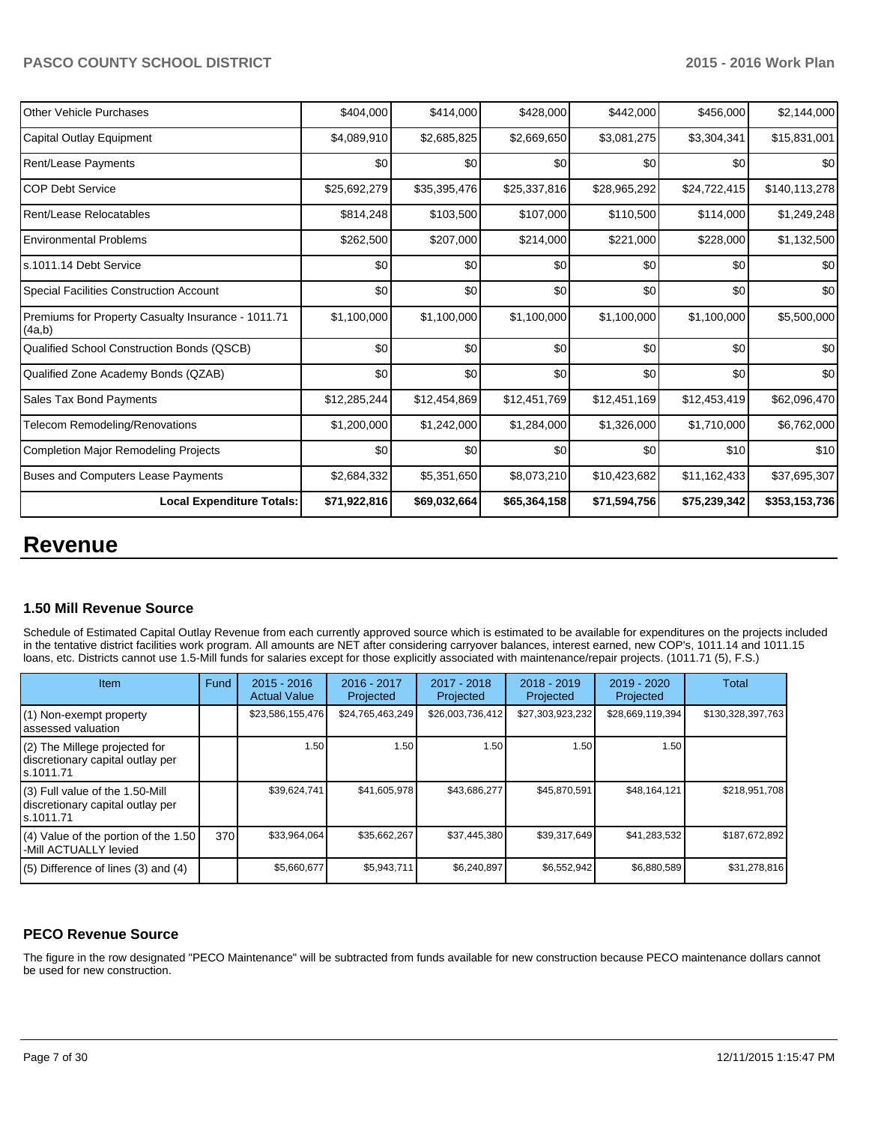| Other Vehicle Purchases                                      | \$404,000    | \$414,000    | \$428,000    | \$442,000    | \$456,000    | \$2,144,000   |
|--------------------------------------------------------------|--------------|--------------|--------------|--------------|--------------|---------------|
| Capital Outlay Equipment                                     | \$4,089,910  | \$2,685,825  | \$2,669,650  | \$3,081,275  | \$3,304,341  | \$15,831,001  |
| <b>Rent/Lease Payments</b>                                   | \$0          | \$0          | \$0          | \$0          | \$0          | \$0           |
| <b>COP Debt Service</b>                                      | \$25,692,279 | \$35,395,476 | \$25,337,816 | \$28,965,292 | \$24,722,415 | \$140,113,278 |
| Rent/Lease Relocatables                                      | \$814,248    | \$103,500    | \$107,000    | \$110,500    | \$114,000    | \$1,249,248   |
| <b>Environmental Problems</b>                                | \$262,500    | \$207,000    | \$214,000    | \$221,000    | \$228,000    | \$1,132,500   |
| Is.1011.14 Debt Service                                      | \$0          | \$0          | \$0          | \$0          | \$0          | \$0           |
| Special Facilities Construction Account                      | \$0          | \$0          | \$0          | \$0          | \$0          | \$0           |
| Premiums for Property Casualty Insurance - 1011.71<br>(4a,b) | \$1,100,000  | \$1,100,000  | \$1,100,000  | \$1,100,000  | \$1,100,000  | \$5,500,000   |
| Qualified School Construction Bonds (QSCB)                   | \$0          | \$0          | \$0          | \$0          | \$0          | \$0           |
| Qualified Zone Academy Bonds (QZAB)                          | \$0          | \$0          | \$0          | \$0          | \$0          | \$0           |
| Sales Tax Bond Payments                                      | \$12,285,244 | \$12,454,869 | \$12,451,769 | \$12,451,169 | \$12,453,419 | \$62,096,470  |
| Telecom Remodeling/Renovations                               | \$1,200,000  | \$1,242,000  | \$1,284,000  | \$1,326,000  | \$1,710,000  | \$6,762,000   |
| Completion Major Remodeling Projects                         | \$0          | \$0          | \$0          | \$0          | \$10         | \$10          |
| Buses and Computers Lease Payments                           | \$2,684,332  | \$5,351,650  | \$8,073,210  | \$10,423,682 | \$11,162,433 | \$37,695,307  |
| <b>Local Expenditure Totals:</b>                             | \$71,922,816 | \$69,032,664 | \$65,364,158 | \$71,594,756 | \$75,239,342 | \$353,153,736 |

# **Revenue**

## **1.50 Mill Revenue Source**

Schedule of Estimated Capital Outlay Revenue from each currently approved source which is estimated to be available for expenditures on the projects included in the tentative district facilities work program. All amounts are NET after considering carryover balances, interest earned, new COP's, 1011.14 and 1011.15 loans, etc. Districts cannot use 1.5-Mill funds for salaries except for those explicitly associated with maintenance/repair projects. (1011.71 (5), F.S.)

| Item                                                                                | Fund | $2015 - 2016$<br><b>Actual Value</b> | 2016 - 2017<br>Projected | 2017 - 2018<br>Projected | $2018 - 2019$<br>Projected | 2019 - 2020<br>Projected | Total             |
|-------------------------------------------------------------------------------------|------|--------------------------------------|--------------------------|--------------------------|----------------------------|--------------------------|-------------------|
| (1) Non-exempt property<br>lassessed valuation                                      |      | \$23,586,155,476                     | \$24,765,463,249         | \$26,003,736,412         | \$27,303,923,232           | \$28,669,119,394         | \$130,328,397,763 |
| $(2)$ The Millege projected for<br>discretionary capital outlay per<br>ls.1011.71   |      | 1.50                                 | 1.50 l                   | 1.50                     | 1.50                       | 1.50                     |                   |
| $(3)$ Full value of the 1.50-Mill<br>discretionary capital outlay per<br>ls.1011.71 |      | \$39,624,741                         | \$41,605,978             | \$43,686,277             | \$45,870,591               | \$48,164,121             | \$218,951,708     |
| $(4)$ Value of the portion of the 1.50<br>-Mill ACTUALLY levied                     | 370  | \$33,964,064                         | \$35,662,267             | \$37,445,380             | \$39,317,649               | \$41,283,532             | \$187,672,892     |
| $(5)$ Difference of lines $(3)$ and $(4)$                                           |      | \$5,660,677                          | \$5,943,711              | \$6.240.897              | \$6,552,942                | \$6,880,589              | \$31,278,816      |

## **PECO Revenue Source**

The figure in the row designated "PECO Maintenance" will be subtracted from funds available for new construction because PECO maintenance dollars cannot be used for new construction.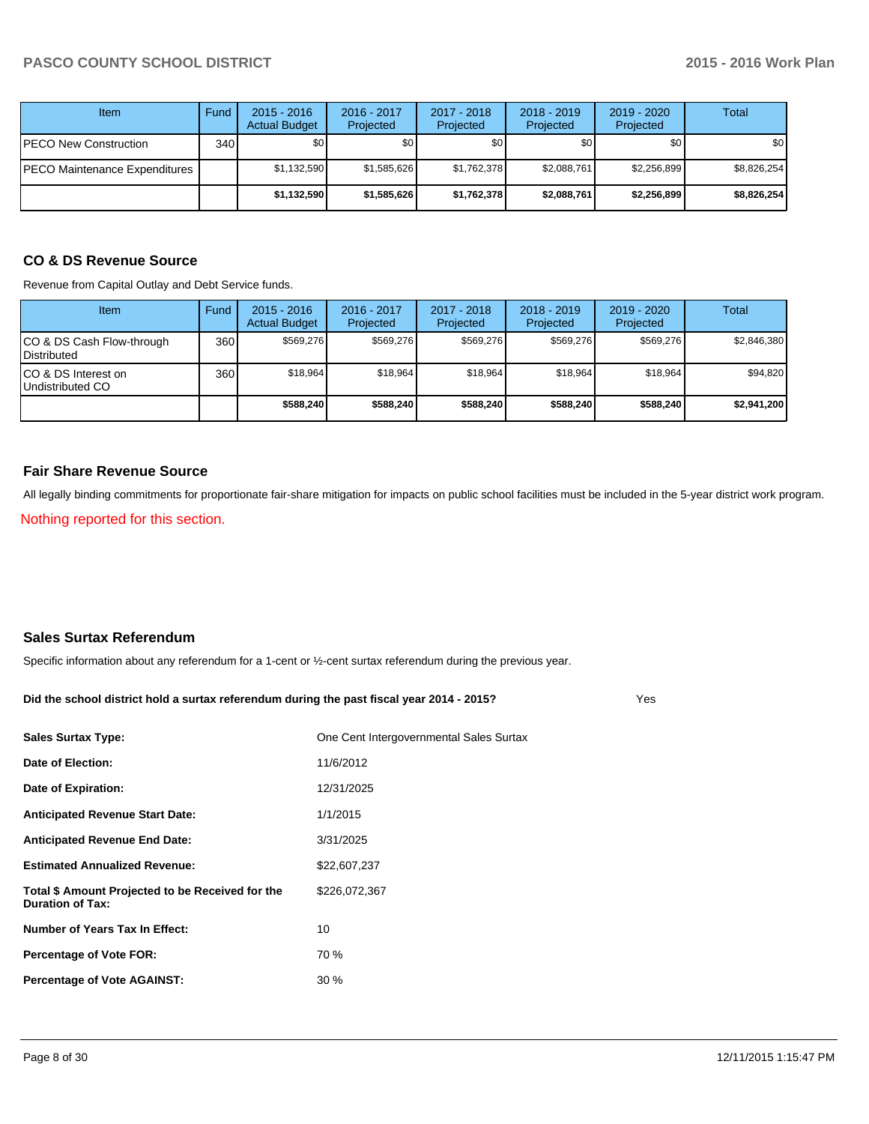| <b>Item</b>                   | Fund  | $2015 - 2016$<br><b>Actual Budget</b> | 2016 - 2017<br>Projected | 2017 - 2018<br>Projected | 2018 - 2019<br>Projected | $2019 - 2020$<br>Projected | Total       |
|-------------------------------|-------|---------------------------------------|--------------------------|--------------------------|--------------------------|----------------------------|-------------|
| PECO New Construction         | 340 l | \$0                                   | \$0 <sub>1</sub>         | \$0                      | \$0                      | \$0 <sub>1</sub>           | \$0         |
| PECO Maintenance Expenditures |       | \$1,132,590                           | \$1,585,626              | \$1,762,378              | \$2,088,761              | \$2,256,899                | \$8,826,254 |
|                               |       | \$1,132,590                           | \$1,585,626              | \$1,762,378              | \$2.088.761              | \$2,256,899                | \$8,826,254 |

## **CO & DS Revenue Source**

Revenue from Capital Outlay and Debt Service funds.

| <b>Item</b>                                      | Fund | $2015 - 2016$<br><b>Actual Budget</b> | $2016 - 2017$<br>Projected | $2017 - 2018$<br>Projected | $2018 - 2019$<br>Projected | $2019 - 2020$<br>Projected | Total       |
|--------------------------------------------------|------|---------------------------------------|----------------------------|----------------------------|----------------------------|----------------------------|-------------|
| ICO & DS Cash Flow-through<br><b>Distributed</b> | 360  | \$569.276                             | \$569.276                  | \$569.276                  | \$569.276                  | \$569.276                  | \$2,846,380 |
| ICO & DS Interest on<br>Undistributed CO         | 360  | \$18.964                              | \$18,964                   | \$18,964                   | \$18,964                   | \$18.964                   | \$94,820    |
|                                                  |      | \$588,240                             | \$588,240                  | \$588,240                  | \$588,240                  | \$588,240                  | \$2,941,200 |

#### **Fair Share Revenue Source**

All legally binding commitments for proportionate fair-share mitigation for impacts on public school facilities must be included in the 5-year district work program.

Nothing reported for this section.

#### **Sales Surtax Referendum**

Specific information about any referendum for a 1-cent or ½-cent surtax referendum during the previous year.

#### **Did the school district hold a surtax referendum during the past fiscal year 2014 - 2015?**

| <b>Sales Surtax Type:</b>                                                   | One Cent Intergovernmental Sales Surtax |
|-----------------------------------------------------------------------------|-----------------------------------------|
| Date of Election:                                                           | 11/6/2012                               |
| Date of Expiration:                                                         | 12/31/2025                              |
| <b>Anticipated Revenue Start Date:</b>                                      | 1/1/2015                                |
| <b>Anticipated Revenue End Date:</b>                                        | 3/31/2025                               |
| <b>Estimated Annualized Revenue:</b>                                        | \$22,607,237                            |
| Total \$ Amount Projected to be Received for the<br><b>Duration of Tax:</b> | \$226,072,367                           |
| <b>Number of Years Tax In Effect:</b>                                       | 10                                      |
| <b>Percentage of Vote FOR:</b>                                              | 70 %                                    |
| <b>Percentage of Vote AGAINST:</b>                                          | $30\%$                                  |

Yes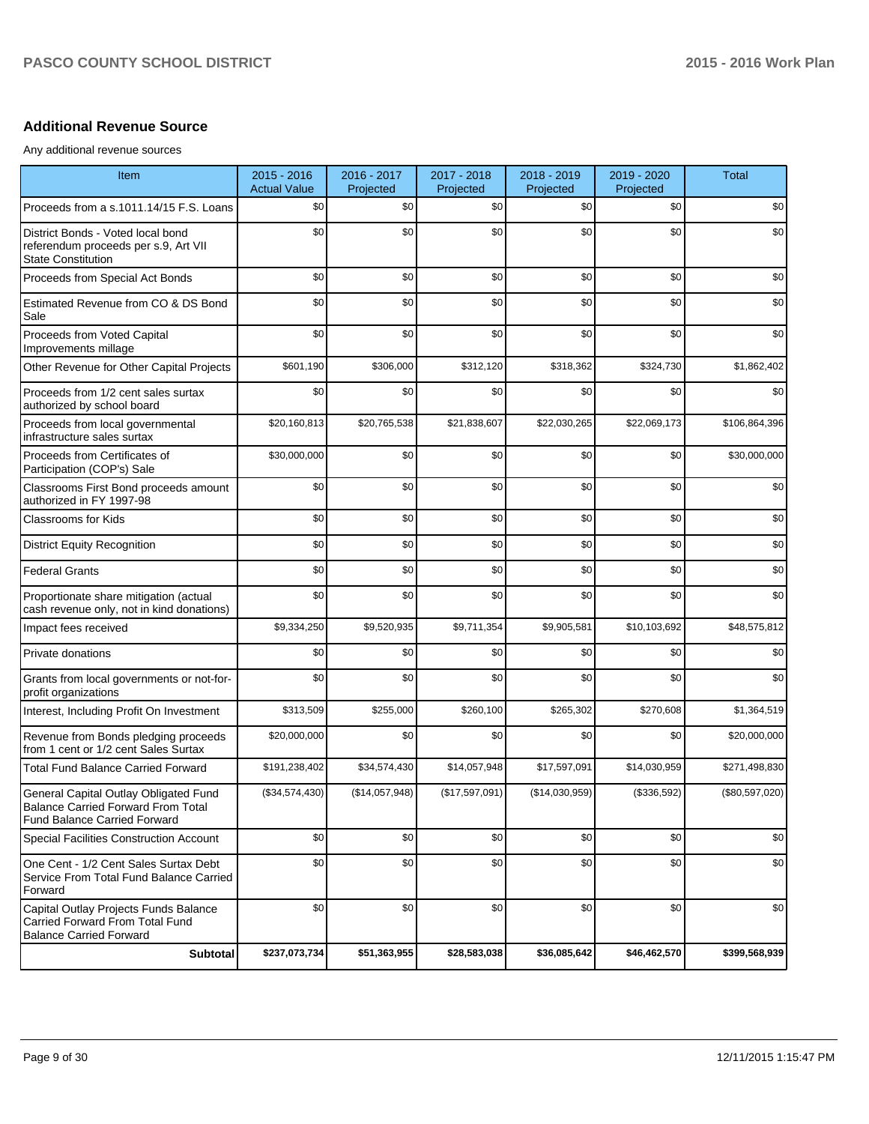# **Additional Revenue Source**

Any additional revenue sources

| Item                                                                                                                      | 2015 - 2016<br><b>Actual Value</b> | 2016 - 2017<br>Projected | 2017 - 2018<br>Projected | 2018 - 2019<br>Projected | 2019 - 2020<br>Projected | <b>Total</b>     |
|---------------------------------------------------------------------------------------------------------------------------|------------------------------------|--------------------------|--------------------------|--------------------------|--------------------------|------------------|
| Proceeds from a s.1011.14/15 F.S. Loans                                                                                   | \$0                                | \$0                      | \$0                      | \$0                      | \$0                      | \$0              |
| District Bonds - Voted local bond<br>referendum proceeds per s.9, Art VII<br><b>State Constitution</b>                    | \$0                                | \$0                      | \$0                      | \$0                      | \$0                      | \$0              |
| Proceeds from Special Act Bonds                                                                                           | \$0                                | \$0                      | \$0                      | \$0                      | \$0                      | \$0              |
| Estimated Revenue from CO & DS Bond<br>Sale                                                                               | \$0                                | \$0                      | \$0                      | \$0                      | \$0                      | \$0              |
| Proceeds from Voted Capital<br>Improvements millage                                                                       | \$0                                | \$0                      | \$0                      | \$0                      | \$0                      | \$0              |
| Other Revenue for Other Capital Projects                                                                                  | \$601,190                          | \$306,000                | \$312,120                | \$318,362                | \$324,730                | \$1,862,402      |
| Proceeds from 1/2 cent sales surtax<br>authorized by school board                                                         | \$0                                | \$0                      | \$0                      | \$0                      | \$0                      | \$0              |
| Proceeds from local governmental<br>infrastructure sales surtax                                                           | \$20,160,813                       | \$20,765,538             | \$21,838,607             | \$22,030,265             | \$22,069,173             | \$106,864,396    |
| Proceeds from Certificates of<br>Participation (COP's) Sale                                                               | \$30,000,000                       | \$0                      | \$0                      | \$0                      | \$0                      | \$30,000,000     |
| Classrooms First Bond proceeds amount<br>authorized in FY 1997-98                                                         | \$0                                | \$0                      | \$0                      | \$0                      | \$0                      | \$0              |
| Classrooms for Kids                                                                                                       | \$0                                | \$0                      | \$0                      | \$0                      | \$0                      | \$0              |
| <b>District Equity Recognition</b>                                                                                        | \$0                                | \$0                      | \$0                      | \$0                      | \$0                      | \$0              |
| <b>Federal Grants</b>                                                                                                     | \$0                                | \$0                      | \$0                      | \$0                      | \$0                      | \$0              |
| Proportionate share mitigation (actual<br>cash revenue only, not in kind donations)                                       | \$0                                | \$0                      | \$0                      | \$0                      | \$0                      | \$0              |
| Impact fees received                                                                                                      | \$9,334,250                        | \$9,520,935              | \$9,711,354              | \$9,905,581              | \$10,103,692             | \$48,575,812     |
| Private donations                                                                                                         | \$0                                | \$0                      | \$0                      | \$0                      | \$0                      | \$0              |
| Grants from local governments or not-for-<br>profit organizations                                                         | \$0                                | \$0                      | \$0                      | \$0                      | \$0                      | \$0              |
| Interest, Including Profit On Investment                                                                                  | \$313,509                          | \$255,000                | \$260,100                | \$265,302                | \$270,608                | \$1,364,519      |
| Revenue from Bonds pledging proceeds<br>from 1 cent or 1/2 cent Sales Surtax                                              | \$20,000,000                       | \$0                      | \$0                      | \$0                      | \$0                      | \$20,000,000     |
| <b>Total Fund Balance Carried Forward</b>                                                                                 | \$191,238,402                      | \$34,574,430             | \$14,057,948             | \$17,597,091             | \$14,030,959             | \$271,498,830    |
| General Capital Outlay Obligated Fund<br><b>Balance Carried Forward From Total</b><br><b>Fund Balance Carried Forward</b> | (\$34,574,430)                     | (\$14,057,948)           | (\$17,597,091)           | (\$14,030,959)           | (\$336,592)              | $(\$80,597,020)$ |
| Special Facilities Construction Account                                                                                   | \$0                                | \$0                      | \$0                      | \$0                      | \$0                      | \$0              |
| One Cent - 1/2 Cent Sales Surtax Debt<br>Service From Total Fund Balance Carried<br>Forward                               | \$0                                | \$0                      | \$0                      | \$0                      | \$0                      | \$0              |
| Capital Outlay Projects Funds Balance<br>Carried Forward From Total Fund<br><b>Balance Carried Forward</b>                | \$0                                | \$0                      | \$0                      | \$0                      | \$0                      | \$0              |
| Subtotal                                                                                                                  | \$237,073,734                      | \$51,363,955             | \$28,583,038             | \$36,085,642             | \$46,462,570             | \$399,568,939    |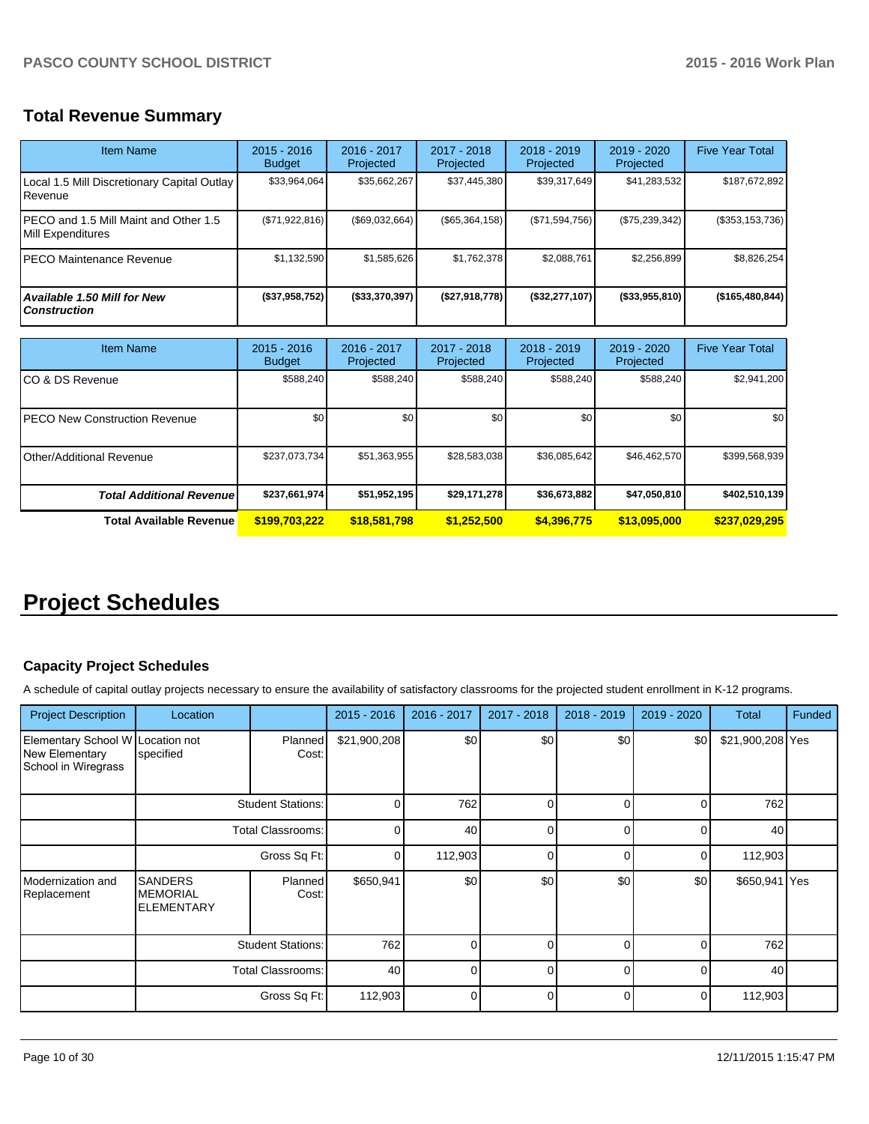# **Total Revenue Summary**

| <b>Item Name</b>                                           | $2015 - 2016$<br><b>Budget</b> | 2016 - 2017<br>Projected   | 2017 - 2018<br>Projected | $2018 - 2019$<br>Projected | $2019 - 2020$<br>Projected | <b>Five Year Total</b> |
|------------------------------------------------------------|--------------------------------|----------------------------|--------------------------|----------------------------|----------------------------|------------------------|
| Local 1.5 Mill Discretionary Capital Outlay<br>Revenue     | \$33,964,064                   | \$35,662,267               | \$37,445,380             | \$39,317,649               | \$41,283,532               | \$187,672,892          |
| PECO and 1.5 Mill Maint and Other 1.5<br>Mill Expenditures | (\$71,922,816)                 | (\$69,032,664)             | (\$65,364,158)           | (\$71,594,756)             | (\$75,239,342)             | (\$353, 153, 736)      |
| IPECO Maintenance Revenue                                  | \$1,132,590                    | \$1,585,626                | \$1,762,378              | \$2,088,761                | \$2,256,899                | \$8,826,254            |
| <b>Available 1.50 Mill for New</b><br><b>Construction</b>  | (\$37,958,752)                 | (\$33,370,397)             | (\$27,918,778)           | (\$32,277,107)             | $($ \$33,955,810)          | (\$165,480,844)        |
| <b>Item Name</b>                                           | $2015 - 2016$<br><b>Budget</b> | $2016 - 2017$<br>Projected | 2017 - 2018<br>Projected | $2018 - 2019$<br>Projected | 2019 - 2020<br>Projected   | <b>Five Year Total</b> |
| ICO & DS Revenue                                           | \$588,240                      | \$588,240                  | \$588.240                | \$588,240                  | \$588,240                  | \$2,941,200            |
| <b>PECO New Construction Revenue</b>                       | \$0                            | \$0                        | \$0                      | \$0                        | \$0                        | \$0                    |
| Other/Additional Revenue                                   | \$237,073,734                  | \$51,363,955               | \$28,583,038             | \$36,085,642               | \$46,462,570               | \$399,568,939          |
| <b>Total Additional Revenuel</b>                           | \$237,661,974                  | \$51,952,195               | \$29,171,278             | \$36,673,882               | \$47,050,810               | \$402,510,139          |

# **Project Schedules**

# **Capacity Project Schedules**

A schedule of capital outlay projects necessary to ensure the availability of satisfactory classrooms for the projected student enrollment in K-12 programs.

**Total Available Revenue \$199,703,222 \$18,581,798 \$1,252,500 \$4,396,775 \$13,095,000 \$237,029,295**

| <b>Project Description</b>                                                | Location                                               |                          | $2015 - 2016$ | 2016 - 2017  | 2017 - 2018  | 2018 - 2019 | 2019 - 2020 | <b>Total</b>     | Funded |
|---------------------------------------------------------------------------|--------------------------------------------------------|--------------------------|---------------|--------------|--------------|-------------|-------------|------------------|--------|
| Elementary School W Location not<br>New Elementary<br>School in Wiregrass | specified                                              | Planned<br>Cost:         | \$21,900,208  | \$0          | \$0          | \$0         | \$0         | \$21,900,208 Yes |        |
|                                                                           |                                                        | <b>Student Stations:</b> | 0             | 762          | 0            | U           | 0           | 762              |        |
|                                                                           |                                                        | <b>Total Classrooms:</b> | $\Omega$      | 40           | $\Omega$     | U           | $\Omega$    | 40               |        |
|                                                                           | Gross Sq Ft:                                           |                          | 0             | 112,903      | $\Omega$     | U           | 0           | 112,903          |        |
| Modernization and<br>Replacement                                          | <b>SANDERS</b><br><b>MEMORIAL</b><br><b>ELEMENTARY</b> | Planned<br>Cost:         | \$650,941     | \$0          | \$0          | \$0         | \$0         | \$650,941 Yes    |        |
|                                                                           | <b>Student Stations:</b>                               |                          | 762           | U            | <sup>0</sup> | U           | $\Omega$    | 762              |        |
|                                                                           |                                                        | <b>Total Classrooms:</b> | 40            | <sup>0</sup> | $\Omega$     | $\Omega$    | $\Omega$    | 40               |        |
|                                                                           |                                                        | Gross Sq Ft:             | 112,903       | $\Omega$     | $\Omega$     | U           | 0           | 112,903          |        |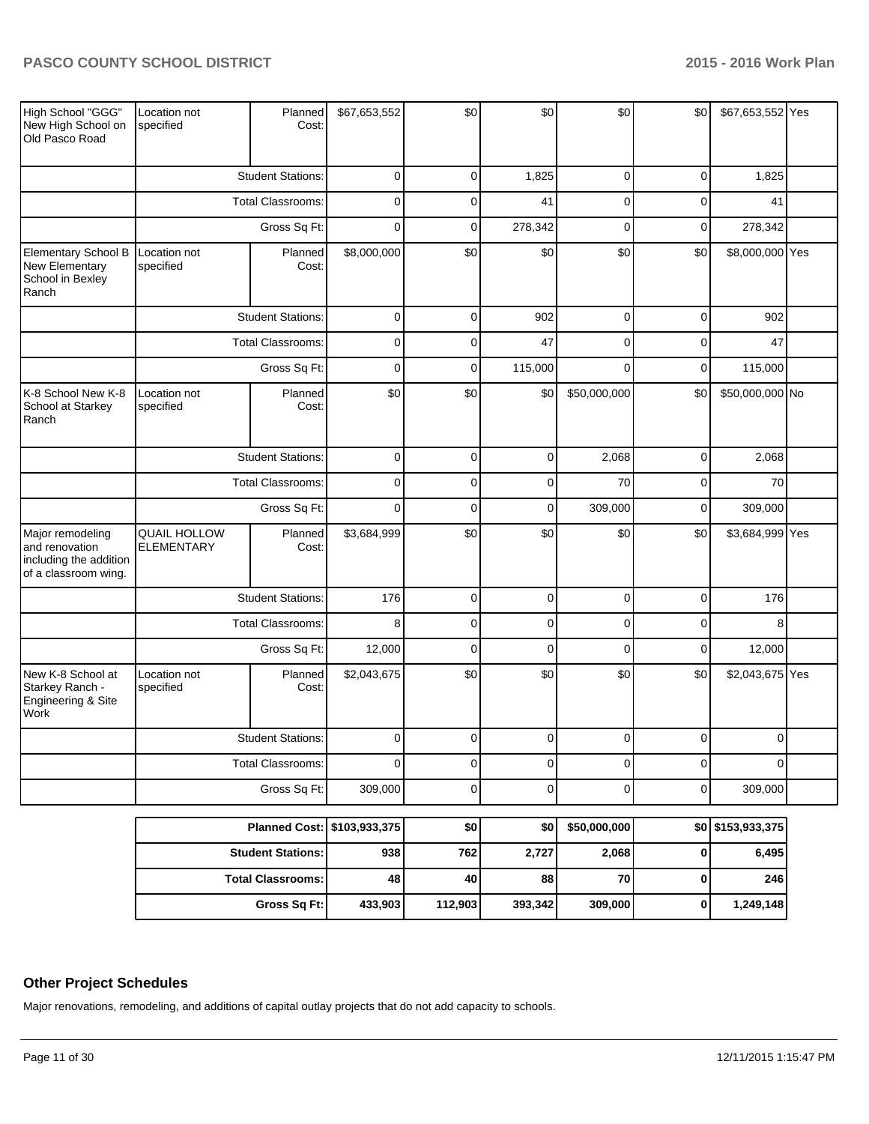| High School "GGG"<br>New High School on<br>Old Pasco Road                                              | Location not<br>specified                            | Planned<br>Cost:         | \$67,653,552   | \$0         | \$0         | \$0          | \$0            | \$67,653,552 Yes |  |
|--------------------------------------------------------------------------------------------------------|------------------------------------------------------|--------------------------|----------------|-------------|-------------|--------------|----------------|------------------|--|
|                                                                                                        |                                                      | <b>Student Stations:</b> | $\pmb{0}$      | $\mathbf 0$ | 1,825       | $\mathbf 0$  | $\mathbf 0$    | 1,825            |  |
|                                                                                                        |                                                      | <b>Total Classrooms:</b> | $\mathbf 0$    | $\Omega$    | 41          | $\mathbf 0$  | $\mathbf 0$    | 41               |  |
|                                                                                                        |                                                      | Gross Sq Ft:             | $\mathbf 0$    | $\mathbf 0$ | 278,342     | $\mathbf 0$  | $\mathbf 0$    | 278,342          |  |
| Elementary School B<br>Location not<br><b>New Elementary</b><br>specified<br>School in Bexley<br>Ranch |                                                      | Planned<br>Cost:         | \$8,000,000    | \$0         | \$0         | \$0          | \$0            | \$8,000,000 Yes  |  |
|                                                                                                        | <b>Student Stations:</b>                             |                          | $\mathbf 0$    | $\mathbf 0$ | 902         | $\mathbf 0$  | $\overline{0}$ | 902              |  |
|                                                                                                        |                                                      | <b>Total Classrooms:</b> | $\mathbf 0$    | $\mathbf 0$ | 47          | $\mathbf 0$  | $\mathbf 0$    | 47               |  |
|                                                                                                        |                                                      | Gross Sq Ft:             | $\mathbf 0$    | $\mathbf 0$ | 115,000     | $\mathbf 0$  | $\mathbf 0$    | 115,000          |  |
| K-8 School New K-8<br>School at Starkey<br>Ranch                                                       | Location not<br>specified                            | Planned<br>Cost:         | \$0            | \$0         | \$0         | \$50,000,000 | \$0            | \$50,000,000 No  |  |
|                                                                                                        | <b>Student Stations:</b><br><b>Total Classrooms:</b> |                          | $\mathbf 0$    | $\mathbf 0$ | $\mathbf 0$ | 2,068        | $\pmb{0}$      | 2,068            |  |
|                                                                                                        |                                                      |                          | $\mathbf 0$    | $\mathbf 0$ | $\mathbf 0$ | 70           | $\mathbf 0$    | 70               |  |
|                                                                                                        |                                                      | Gross Sq Ft:             | $\mathbf 0$    | $\mathbf 0$ | $\mathbf 0$ | 309,000      | $\mathbf 0$    | 309,000          |  |
| Major remodeling<br>and renovation<br>including the addition<br>of a classroom wing.                   | <b>QUAIL HOLLOW</b><br><b>ELEMENTARY</b>             | Planned<br>Cost:         | \$3,684,999    | \$0         | \$0         | \$0          | \$0            | \$3,684,999 Yes  |  |
|                                                                                                        |                                                      | <b>Student Stations:</b> | 176            | $\mathbf 0$ | $\mathbf 0$ | $\mathbf 0$  | $\mathbf 0$    | 176              |  |
|                                                                                                        |                                                      | <b>Total Classrooms:</b> | 8              | $\mathbf 0$ | $\mathbf 0$ | $\mathbf 0$  | $\mathbf 0$    | 8                |  |
|                                                                                                        |                                                      | Gross Sq Ft:             | 12,000         | $\mathbf 0$ | $\mathbf 0$ | $\mathbf 0$  | $\mathbf 0$    | 12,000           |  |
| New K-8 School at<br>Starkey Ranch -<br>Engineering & Site<br>Work                                     | Location not<br>specified                            | Planned<br>Cost:         | \$2,043,675    | \$0         | \$0         | \$0          | \$0            | \$2,043,675 Yes  |  |
|                                                                                                        |                                                      | <b>Student Stations:</b> | $\mathbf 0$    | $\mathbf 0$ | $\mathbf 0$ | $\mathbf 0$  | $\mathbf 0$    | $\mathbf 0$      |  |
|                                                                                                        |                                                      | <b>Total Classrooms:</b> | $\overline{0}$ | $\mathbf 0$ | $\mathbf 0$ | $\mathbf 0$  | $\mathbf 0$    | $\Omega$         |  |
|                                                                                                        |                                                      | Gross Sq Ft:             | 309,000        | $\mathbf 0$ | $\mathbf 0$ | $\mathbf 0$  | $\pmb{0}$      | 309,000          |  |

| Planned Cost:   \$103,933,375 |         | \$0     | \$0     | \$50,000,000 | \$0 \$153,933,375 |
|-------------------------------|---------|---------|---------|--------------|-------------------|
| <b>Student Stations:</b>      | 938     | 762     | 2,727   | 2,068        | 6,495             |
| <b>Total Classrooms:</b>      | 48      | 40      | 88      | 70 I         | 246               |
| Gross Sq Ft:                  | 433,903 | 112,903 | 393,342 | 309,000      | 1,249,148         |

## **Other Project Schedules**

Major renovations, remodeling, and additions of capital outlay projects that do not add capacity to schools.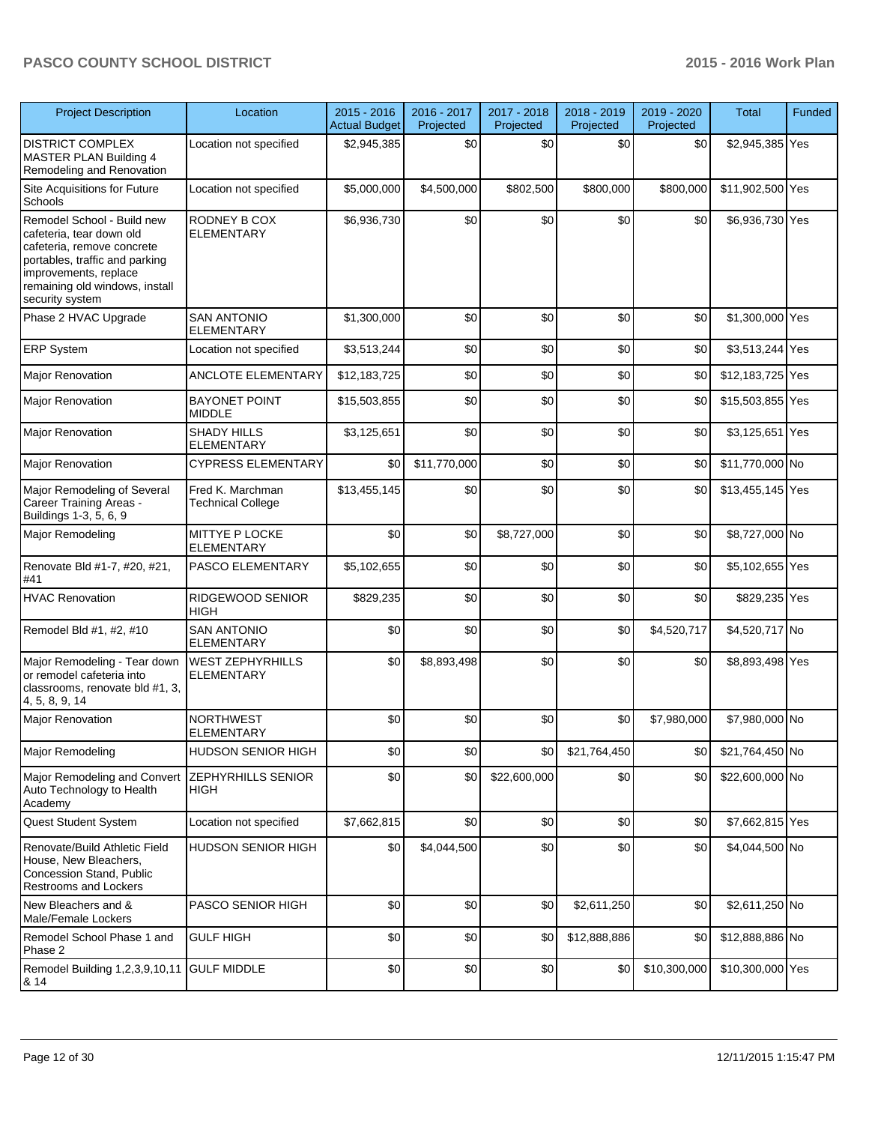| <b>Project Description</b>                                                                                                                                                                           | Location                                     | $2015 - 2016$<br><b>Actual Budget</b> | 2016 - 2017<br>Projected | 2017 - 2018<br>Projected | 2018 - 2019<br>Projected | 2019 - 2020<br>Projected | <b>Total</b>     | Funded |
|------------------------------------------------------------------------------------------------------------------------------------------------------------------------------------------------------|----------------------------------------------|---------------------------------------|--------------------------|--------------------------|--------------------------|--------------------------|------------------|--------|
| <b>DISTRICT COMPLEX</b><br>MASTER PLAN Building 4<br>Remodeling and Renovation                                                                                                                       | Location not specified                       | \$2,945,385                           | \$0                      | \$0                      | \$0                      | \$0                      | \$2,945,385 Yes  |        |
| Site Acquisitions for Future<br>Schools                                                                                                                                                              | Location not specified                       | \$5,000,000                           | \$4,500,000              | \$802,500                | \$800,000                | \$800,000                | \$11,902,500 Yes |        |
| Remodel School - Build new<br>cafeteria, tear down old<br>cafeteria, remove concrete<br>portables, traffic and parking<br>improvements, replace<br>remaining old windows, install<br>security system | RODNEY B COX<br><b>ELEMENTARY</b>            | \$6,936,730                           | \$0                      | \$0                      | \$0                      | \$0                      | \$6,936,730 Yes  |        |
| Phase 2 HVAC Upgrade                                                                                                                                                                                 | <b>SAN ANTONIO</b><br><b>ELEMENTARY</b>      | \$1,300,000                           | \$0                      | \$0                      | \$0                      | \$0                      | \$1,300,000 Yes  |        |
| <b>ERP System</b>                                                                                                                                                                                    | Location not specified                       | \$3,513,244                           | \$0                      | \$0                      | \$0                      | \$0                      | \$3,513,244 Yes  |        |
| <b>Major Renovation</b>                                                                                                                                                                              | <b>ANCLOTE ELEMENTARY</b>                    | \$12,183,725                          | \$0                      | \$0                      | \$0                      | \$0                      | \$12,183,725 Yes |        |
| <b>Major Renovation</b>                                                                                                                                                                              | <b>BAYONET POINT</b><br><b>MIDDLE</b>        | \$15,503,855                          | \$0                      | \$0                      | \$0                      | \$0                      | \$15,503,855 Yes |        |
| Major Renovation                                                                                                                                                                                     | <b>SHADY HILLS</b><br><b>ELEMENTARY</b>      | \$3,125,651                           | \$0                      | \$0                      | \$0                      | \$0                      | \$3,125,651 Yes  |        |
| <b>Major Renovation</b>                                                                                                                                                                              | <b>CYPRESS ELEMENTARY</b>                    | \$0                                   | \$11,770,000             | \$0                      | \$0                      | \$0                      | \$11,770,000 No  |        |
| Major Remodeling of Several<br>Career Training Areas -<br>Buildings 1-3, 5, 6, 9                                                                                                                     | Fred K. Marchman<br><b>Technical College</b> | \$13,455,145                          | \$0                      | \$0                      | \$0                      | \$0                      | \$13,455,145 Yes |        |
| Major Remodeling                                                                                                                                                                                     | MITTYE P LOCKE<br><b>ELEMENTARY</b>          | \$0                                   | \$0                      | \$8,727,000              | \$0                      | \$0                      | \$8,727,000 No   |        |
| Renovate Bld #1-7, #20, #21,<br>#41                                                                                                                                                                  | <b>PASCO ELEMENTARY</b>                      | \$5,102,655                           | \$0                      | \$0                      | \$0                      | \$0                      | \$5,102,655 Yes  |        |
| <b>HVAC Renovation</b>                                                                                                                                                                               | RIDGEWOOD SENIOR<br><b>HIGH</b>              | \$829,235                             | \$0                      | \$0                      | \$0                      | \$0                      | \$829,235 Yes    |        |
| Remodel Bld #1, #2, #10                                                                                                                                                                              | <b>SAN ANTONIO</b><br><b>ELEMENTARY</b>      | \$0                                   | \$0                      | \$0                      | \$0                      | \$4,520,717              | \$4,520,717 No   |        |
| Major Remodeling - Tear down<br>or remodel cafeteria into<br>classrooms, renovate bld #1, 3,<br>4, 5, 8, 9, 14                                                                                       | <b>WEST ZEPHYRHILLS</b><br><b>ELEMENTARY</b> | \$0                                   | \$8,893,498              | \$0                      | \$0                      | \$0                      | \$8,893,498 Yes  |        |
| <b>Maior Renovation</b>                                                                                                                                                                              | <b>NORTHWEST</b><br><b>ELEMENTARY</b>        | \$0                                   | \$0                      | \$0                      | \$0                      | \$7,980,000              | \$7,980,000 No   |        |
| Major Remodeling                                                                                                                                                                                     | <b>HUDSON SENIOR HIGH</b>                    | \$0                                   | \$0                      | \$0                      | \$21,764,450             | \$0                      | \$21,764,450 No  |        |
| Major Remodeling and Convert<br>Auto Technology to Health<br>Academy                                                                                                                                 | <b>ZEPHYRHILLS SENIOR</b><br><b>HIGH</b>     | \$0                                   | \$0                      | \$22,600,000             | \$0                      | \$0                      | \$22,600,000 No  |        |
| Quest Student System                                                                                                                                                                                 | Location not specified                       | \$7,662,815                           | \$0                      | \$0                      | \$0                      | \$0                      | \$7,662,815 Yes  |        |
| Renovate/Build Athletic Field<br>House, New Bleachers,<br>Concession Stand, Public<br><b>Restrooms and Lockers</b>                                                                                   | <b>HUDSON SENIOR HIGH</b>                    | \$0                                   | \$4,044,500              | \$0                      | \$0                      | \$0                      | \$4,044,500 No   |        |
| New Bleachers and &<br>Male/Female Lockers                                                                                                                                                           | PASCO SENIOR HIGH                            | \$0                                   | \$0                      | \$0                      | \$2,611,250              | \$0                      | \$2,611,250 No   |        |
| Remodel School Phase 1 and<br>Phase 2                                                                                                                                                                | <b>GULF HIGH</b>                             | \$0                                   | \$0                      | \$0                      | \$12,888,886             | \$0                      | \$12,888,886 No  |        |
| Remodel Building 1,2,3,9,10,11<br>8.14                                                                                                                                                               | <b>GULF MIDDLE</b>                           | \$0                                   | \$0                      | \$0                      | \$0                      | \$10,300,000             | \$10,300,000 Yes |        |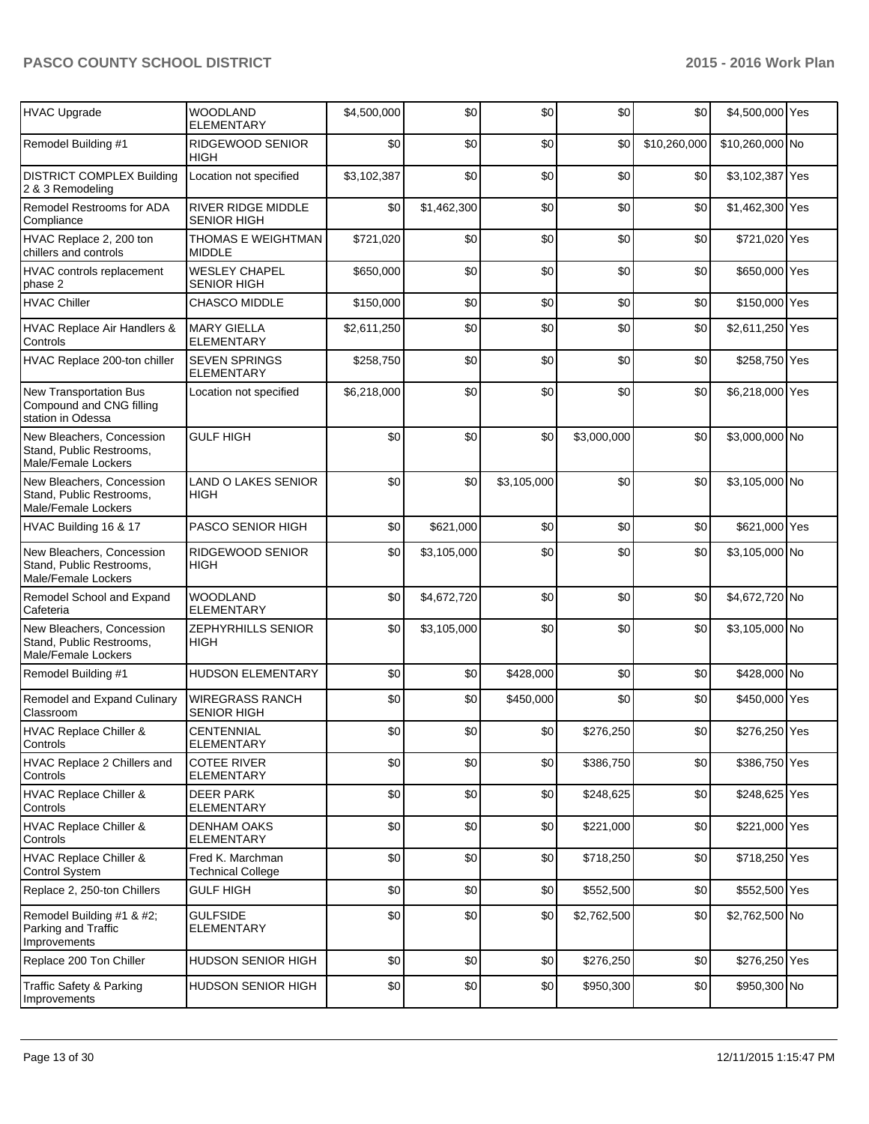| HVAC Upgrade                                                                 | <b>WOODLAND</b><br><b>ELEMENTARY</b>            | \$4,500,000 | \$0         | \$0         | \$0         | \$0          | \$4,500,000 Yes |  |
|------------------------------------------------------------------------------|-------------------------------------------------|-------------|-------------|-------------|-------------|--------------|-----------------|--|
| Remodel Building #1                                                          | RIDGEWOOD SENIOR<br><b>HIGH</b>                 | \$0         | \$0         | \$0         | \$0         | \$10,260,000 | \$10,260,000 No |  |
| <b>DISTRICT COMPLEX Building</b><br>2 & 3 Remodeling                         | Location not specified                          | \$3,102,387 | \$0         | \$0         | \$0         | \$0          | \$3,102,387 Yes |  |
| Remodel Restrooms for ADA<br>Compliance                                      | <b>RIVER RIDGE MIDDLE</b><br><b>SENIOR HIGH</b> | \$0         | \$1,462,300 | \$0         | \$0         | \$0          | \$1,462,300 Yes |  |
| HVAC Replace 2, 200 ton<br>chillers and controls                             | <b>THOMAS E WEIGHTMAN</b><br><b>MIDDLE</b>      | \$721,020   | \$0         | \$0         | \$0         | \$0          | \$721,020 Yes   |  |
| HVAC controls replacement<br>phase 2                                         | <b>WESLEY CHAPEL</b><br><b>SENIOR HIGH</b>      | \$650,000   | \$0         | \$0         | \$0         | \$0          | \$650,000 Yes   |  |
| <b>HVAC Chiller</b>                                                          | <b>CHASCO MIDDLE</b>                            | \$150,000   | \$0         | \$0         | \$0         | \$0          | \$150,000 Yes   |  |
| <b>HVAC Replace Air Handlers &amp;</b><br>Controls                           | <b>MARY GIELLA</b><br><b>ELEMENTARY</b>         | \$2,611,250 | \$0         | \$0         | \$0         | \$0          | \$2,611,250 Yes |  |
| HVAC Replace 200-ton chiller                                                 | <b>SEVEN SPRINGS</b><br><b>ELEMENTARY</b>       | \$258,750   | \$0         | \$0         | \$0         | \$0          | \$258,750 Yes   |  |
| New Transportation Bus<br>Compound and CNG filling<br>station in Odessa      | Location not specified                          | \$6,218,000 | \$0         | \$0         | \$0         | \$0          | \$6,218,000 Yes |  |
| New Bleachers, Concession<br>Stand, Public Restrooms,<br>Male/Female Lockers | <b>GULF HIGH</b>                                | \$0         | \$0         | \$0         | \$3,000,000 | \$0          | \$3,000,000 No  |  |
| New Bleachers, Concession<br>Stand, Public Restrooms,<br>Male/Female Lockers | <b>LAND O LAKES SENIOR</b><br><b>HIGH</b>       | \$0         | \$0         | \$3,105,000 | \$0         | \$0          | \$3,105,000 No  |  |
| HVAC Building 16 & 17                                                        | PASCO SENIOR HIGH                               | \$0         | \$621,000   | \$0         | \$0         | \$0          | \$621,000 Yes   |  |
| New Bleachers, Concession<br>Stand, Public Restrooms,<br>Male/Female Lockers | RIDGEWOOD SENIOR<br><b>HIGH</b>                 | \$0         | \$3,105,000 | \$0         | \$0         | \$0          | \$3,105,000 No  |  |
| Remodel School and Expand<br>Cafeteria                                       | <b>WOODLAND</b><br><b>ELEMENTARY</b>            | \$0         | \$4,672,720 | \$0         | \$0         | \$0          | \$4,672,720 No  |  |
| New Bleachers, Concession<br>Stand, Public Restrooms,<br>Male/Female Lockers | ZEPHYRHILLS SENIOR<br><b>HIGH</b>               | \$0         | \$3,105,000 | \$0         | \$0         | \$0          | \$3,105,000 No  |  |
| Remodel Building #1                                                          | <b>HUDSON ELEMENTARY</b>                        | \$0         | \$0         | \$428,000   | \$0         | \$0          | \$428,000 No    |  |
| Remodel and Expand Culinary<br>Classroom                                     | <b>WIREGRASS RANCH</b><br><b>SENIOR HIGH</b>    | \$0         | \$0         | \$450,000   | \$0         | \$0          | \$450,000 Yes   |  |
| HVAC Replace Chiller &<br>Controls                                           | <b>CENTENNIAL</b><br><b>ELEMENTARY</b>          | \$0         | \$0         | \$0         | \$276,250   | \$0          | \$276,250 Yes   |  |
| HVAC Replace 2 Chillers and<br>Controls                                      | <b>COTEE RIVER</b><br><b>ELEMENTARY</b>         | \$0         | \$0         | \$0         | \$386,750   | \$0          | \$386,750 Yes   |  |
| <b>HVAC Replace Chiller &amp;</b><br>Controls                                | <b>DEER PARK</b><br>ELEMENTARY                  | \$0         | \$0         | \$0         | \$248,625   | \$0          | \$248,625 Yes   |  |
| <b>HVAC Replace Chiller &amp;</b><br>Controls                                | <b>DENHAM OAKS</b><br>ELEMENTARY                | \$0         | \$0         | \$0         | \$221,000   | \$0          | \$221,000 Yes   |  |
| <b>HVAC Replace Chiller &amp;</b><br><b>Control System</b>                   | Fred K. Marchman<br><b>Technical College</b>    | \$0         | \$0         | \$0         | \$718,250   | \$0          | \$718,250 Yes   |  |
| Replace 2, 250-ton Chillers                                                  | <b>GULF HIGH</b>                                | \$0         | \$0         | \$0         | \$552,500   | \$0          | \$552,500 Yes   |  |
| Remodel Building #1 & #2;<br>Parking and Traffic<br>Improvements             | <b>GULFSIDE</b><br>ELEMENTARY                   | \$0         | \$0         | \$0         | \$2,762,500 | \$0          | \$2,762,500 No  |  |
| Replace 200 Ton Chiller                                                      | HUDSON SENIOR HIGH                              | \$0         | \$0         | \$0         | \$276,250   | \$0          | \$276,250 Yes   |  |
| Traffic Safety & Parking<br>Improvements                                     | HUDSON SENIOR HIGH                              | \$0         | \$0         | \$0         | \$950,300   | \$0          | \$950,300 No    |  |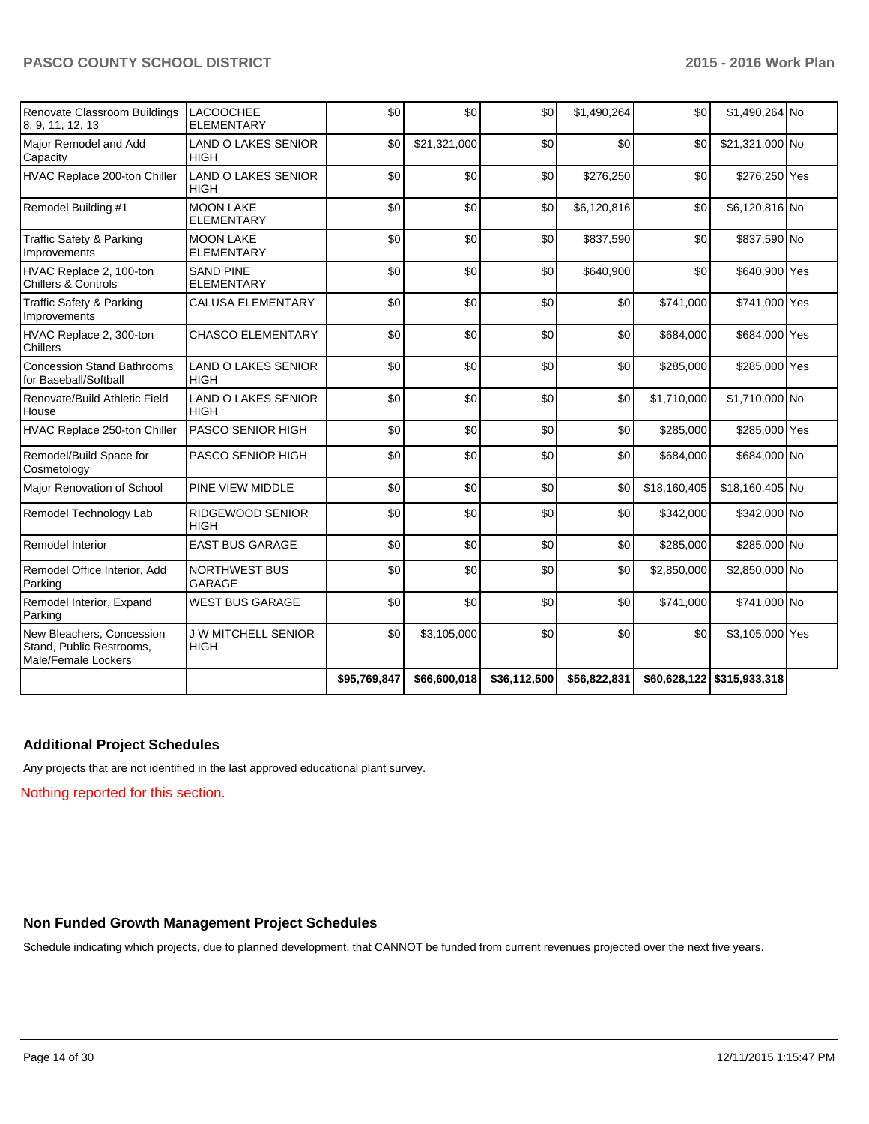| Renovate Classroom Buildings<br>8, 9, 11, 12, 13                             | <b>LACOOCHEE</b><br><b>ELEMENTARY</b>     | \$0          | \$0           | \$0          | \$1,490,264  | \$0          | \$1,490,264 No             |  |
|------------------------------------------------------------------------------|-------------------------------------------|--------------|---------------|--------------|--------------|--------------|----------------------------|--|
| Major Remodel and Add<br>Capacity                                            | <b>LAND O LAKES SENIOR</b><br><b>HIGH</b> | \$0          | \$21,321,000  | \$0          | \$0          | \$0          | \$21,321,000 No            |  |
| HVAC Replace 200-ton Chiller                                                 | <b>LAND O LAKES SENIOR</b><br><b>HIGH</b> | \$0          | \$0           | \$0          | \$276,250    | \$0          | \$276,250 Yes              |  |
| Remodel Building #1                                                          | <b>MOON LAKE</b><br><b>ELEMENTARY</b>     | \$0          | \$0           | \$0          | \$6,120,816  | \$0          | \$6,120,816 No             |  |
| Traffic Safety & Parking<br>Improvements                                     | <b>MOON LAKE</b><br><b>ELEMENTARY</b>     | \$0          | \$0           | \$0          | \$837,590    | \$0          | \$837,590 No               |  |
| HVAC Replace 2, 100-ton<br><b>Chillers &amp; Controls</b>                    | <b>SAND PINE</b><br><b>ELEMENTARY</b>     | \$0          | \$0           | \$0          | \$640,900    | \$0          | \$640,900 Yes              |  |
| Traffic Safety & Parking<br>Improvements                                     | <b>CALUSA ELEMENTARY</b>                  | \$0          | \$0           | \$0          | \$0          | \$741,000    | \$741,000 Yes              |  |
| HVAC Replace 2, 300-ton<br>Chillers                                          | <b>CHASCO ELEMENTARY</b>                  | \$0          | \$0           | \$0          | \$0          | \$684,000    | \$684,000 Yes              |  |
| <b>Concession Stand Bathrooms</b><br>for Baseball/Softball                   | <b>LAND O LAKES SENIOR</b><br><b>HIGH</b> | \$0          | \$0           | \$0          | \$0          | \$285,000    | \$285,000 Yes              |  |
| Renovate/Build Athletic Field<br>House                                       | <b>LAND O LAKES SENIOR</b><br><b>HIGH</b> | \$0          | \$0           | \$0          | \$0          | \$1,710,000  | \$1,710,000 No             |  |
| HVAC Replace 250-ton Chiller                                                 | <b>PASCO SENIOR HIGH</b>                  | \$0          | \$0           | \$0          | \$0          | \$285,000    | \$285,000 Yes              |  |
| Remodel/Build Space for<br>Cosmetology                                       | <b>PASCO SENIOR HIGH</b>                  | \$0          | \$0           | \$0          | \$0          | \$684,000    | \$684,000 No               |  |
| Major Renovation of School                                                   | <b>PINE VIEW MIDDLE</b>                   | \$0          | \$0           | \$0          | \$0          | \$18,160,405 | \$18,160,405 No            |  |
| Remodel Technology Lab                                                       | <b>RIDGEWOOD SENIOR</b><br><b>HIGH</b>    | \$0          | \$0           | \$0          | \$0          | \$342,000    | \$342,000 No               |  |
| Remodel Interior                                                             | <b>EAST BUS GARAGE</b>                    | \$0          | \$0           | \$0          | \$0          | \$285,000    | \$285,000 No               |  |
| Remodel Office Interior, Add<br>Parking                                      | <b>NORTHWEST BUS</b><br><b>GARAGE</b>     | \$0          | \$0           | \$0          | \$0          | \$2,850,000  | \$2,850,000 No             |  |
| Remodel Interior, Expand<br>Parking                                          | <b>WEST BUS GARAGE</b>                    | \$0          | \$0           | \$0          | \$0          | \$741,000    | \$741,000 No               |  |
| New Bleachers, Concession<br>Stand, Public Restrooms,<br>Male/Female Lockers | <b>J W MITCHELL SENIOR</b><br><b>HIGH</b> | \$0          | \$3,105,000   | \$0          | \$0          | \$0          | \$3,105,000 Yes            |  |
|                                                                              |                                           | \$95,769,847 | \$66,600,018] | \$36,112,500 | \$56,822,831 |              | \$60,628,122 \$315,933,318 |  |

## **Additional Project Schedules**

Any projects that are not identified in the last approved educational plant survey.

Nothing reported for this section.

## **Non Funded Growth Management Project Schedules**

Schedule indicating which projects, due to planned development, that CANNOT be funded from current revenues projected over the next five years.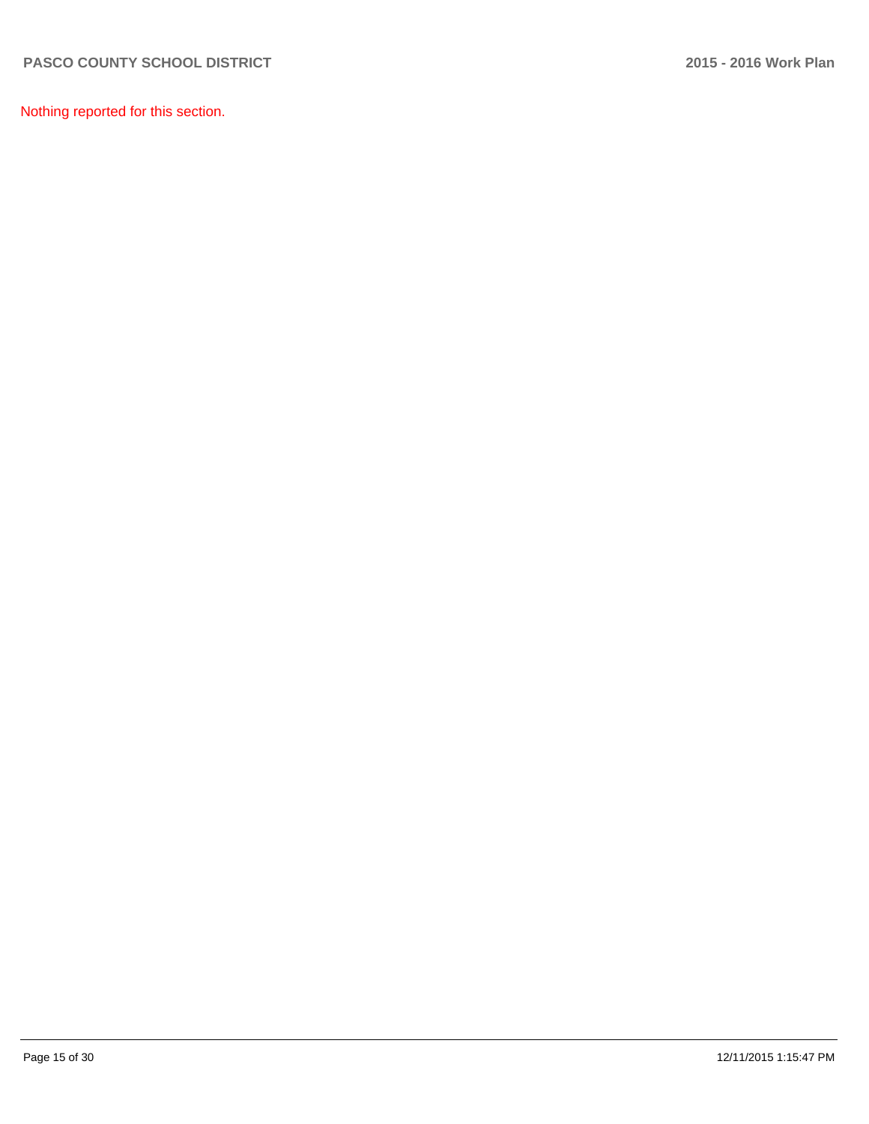Nothing reported for this section.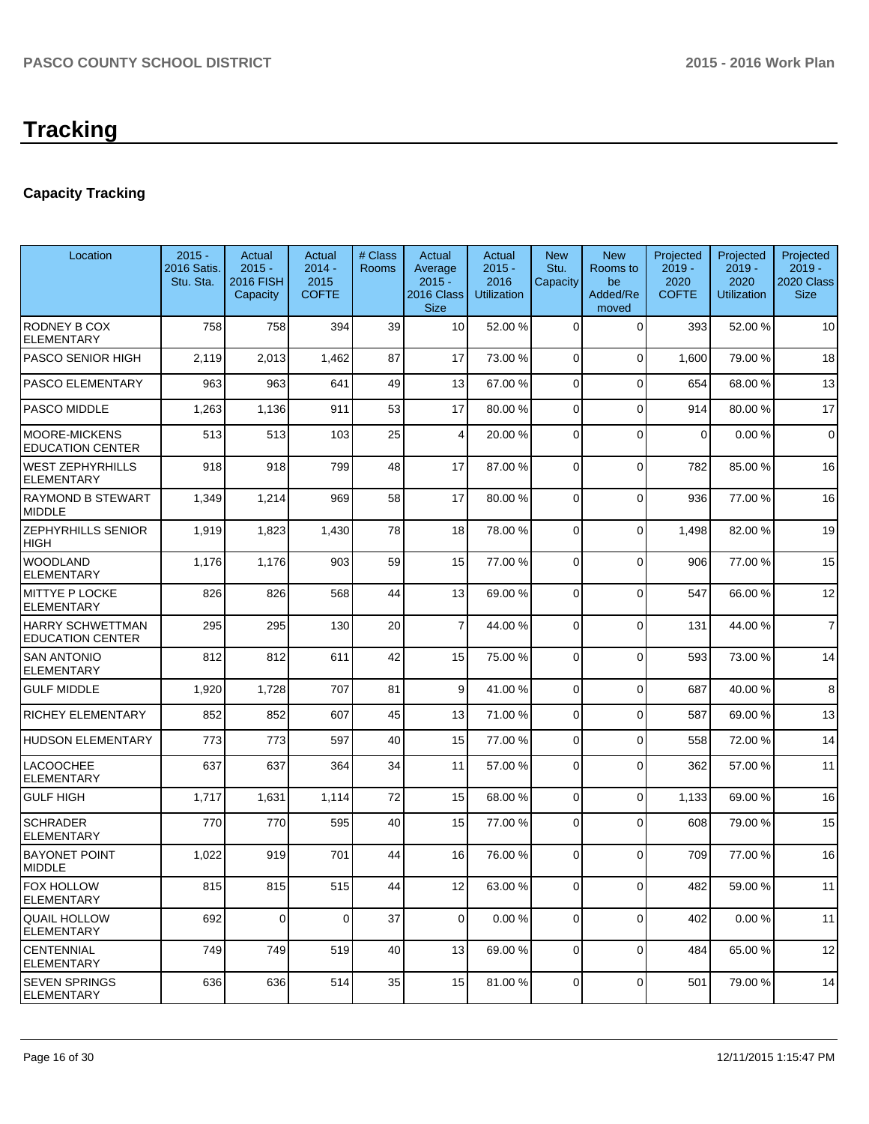# **Capacity Tracking**

| Location                                           | $2015 -$<br>2016 Satis.<br>Stu. Sta. | Actual<br>$2015 -$<br><b>2016 FISH</b><br>Capacity | Actual<br>$2014 -$<br>2015<br><b>COFTE</b> | # Class<br>Rooms | Actual<br>Average<br>$2015 -$<br>2016 Class<br><b>Size</b> | Actual<br>$2015 -$<br>2016<br><b>Utilization</b> | <b>New</b><br>Stu.<br>Capacity | <b>New</b><br>Rooms to<br>be<br>Added/Re<br>moved | Projected<br>$2019 -$<br>2020<br><b>COFTE</b> | Projected<br>$2019 -$<br>2020<br><b>Utilization</b> | Projected<br>$2019 -$<br>2020 Class<br><b>Size</b> |
|----------------------------------------------------|--------------------------------------|----------------------------------------------------|--------------------------------------------|------------------|------------------------------------------------------------|--------------------------------------------------|--------------------------------|---------------------------------------------------|-----------------------------------------------|-----------------------------------------------------|----------------------------------------------------|
| RODNEY B COX<br><b>ELEMENTARY</b>                  | 758                                  | 758                                                | 394                                        | 39               | 10 <sup>1</sup>                                            | 52.00 %                                          | $\Omega$                       | $\Omega$                                          | 393                                           | 52.00 %                                             | 10                                                 |
| <b>PASCO SENIOR HIGH</b>                           | 2,119                                | 2,013                                              | 1,462                                      | 87               | 17                                                         | 73.00 %                                          | $\overline{0}$                 | $\Omega$                                          | 1,600                                         | 79.00 %                                             | 18                                                 |
| PASCO ELEMENTARY                                   | 963                                  | 963                                                | 641                                        | 49               | 13                                                         | 67.00 %                                          | 0                              | $\Omega$                                          | 654                                           | 68.00%                                              | 13                                                 |
| PASCO MIDDLE                                       | 1,263                                | 1,136                                              | 911                                        | 53               | 17                                                         | 80.00 %                                          | 0                              | $\Omega$                                          | 914                                           | 80.00 %                                             | 17                                                 |
| <b>MOORE-MICKENS</b><br><b>EDUCATION CENTER</b>    | 513                                  | 513                                                | 103                                        | 25               | $\vert$                                                    | 20.00 %                                          | $\overline{0}$                 | $\Omega$                                          | 0                                             | 0.00%                                               | $\mathbf 0$                                        |
| <b>WEST ZEPHYRHILLS</b><br><b>ELEMENTARY</b>       | 918                                  | 918                                                | 799                                        | 48               | 17                                                         | 87.00 %                                          | 0                              | $\Omega$                                          | 782                                           | 85.00 %                                             | 16                                                 |
| <b>RAYMOND B STEWART</b><br><b>MIDDLE</b>          | 1,349                                | 1,214                                              | 969                                        | 58               | 17                                                         | 80.00 %                                          | 0                              | $\Omega$                                          | 936                                           | 77.00 %                                             | 16                                                 |
| ZEPHYRHILLS SENIOR<br>HIGH                         | 1,919                                | 1,823                                              | 1,430                                      | 78               | 18                                                         | 78.00 %                                          | 0                              | $\Omega$                                          | 1,498                                         | 82.00 %                                             | 19                                                 |
| <b>WOODLAND</b><br><b>ELEMENTARY</b>               | 1,176                                | 1,176                                              | 903                                        | 59               | 15                                                         | 77.00 %                                          | 0                              | $\Omega$                                          | 906                                           | 77.00 %                                             | 15                                                 |
| <b>MITTYE P LOCKE</b><br>ELEMENTARY                | 826                                  | 826                                                | 568                                        | 44               | 13                                                         | 69.00 %                                          | 0                              | $\Omega$                                          | 547                                           | 66.00 %                                             | 12                                                 |
| <b>HARRY SCHWETTMAN</b><br><b>EDUCATION CENTER</b> | 295                                  | 295                                                | 130                                        | 20               | $\overline{7}$                                             | 44.00 %                                          | 0                              | $\Omega$                                          | 131                                           | 44.00%                                              | $\overline{7}$                                     |
| <b>SAN ANTONIO</b><br><b>ELEMENTARY</b>            | 812                                  | 812                                                | 611                                        | 42               | 15                                                         | 75.00 %                                          | 0                              | $\Omega$                                          | 593                                           | 73.00 %                                             | 14                                                 |
| <b>GULF MIDDLE</b>                                 | 1,920                                | 1,728                                              | 707                                        | 81               | $\vert 9 \vert$                                            | 41.00 %                                          | $\Omega$                       | $\Omega$                                          | 687                                           | 40.00%                                              | 8                                                  |
| RICHEY ELEMENTARY                                  | 852                                  | 852                                                | 607                                        | 45               | 13                                                         | 71.00 %                                          | 0                              | $\Omega$                                          | 587                                           | 69.00 %                                             | 13                                                 |
| <b>HUDSON ELEMENTARY</b>                           | 773                                  | 773                                                | 597                                        | 40               | 15                                                         | 77.00 %                                          | 0                              | $\Omega$                                          | 558                                           | 72.00 %                                             | 14                                                 |
| <b>LACOOCHEE</b><br><b>ELEMENTARY</b>              | 637                                  | 637                                                | 364                                        | 34               | 11                                                         | 57.00 %                                          | 0                              | $\Omega$                                          | 362                                           | 57.00 %                                             | 11                                                 |
| <b>GULF HIGH</b>                                   | 1,717                                | 1,631                                              | 1,114                                      | 72               | 15                                                         | 68.00 %                                          | 0                              | $\Omega$                                          | 1,133                                         | 69.00%                                              | 16                                                 |
| <b>SCHRADER</b><br><b>ELEMENTARY</b>               | 770                                  | 770                                                | 595                                        | 40               | 15                                                         | 77.00 %                                          | 0                              | $\Omega$                                          | 608                                           | 79.00 %                                             | 15                                                 |
| <b>BAYONET POINT</b><br><b>MIDDLE</b>              | 1,022                                | 919                                                | 701                                        | 44               | 16                                                         | 76.00 %                                          | $\Omega$                       | $\Omega$                                          | 709                                           | 77.00 %                                             | 16                                                 |
| FOX HOLLOW<br><b>ELEMENTARY</b>                    | 815                                  | 815                                                | 515                                        | 44               | 12                                                         | 63.00 %                                          | $\overline{0}$                 | $\overline{0}$                                    | 482                                           | 59.00 %                                             | 11                                                 |
| <b>QUAIL HOLLOW</b><br><b>ELEMENTARY</b>           | 692                                  | $\mathbf 0$                                        | $\overline{0}$                             | 37               | $\overline{0}$                                             | 0.00%                                            | 0                              | $\Omega$                                          | 402                                           | 0.00%                                               | 11                                                 |
| <b>CENTENNIAL</b><br><b>ELEMENTARY</b>             | 749                                  | 749                                                | 519                                        | 40               | 13                                                         | 69.00 %                                          | 0                              | $\Omega$                                          | 484                                           | 65.00 %                                             | 12                                                 |
| SEVEN SPRINGS<br><b>ELEMENTARY</b>                 | 636                                  | 636                                                | 514                                        | 35               | 15                                                         | 81.00 %                                          | 0                              | 0                                                 | 501                                           | 79.00 %                                             | 14                                                 |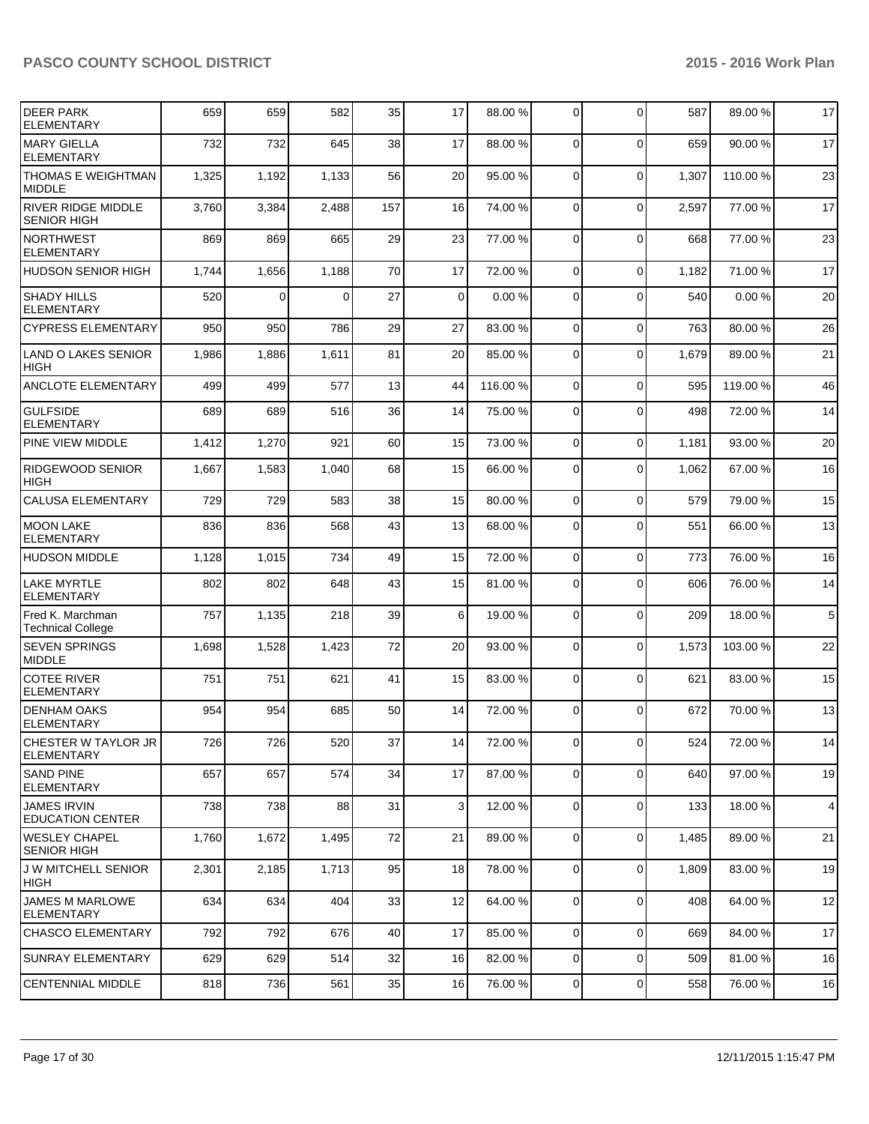| <b>DEER PARK</b><br><b>ELEMENTARY</b>           | 659   | 659   | 582      | 35  | 17             | 88.00 % | $\overline{0}$ | $\Omega$     | 587   | 89.00 %  | 17             |
|-------------------------------------------------|-------|-------|----------|-----|----------------|---------|----------------|--------------|-------|----------|----------------|
| <b>MARY GIELLA</b><br><b>ELEMENTARY</b>         | 732   | 732   | 645      | 38  | 17             | 88.00 % | $\Omega$       | $\Omega$     | 659   | 90.00%   | 17             |
| THOMAS E WEIGHTMAN<br><b>MIDDLE</b>             | 1,325 | 1,192 | 1,133    | 56  | 20             | 95.00 % | $\Omega$       | $\mathbf 0$  | 1,307 | 110.00%  | 23             |
| <b>RIVER RIDGE MIDDLE</b><br><b>SENIOR HIGH</b> | 3,760 | 3,384 | 2,488    | 157 | 16             | 74.00 % | $\Omega$       | 0            | 2,597 | 77.00 %  | 17             |
| <b>NORTHWEST</b><br><b>ELEMENTARY</b>           | 869   | 869   | 665      | 29  | 23             | 77.00 % | $\Omega$       | $\mathbf 0$  | 668   | 77.00 %  | 23             |
| HUDSON SENIOR HIGH                              | 1,744 | 1,656 | 1,188    | 70  | 17             | 72.00 % | $\Omega$       | $\mathbf{0}$ | 1,182 | 71.00%   | 17             |
| <b>SHADY HILLS</b><br><b>ELEMENTARY</b>         | 520   | 0     | $\Omega$ | 27  | $\Omega$       | 0.00%   | $\Omega$       | $\Omega$     | 540   | 0.00%    | 20             |
| <b>CYPRESS ELEMENTARY</b>                       | 950   | 950   | 786      | 29  | 27             | 83.00 % | $\Omega$       | $\mathbf 0$  | 763   | 80.00%   | 26             |
| <b>LAND O LAKES SENIOR</b><br><b>HIGH</b>       | 1,986 | 1,886 | 1,611    | 81  | 20             | 85.00 % | $\Omega$       | $\mathbf 0$  | 1,679 | 89.00 %  | 21             |
| <b>ANCLOTE ELEMENTARY</b>                       | 499   | 499   | 577      | 13  | 44             | 116.00% | $\Omega$       | $\Omega$     | 595   | 119.00%  | 46             |
| <b>GULFSIDE</b><br><b>ELEMENTARY</b>            | 689   | 689   | 516      | 36  | 14             | 75.00 % | $\Omega$       | $\Omega$     | 498   | 72.00 %  | 14             |
| PINE VIEW MIDDLE                                | 1,412 | 1,270 | 921      | 60  | 15             | 73.00 % | $\Omega$       | $\Omega$     | 1,181 | 93.00 %  | 20             |
| RIDGEWOOD SENIOR<br>HIGH                        | 1,667 | 1,583 | 1,040    | 68  | 15             | 66.00 % | $\Omega$       | $\Omega$     | 1,062 | 67.00%   | 16             |
| <b>CALUSA ELEMENTARY</b>                        | 729   | 729   | 583      | 38  | 15             | 80.00 % | $\Omega$       | $\mathbf 0$  | 579   | 79.00 %  | 15             |
| MOON LAKE<br><b>ELEMENTARY</b>                  | 836   | 836   | 568      | 43  | 13             | 68.00 % | $\Omega$       | $\Omega$     | 551   | 66.00 %  | 13             |
| HUDSON MIDDLE                                   | 1,128 | 1,015 | 734      | 49  | 15             | 72.00 % | $\Omega$       | 0            | 773   | 76.00 %  | 16             |
| LAKE MYRTLE<br><b>ELEMENTARY</b>                | 802   | 802   | 648      | 43  | 15             | 81.00 % | $\Omega$       | $\mathbf{0}$ | 606   | 76.00%   | 14             |
| Fred K. Marchman<br>Technical College           | 757   | 1,135 | 218      | 39  | 6 <sup>1</sup> | 19.00 % | $\Omega$       | $\mathbf{0}$ | 209   | 18.00%   | 5              |
| <b>SEVEN SPRINGS</b><br><b>MIDDLE</b>           | 1,698 | 1,528 | 1,423    | 72  | 20             | 93.00 % | $\Omega$       | $\Omega$     | 1,573 | 103.00 % | 22             |
| <b>COTEE RIVER</b><br><b>ELEMENTARY</b>         | 751   | 751   | 621      | 41  | 15             | 83.00 % | $\Omega$       | $\Omega$     | 621   | 83.00 %  | 15             |
| <b>IDENHAM OAKS</b><br><b>ELEMENTARY</b>        | 954   | 954   | 685      | 50  | 14             | 72.00 % | $\Omega$       | $\Omega$     | 672   | 70.00%   | 13             |
| CHESTER W TAYLOR JR<br>IELEMENTARY              | 726   | 726   | 520      | 37  | 14             | 72.00 % | 01             | 0            | 524   | 72.00 %  | 14             |
| <b>SAND PINE</b><br>ELEMENTARY                  | 657   | 657   | 574      | 34  | 17             | 87.00 % | $\overline{0}$ | 0            | 640   | 97.00 %  | 19             |
| <b>JAMES IRVIN</b><br><b>EDUCATION CENTER</b>   | 738   | 738   | 88       | 31  | $\overline{3}$ | 12.00 % | $\Omega$       | 0            | 133   | 18.00%   | $\overline{4}$ |
| <b>WESLEY CHAPEL</b><br><b>SENIOR HIGH</b>      | 1,760 | 1,672 | 1,495    | 72  | 21             | 89.00 % | $\overline{0}$ | 0            | 1,485 | 89.00 %  | 21             |
| <b>J W MITCHELL SENIOR</b><br> HIGH             | 2,301 | 2,185 | 1,713    | 95  | 18             | 78.00 % | $\overline{0}$ | 0            | 1,809 | 83.00 %  | 19             |
| JAMES M MARLOWE<br><b>ELEMENTARY</b>            | 634   | 634   | 404      | 33  | 12             | 64.00 % | $\overline{0}$ | 0            | 408   | 64.00 %  | 12             |
| <b>CHASCO ELEMENTARY</b>                        | 792   | 792   | 676      | 40  | 17             | 85.00 % | $\overline{0}$ | $\mathbf 0$  | 669   | 84.00%   | 17             |
| <b>SUNRAY ELEMENTARY</b>                        | 629   | 629   | 514      | 32  | 16             | 82.00 % | $\overline{0}$ | $\mathbf 0$  | 509   | 81.00%   | 16             |
| <b>CENTENNIAL MIDDLE</b>                        | 818   | 736   | 561      | 35  | 16             | 76.00 % | $\overline{0}$ | $\mathbf 0$  | 558   | 76.00%   | 16             |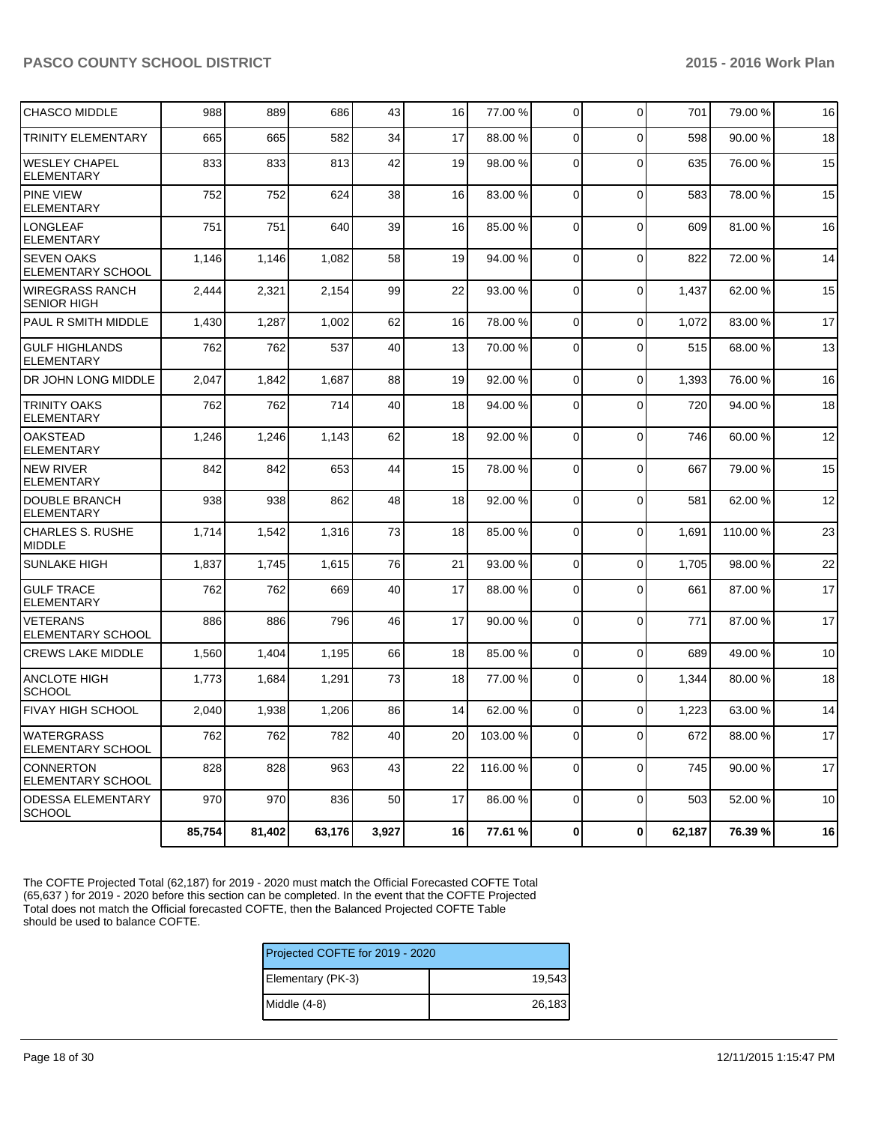| <b>CHASCO MIDDLE</b>                          | 988    | 889    | 686    | 43    | 16 | 77.00 %  | $\Omega$       | $\Omega$       | 701    | 79.00 % | 16 |
|-----------------------------------------------|--------|--------|--------|-------|----|----------|----------------|----------------|--------|---------|----|
| <b>TRINITY ELEMENTARY</b>                     | 665    | 665    | 582    | 34    | 17 | 88.00 %  | 0              | $\Omega$       | 598    | 90.00%  | 18 |
| <b>WESLEY CHAPEL</b><br><b>ELEMENTARY</b>     | 833    | 833    | 813    | 42    | 19 | 98.00 %  | $\Omega$       | $\Omega$       | 635    | 76.00 % | 15 |
| <b>PINE VIEW</b><br><b>ELEMENTARY</b>         | 752    | 752    | 624    | 38    | 16 | 83.00 %  | $\mathbf 0$    | $\mathbf 0$    | 583    | 78.00 % | 15 |
| <b>LONGLEAF</b><br><b>ELEMENTARY</b>          | 751    | 751    | 640    | 39    | 16 | 85.00 %  | $\overline{0}$ | $\Omega$       | 609    | 81.00%  | 16 |
| <b>SEVEN OAKS</b><br>ELEMENTARY SCHOOL        | 1,146  | 1,146  | 1,082  | 58    | 19 | 94.00 %  | $\Omega$       | $\Omega$       | 822    | 72.00 % | 14 |
| <b>WIREGRASS RANCH</b><br><b>SENIOR HIGH</b>  | 2,444  | 2,321  | 2.154  | 99    | 22 | 93.00 %  | 0              | $\Omega$       | 1,437  | 62.00%  | 15 |
| PAUL R SMITH MIDDLE                           | 1,430  | 1,287  | 1,002  | 62    | 16 | 78.00 %  | $\overline{0}$ | $\mathbf 0$    | 1,072  | 83.00 % | 17 |
| <b>GULF HIGHLANDS</b><br><b>ELEMENTARY</b>    | 762    | 762    | 537    | 40    | 13 | 70.00 %  | $\Omega$       | $\Omega$       | 515    | 68.00%  | 13 |
| DR JOHN LONG MIDDLE                           | 2.047  | 1,842  | 1,687  | 88    | 19 | 92.00 %  | $\Omega$       | $\mathbf 0$    | 1,393  | 76.00 % | 16 |
| <b>TRINITY OAKS</b><br><b>ELEMENTARY</b>      | 762    | 762    | 714    | 40    | 18 | 94.00 %  | $\mathbf 0$    | $\Omega$       | 720    | 94.00%  | 18 |
| <b>OAKSTEAD</b><br><b>ELEMENTARY</b>          | 1,246  | 1,246  | 1,143  | 62    | 18 | 92.00 %  | $\overline{0}$ | $\mathbf 0$    | 746    | 60.00%  | 12 |
| <b>NEW RIVER</b><br><b>ELEMENTARY</b>         | 842    | 842    | 653    | 44    | 15 | 78.00 %  | $\overline{0}$ | $\overline{0}$ | 667    | 79.00 % | 15 |
| DOUBLE BRANCH<br><b>ELEMENTARY</b>            | 938    | 938    | 862    | 48    | 18 | 92.00 %  | $\Omega$       | $\Omega$       | 581    | 62.00 % | 12 |
| <b>CHARLES S. RUSHE</b><br><b>MIDDLE</b>      | 1,714  | 1,542  | 1,316  | 73    | 18 | 85.00 %  | $\Omega$       | $\Omega$       | 1,691  | 110.00% | 23 |
| <b>SUNLAKE HIGH</b>                           | 1,837  | 1,745  | 1,615  | 76    | 21 | 93.00 %  | $\Omega$       | $\Omega$       | 1.705  | 98.00 % | 22 |
| <b>GULF TRACE</b><br><b>ELEMENTARY</b>        | 762    | 762    | 669    | 40    | 17 | 88.00 %  | $\Omega$       | $\Omega$       | 661    | 87.00 % | 17 |
| <b>VETERANS</b><br>ELEMENTARY SCHOOL          | 886    | 886    | 796    | 46    | 17 | 90.00 %  | $\Omega$       | $\Omega$       | 771    | 87.00 % | 17 |
| <b>CREWS LAKE MIDDLE</b>                      | 1,560  | 1,404  | 1,195  | 66    | 18 | 85.00 %  | $\Omega$       | $\Omega$       | 689    | 49.00%  | 10 |
| <b>ANCLOTE HIGH</b><br><b>SCHOOL</b>          | 1,773  | 1,684  | 1,291  | 73    | 18 | 77.00 %  | $\mathbf 0$    | $\Omega$       | 1,344  | 80.00%  | 18 |
| <b>FIVAY HIGH SCHOOL</b>                      | 2,040  | 1,938  | 1,206  | 86    | 14 | 62.00 %  | $\overline{0}$ | $\Omega$       | 1,223  | 63.00%  | 14 |
| <b>WATERGRASS</b><br><b>ELEMENTARY SCHOOL</b> | 762    | 762    | 782    | 40    | 20 | 103.00 % | $\overline{0}$ | $\Omega$       | 672    | 88.00 % | 17 |
| <b>CONNERTON</b><br>ELEMENTARY SCHOOL         | 828    | 828    | 963    | 43    | 22 | 116.00 % | $\mathbf 0$    | $\Omega$       | 745    | 90.00 % | 17 |
| <b>ODESSA ELEMENTARY</b><br><b>SCHOOL</b>     | 970    | 970    | 836    | 50    | 17 | 86.00 %  | $\Omega$       | $\Omega$       | 503    | 52.00 % | 10 |
|                                               | 85,754 | 81,402 | 63,176 | 3,927 | 16 | 77.61 %  | 0              | $\mathbf 0$    | 62,187 | 76.39 % | 16 |

The COFTE Projected Total (62,187) for 2019 - 2020 must match the Official Forecasted COFTE Total (65,637 ) for 2019 - 2020 before this section can be completed. In the event that the COFTE Projected Total does not match the Official forecasted COFTE, then the Balanced Projected COFTE Table should be used to balance COFTE.

| Projected COFTE for 2019 - 2020 |        |  |  |  |  |
|---------------------------------|--------|--|--|--|--|
| Elementary (PK-3)               | 19,543 |  |  |  |  |
| Middle (4-8)                    | 26,183 |  |  |  |  |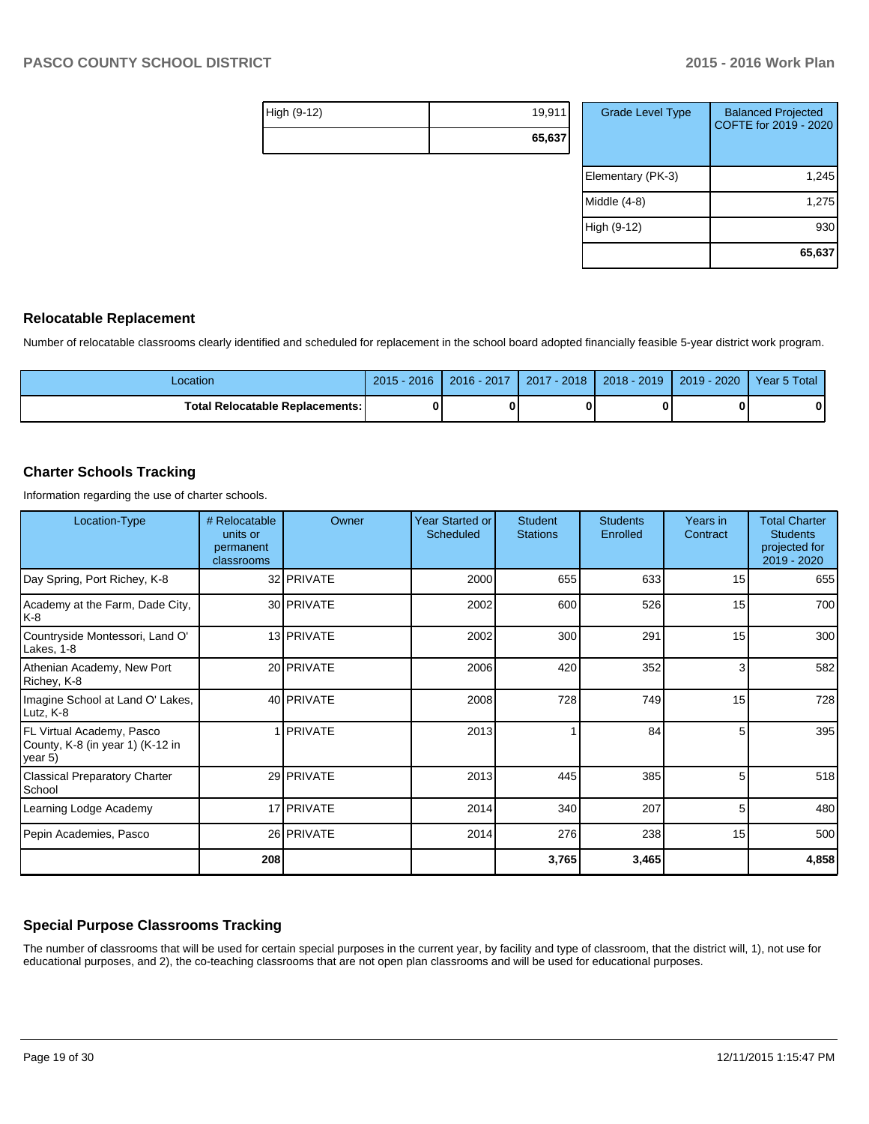| High (9-12) | 19,911 |
|-------------|--------|
|             | 65,637 |

| <b>Grade Level Type</b> | <b>Balanced Projected</b><br>COFTE for 2019 - 2020 |
|-------------------------|----------------------------------------------------|
| Elementary (PK-3)       | 1,245                                              |
| Middle (4-8)            | 1,275                                              |
| High (9-12)             | 930                                                |
|                         | 65,637                                             |

#### **Relocatable Replacement**

Number of relocatable classrooms clearly identified and scheduled for replacement in the school board adopted financially feasible 5-year district work program.

| Location                          | $5 - 2016$<br>$2015 -$ | $-2017$<br>$2016 -$ | 2018<br>2017 | $2018 - 2019$ | 2020<br>2019 | 5 Total<br>Year 5 |
|-----------------------------------|------------------------|---------------------|--------------|---------------|--------------|-------------------|
| Total Relocatable Replacements: ∖ |                        |                     |              |               |              | 0                 |

#### **Charter Schools Tracking**

Information regarding the use of charter schools.

| Location-Type                                                             | # Relocatable<br>units or<br>permanent<br>classrooms | Owner             | Year Started or<br><b>Scheduled</b> | <b>Student</b><br><b>Stations</b> | <b>Students</b><br>Enrolled | Years in<br>Contract | <b>Total Charter</b><br><b>Students</b><br>projected for<br>2019 - 2020 |
|---------------------------------------------------------------------------|------------------------------------------------------|-------------------|-------------------------------------|-----------------------------------|-----------------------------|----------------------|-------------------------------------------------------------------------|
| Day Spring, Port Richey, K-8                                              |                                                      | 32 PRIVATE        | 2000                                | 655                               | 633                         | 15                   | 655                                                                     |
| Academy at the Farm, Dade City,<br>K-8                                    |                                                      | 30 PRIVATE        | 2002                                | 600                               | 526                         | 15                   | 700                                                                     |
| Countryside Montessori, Land O'<br>Lakes, 1-8                             |                                                      | 13 PRIVATE        | 2002                                | 300                               | 291                         | 15                   | 300                                                                     |
| Athenian Academy, New Port<br>Richey, K-8                                 |                                                      | 20 PRIVATE        | 2006                                | 420                               | 352                         | 3                    | 582                                                                     |
| Imagine School at Land O' Lakes,<br>Lutz, K-8                             |                                                      | 40 <b>PRIVATE</b> | 2008                                | 728                               | 749                         | 15                   | 728                                                                     |
| FL Virtual Academy, Pasco<br>County, K-8 (in year 1) (K-12 in<br>lyear 5) |                                                      | <b>IPRIVATE</b>   | 2013                                |                                   | 84                          | 5                    | 395                                                                     |
| <b>Classical Preparatory Charter</b><br>School                            |                                                      | 29 PRIVATE        | 2013                                | 445                               | 385                         | 5                    | 518                                                                     |
| Learning Lodge Academy                                                    |                                                      | 17 <b>PRIVATE</b> | 2014                                | 340                               | 207                         | 5                    | 480                                                                     |
| Pepin Academies, Pasco                                                    |                                                      | 26 PRIVATE        | 2014                                | 276                               | 238                         | 15                   | 500                                                                     |
|                                                                           | 208                                                  |                   |                                     | 3,765                             | 3,465                       |                      | 4,858                                                                   |

## **Special Purpose Classrooms Tracking**

The number of classrooms that will be used for certain special purposes in the current year, by facility and type of classroom, that the district will, 1), not use for educational purposes, and 2), the co-teaching classrooms that are not open plan classrooms and will be used for educational purposes.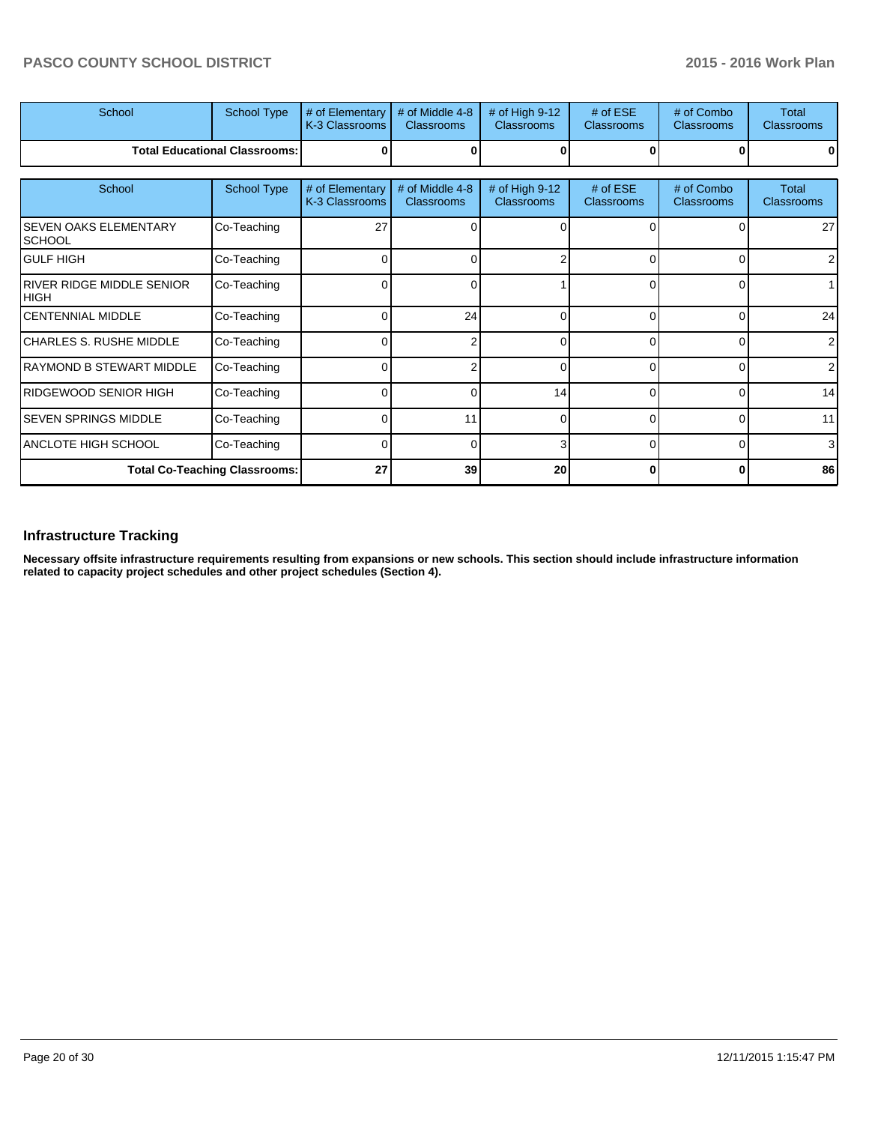| School                                          | School Type                          | # of Elementary<br>K-3 Classrooms | # of Middle 4-8<br><b>Classrooms</b> | # of High 9-12<br><b>Classrooms</b> | $#$ of ESE<br>Classrooms        | # of Combo<br>Classrooms        | <b>Total</b><br><b>Classrooms</b> |
|-------------------------------------------------|--------------------------------------|-----------------------------------|--------------------------------------|-------------------------------------|---------------------------------|---------------------------------|-----------------------------------|
|                                                 | <b>Total Educational Classrooms:</b> |                                   |                                      |                                     |                                 |                                 |                                   |
| School                                          | School Type                          | # of Elementary<br>K-3 Classrooms | # of Middle 4-8<br><b>Classrooms</b> | # of High 9-12<br>Classrooms        | $#$ of ESE<br><b>Classrooms</b> | # of Combo<br><b>Classrooms</b> | <b>Total</b><br><b>Classrooms</b> |
| <b>SEVEN OAKS ELEMENTARY</b><br><b>SCHOOL</b>   | Co-Teaching                          | 27                                |                                      |                                     |                                 |                                 | 27                                |
| <b>GULF HIGH</b>                                | Co-Teaching                          |                                   |                                      | c                                   | $\Omega$                        | $\Omega$                        | $\overline{2}$                    |
| <b>RIVER RIDGE MIDDLE SENIOR</b><br><b>HIGH</b> | Co-Teaching                          | 0                                 |                                      |                                     | $\Omega$                        | 0                               |                                   |
| <b>CENTENNIAL MIDDLE</b>                        | Co-Teaching                          | $\Omega$                          | 24                                   | 0                                   | $\Omega$                        | 0                               | 24                                |
| CHARLES S. RUSHE MIDDLE                         | Co-Teaching                          |                                   |                                      | n                                   | $\Omega$                        | $\Omega$                        | 2 <sub>1</sub>                    |
| RAYMOND B STEWART MIDDLE                        | Co-Teaching                          | $\Omega$                          |                                      | 0                                   | $\Omega$                        | 0                               | 2 <sub>l</sub>                    |
| <b>RIDGEWOOD SENIOR HIGH</b>                    | Co-Teaching                          | r                                 |                                      | 14                                  | $\Omega$                        | $\Omega$                        | 14                                |
| <b>SEVEN SPRINGS MIDDLE</b>                     | Co-Teaching                          | $\Omega$                          | 11                                   | $\Omega$                            | $\Omega$                        | 0                               | 11                                |
| ANCLOTE HIGH SCHOOL                             | Co-Teaching                          | $\Omega$                          | O                                    | 3                                   | $\Omega$                        | $\Omega$                        | 3 <sup>l</sup>                    |
| <b>Total Co-Teaching Classrooms:</b>            |                                      | 27                                | 39                                   | 20                                  | 0                               | 0                               | 86                                |

## **Infrastructure Tracking**

**Necessary offsite infrastructure requirements resulting from expansions or new schools. This section should include infrastructure information related to capacity project schedules and other project schedules (Section 4).**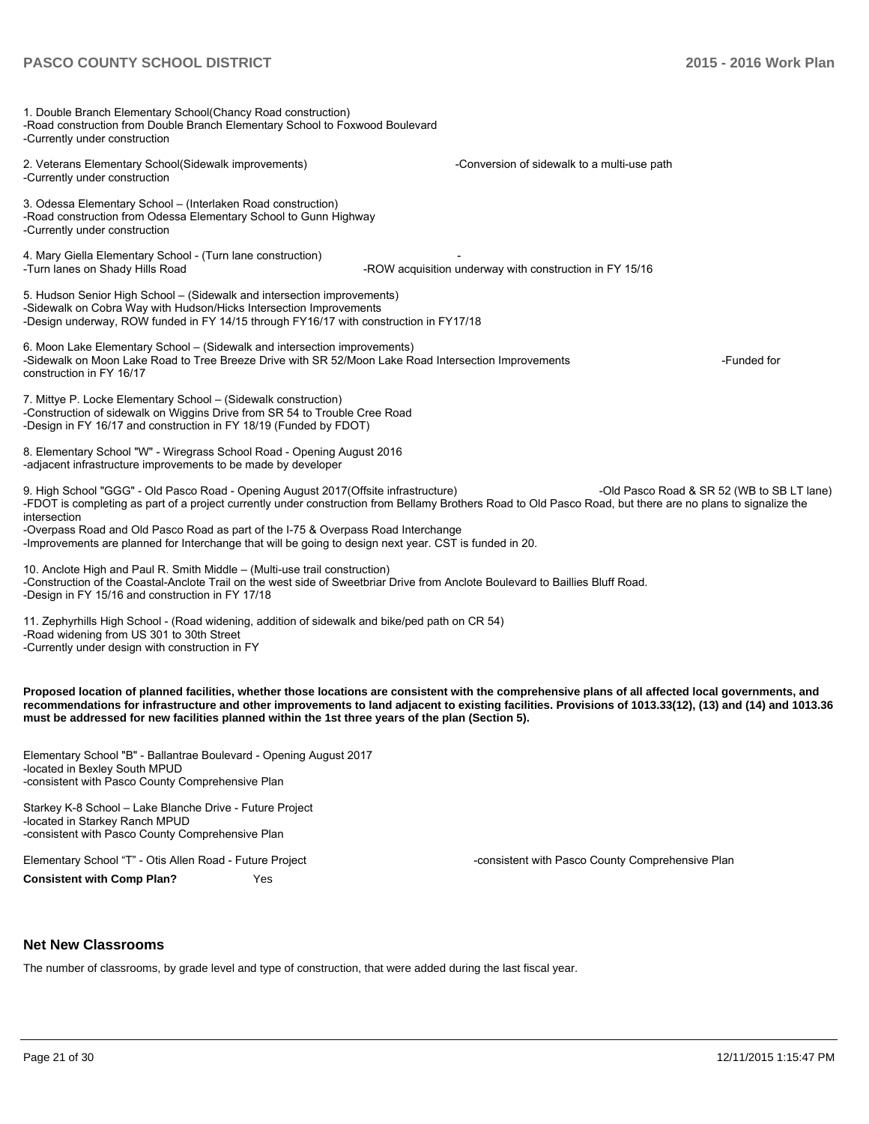| 1. Double Branch Elementary School(Chancy Road construction)<br>-Road construction from Double Branch Elementary School to Foxwood Boulevard<br>-Currently under construction                                                                                                                                                                                                                                                                                      |                                                         |                                            |
|--------------------------------------------------------------------------------------------------------------------------------------------------------------------------------------------------------------------------------------------------------------------------------------------------------------------------------------------------------------------------------------------------------------------------------------------------------------------|---------------------------------------------------------|--------------------------------------------|
| 2. Veterans Elementary School(Sidewalk improvements)<br>-Currently under construction                                                                                                                                                                                                                                                                                                                                                                              | -Conversion of sidewalk to a multi-use path             |                                            |
| 3. Odessa Elementary School - (Interlaken Road construction)<br>-Road construction from Odessa Elementary School to Gunn Highway<br>-Currently under construction                                                                                                                                                                                                                                                                                                  |                                                         |                                            |
| 4. Mary Giella Elementary School - (Turn lane construction)<br>-Turn lanes on Shady Hills Road                                                                                                                                                                                                                                                                                                                                                                     | -ROW acquisition underway with construction in FY 15/16 |                                            |
| 5. Hudson Senior High School - (Sidewalk and intersection improvements)<br>-Sidewalk on Cobra Way with Hudson/Hicks Intersection Improvements<br>-Design underway, ROW funded in FY 14/15 through FY16/17 with construction in FY17/18                                                                                                                                                                                                                             |                                                         |                                            |
| 6. Moon Lake Elementary School – (Sidewalk and intersection improvements)<br>-Sidewalk on Moon Lake Road to Tree Breeze Drive with SR 52/Moon Lake Road Intersection Improvements<br>construction in FY 16/17                                                                                                                                                                                                                                                      |                                                         | -Funded for                                |
| 7. Mittye P. Locke Elementary School - (Sidewalk construction)<br>-Construction of sidewalk on Wiggins Drive from SR 54 to Trouble Cree Road<br>-Design in FY 16/17 and construction in FY 18/19 (Funded by FDOT)                                                                                                                                                                                                                                                  |                                                         |                                            |
| 8. Elementary School "W" - Wiregrass School Road - Opening August 2016<br>-adjacent infrastructure improvements to be made by developer                                                                                                                                                                                                                                                                                                                            |                                                         |                                            |
| 9. High School "GGG" - Old Pasco Road - Opening August 2017 (Offsite infrastructure)<br>-FDOT is completing as part of a project currently under construction from Bellamy Brothers Road to Old Pasco Road, but there are no plans to signalize the<br>intersection<br>-Overpass Road and Old Pasco Road as part of the I-75 & Overpass Road Interchange<br>-Improvements are planned for Interchange that will be going to design next year. CST is funded in 20. |                                                         | -Old Pasco Road & SR 52 (WB to SB LT lane) |
| 10. Anclote High and Paul R. Smith Middle - (Multi-use trail construction)<br>-Construction of the Coastal-Anclote Trail on the west side of Sweetbriar Drive from Anclote Boulevard to Baillies Bluff Road.<br>-Design in FY 15/16 and construction in FY 17/18                                                                                                                                                                                                   |                                                         |                                            |
| 11. Zephyrhills High School - (Road widening, addition of sidewalk and bike/ped path on CR 54)<br>-Road widening from US 301 to 30th Street<br>-Currently under design with construction in FY                                                                                                                                                                                                                                                                     |                                                         |                                            |
| Proposed location of planned facilities, whether those locations are consistent with the comprehensive plans of all affected local governments, and<br>recommendations for infrastructure and other improvements to land adjacent to existing facilities. Provisions of 1013.33(12), (13) and (14) and 1013.36<br>must be addressed for new facilities planned within the 1st three years of the plan (Section 5).                                                 |                                                         |                                            |
| Elementary School "B" - Ballantrae Boulevard - Opening August 2017<br>-located in Bexley South MPUD<br>-consistent with Pasco County Comprehensive Plan                                                                                                                                                                                                                                                                                                            |                                                         |                                            |
| Starkey K-8 School – Lake Blanche Drive - Future Project<br>-located in Starkey Ranch MPUD                                                                                                                                                                                                                                                                                                                                                                         |                                                         |                                            |

Elementary School "T" - Otis Allen Road - Future Project Combination Compressive Plan Comprehensive Plan **Consistent with Comp Plan?** Yes

-consistent with Pasco County Comprehensive Plan

#### **Net New Classrooms**

The number of classrooms, by grade level and type of construction, that were added during the last fiscal year.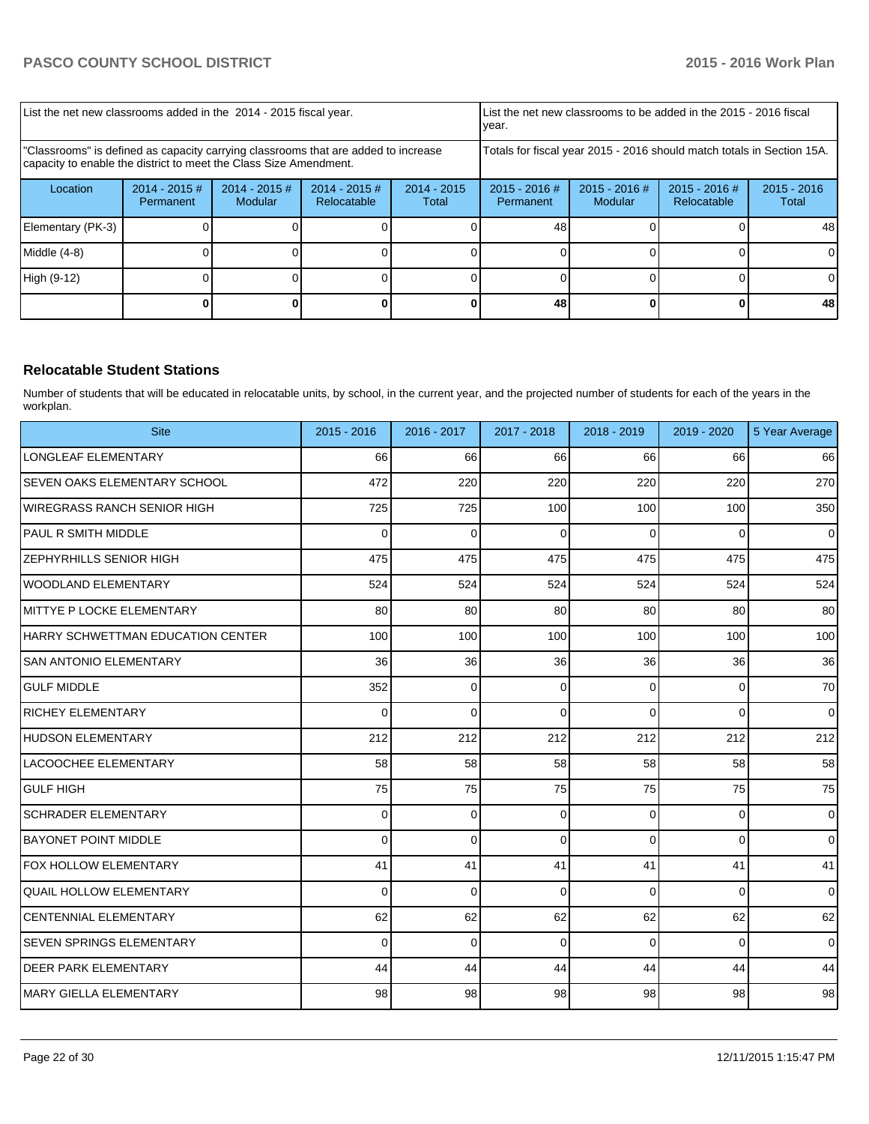| List the net new classrooms added in the 2014 - 2015 fiscal year.                                                                                       |                                                                                                                                                          |  |  |  | Ivear.                                                                 |                                | List the net new classrooms to be added in the 2015 - 2016 fiscal |    |
|---------------------------------------------------------------------------------------------------------------------------------------------------------|----------------------------------------------------------------------------------------------------------------------------------------------------------|--|--|--|------------------------------------------------------------------------|--------------------------------|-------------------------------------------------------------------|----|
| "Classrooms" is defined as capacity carrying classrooms that are added to increase<br>capacity to enable the district to meet the Class Size Amendment. |                                                                                                                                                          |  |  |  | Totals for fiscal year 2015 - 2016 should match totals in Section 15A. |                                |                                                                   |    |
| Location                                                                                                                                                | $2014 - 2015$ #<br>$2014 - 2015$<br>$2014 - 2015 \#$<br>$2014 - 2015 \#$<br>$2015 - 2016$ #<br>Relocatable<br>Modular<br>Permanent<br>Permanent<br>Total |  |  |  | $2015 - 2016$ #<br>Modular                                             | $2015 - 2016$ #<br>Relocatable | $2015 - 2016$<br>Total                                            |    |
| Elementary (PK-3)                                                                                                                                       |                                                                                                                                                          |  |  |  | 48                                                                     |                                |                                                                   | 48 |
| Middle (4-8)                                                                                                                                            |                                                                                                                                                          |  |  |  |                                                                        |                                |                                                                   |    |
| High (9-12)                                                                                                                                             |                                                                                                                                                          |  |  |  |                                                                        |                                |                                                                   |    |
|                                                                                                                                                         |                                                                                                                                                          |  |  |  | 48                                                                     |                                |                                                                   | 48 |

## **Relocatable Student Stations**

Number of students that will be educated in relocatable units, by school, in the current year, and the projected number of students for each of the years in the workplan.

| <b>Site</b>                       | $2015 - 2016$ | 2016 - 2017     | 2017 - 2018 | 2018 - 2019    | 2019 - 2020 | 5 Year Average |
|-----------------------------------|---------------|-----------------|-------------|----------------|-------------|----------------|
| LONGLEAF ELEMENTARY               | 66            | 66              | 66          | 66             | 66          | 66             |
| SEVEN OAKS ELEMENTARY SCHOOL      | 472           | 220             | 220         | 220            | 220         | 270            |
| IWIREGRASS RANCH SENIOR HIGH      | 725           | 725             | 100         | 100            | 100         | 350            |
| <b>PAUL R SMITH MIDDLE</b>        | 0             | 0               | $\mathbf 0$ | 0              | 0           | $\mathbf 0$    |
| <b>ZEPHYRHILLS SENIOR HIGH</b>    | 475           | 475             | 475         | 475            | 475         | 475            |
| WOODLAND ELEMENTARY               | 524           | 524             | 524         | 524            | 524         | 524            |
| IMITTYE P LOCKE ELEMENTARY        | 80            | 80 <sup>°</sup> | 80          | 80             | 80          | 80             |
| HARRY SCHWETTMAN EDUCATION CENTER | 100           | 100             | 100         | 100            | 100         | 100            |
| ISAN ANTONIO ELEMENTARY           | 36            | 36              | 36          | 36             | 36          | 36             |
| <b>GULF MIDDLE</b>                | 352           | 0               | $\Omega$    | $\overline{0}$ | 0           | 70             |
| <b>IRICHEY ELEMENTARY</b>         | $\Omega$      | $\Omega$        | $\Omega$    | $\Omega$       | $\Omega$    | $\Omega$       |
| HUDSON ELEMENTARY                 | 212           | 212             | 212         | 212            | 212         | 212            |
| LACOOCHEE ELEMENTARY              | 58            | 58              | 58          | 58             | 58          | 58             |
| lgulf High                        | 75            | 75              | 75          | 75             | 75          | 75             |
| <b>SCHRADER ELEMENTARY</b>        | $\Omega$      | 0               | $\mathbf 0$ | $\overline{0}$ | 0           | $\mathbf 0$    |
| BAYONET POINT MIDDLE              | $\Omega$      | $\Omega$        | $\Omega$    | $\Omega$       | $\Omega$    | $\Omega$       |
| <b>FOX HOLLOW ELEMENTARY</b>      | 41            | 41              | 41          | 41             | 41          | 41             |
| <b>QUAIL HOLLOW ELEMENTARY</b>    | $\Omega$      | $\Omega$        | $\Omega$    | $\Omega$       | $\Omega$    | $\mathbf 0$    |
| İCENTENNIAL ELEMENTARY            | 62            | 62              | 62          | 62             | 62          | 62             |
| <b>SEVEN SPRINGS ELEMENTARY</b>   | 0             | $\mathbf 0$     | $\mathbf 0$ | $\Omega$       | 0           | $\Omega$       |
| <b>DEER PARK ELEMENTARY</b>       | 44            | 44              | 44          | 44             | 44          | 44             |
| IMARY GIELLA ELEMENTARY           | 98            | 98              | 98          | 98             | 98          | 98             |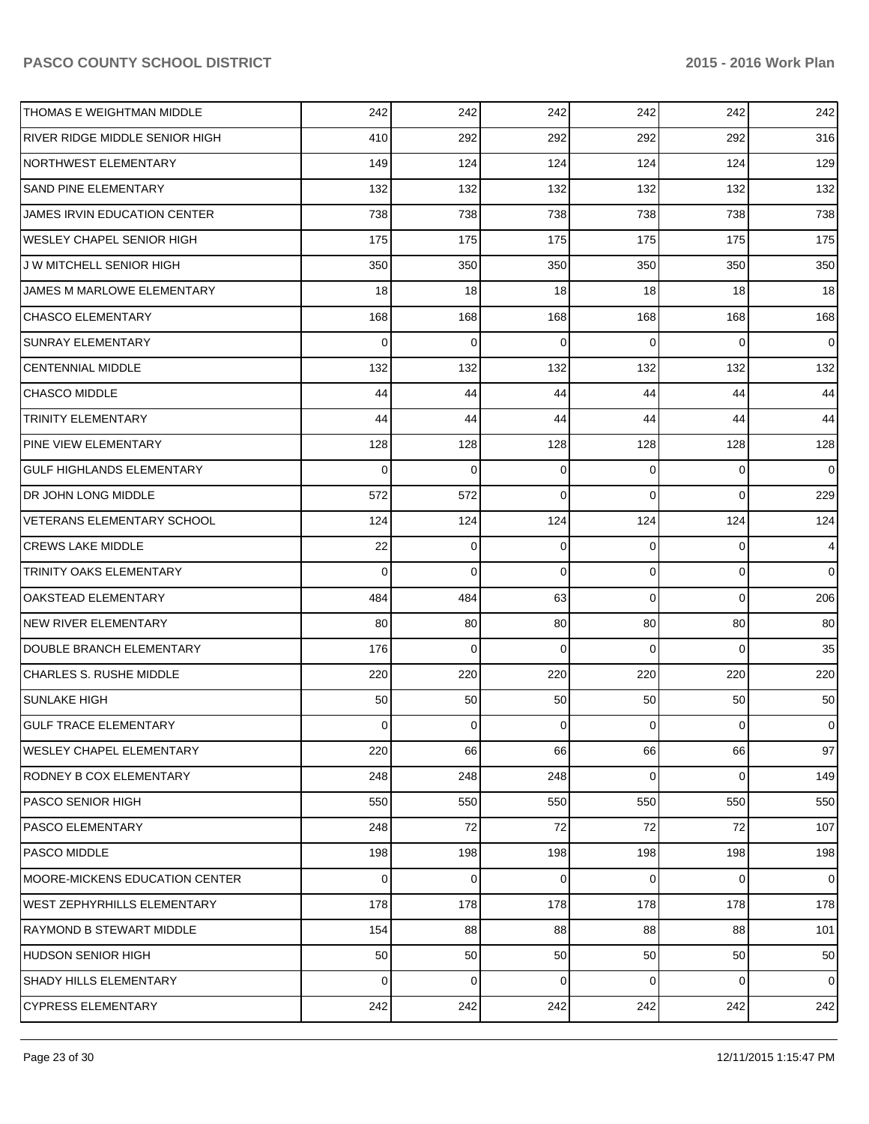| <b>THOMAS E WEIGHTMAN MIDDLE</b>      | 242             | 242      | 242      | 242            | 242            | 242            |
|---------------------------------------|-----------------|----------|----------|----------------|----------------|----------------|
| <b>RIVER RIDGE MIDDLE SENIOR HIGH</b> | 410             | 292      | 292      | 292            | 292            | 316            |
| <b>NORTHWEST ELEMENTARY</b>           | 149             | 124      | 124      | 124            | 124            | 129            |
| <b>SAND PINE ELEMENTARY</b>           | 132             | 132      | 132      | 132            | 132            | 132            |
| JAMES IRVIN EDUCATION CENTER          | 738             | 738      | 738      | 738            | 738            | 738            |
| <b>WESLEY CHAPEL SENIOR HIGH</b>      | 175             | 175      | 175      | 175            | 175            | 175            |
| J W MITCHELL SENIOR HIGH              | 350             | 350      | 350      | 350            | 350            | 350            |
| JAMES M MARLOWE ELEMENTARY            | 18              | 18       | 18       | 18             | 18             | 18             |
| <b>CHASCO ELEMENTARY</b>              | 168             | 168      | 168      | 168            | 168            | 168            |
| <b>SUNRAY ELEMENTARY</b>              | $\Omega$        | 0        | $\Omega$ | $\Omega$       | $\mathbf 0$    | $\Omega$       |
| <b>CENTENNIAL MIDDLE</b>              | 132             | 132      | 132      | 132            | 132            | 132            |
| <b>CHASCO MIDDLE</b>                  | 44              | 44       | 44       | 44             | 44             | 44             |
| <b>TRINITY ELEMENTARY</b>             | 44              | 44       | 44       | 44             | 44             | 44             |
| <b>PINE VIEW ELEMENTARY</b>           | 128             | 128      | 128      | 128            | 128            | 128            |
| <b>GULF HIGHLANDS ELEMENTARY</b>      | 0               | $\Omega$ | $\Omega$ | $\Omega$       | 0              | $\Omega$       |
| DR JOHN LONG MIDDLE                   | 572             | 572      | $\Omega$ | $\Omega$       | 0              | 229            |
| VETERANS ELEMENTARY SCHOOL            | 124             | 124      | 124      | 124            | 124            | 124            |
| <b>CREWS LAKE MIDDLE</b>              | 22              | 0        | $\Omega$ | $\Omega$       | 0              | $\overline{4}$ |
| <b>TRINITY OAKS ELEMENTARY</b>        | $\Omega$        | $\Omega$ | $\Omega$ | $\overline{0}$ | $\mathbf{0}$   | $\Omega$       |
| OAKSTEAD ELEMENTARY                   | 484             | 484      | 63       | $\Omega$       | 0              | 206            |
| <b>NEW RIVER ELEMENTARY</b>           | 80              | 80       | 80       | 80             | 80             | 80             |
| DOUBLE BRANCH ELEMENTARY              | 176             | $\Omega$ | $\Omega$ | $\Omega$       | $\Omega$       | 35             |
| <b>CHARLES S. RUSHE MIDDLE</b>        | 220             | 220      | 220      | 220            | 220            | 220            |
| <b>SUNLAKE HIGH</b>                   | 50              | 50       | 50       | 50             | 50             | 50             |
| <b>GULF TRACE ELEMENTARY</b>          | 0               | 0        | $\Omega$ | $\Omega$       | 0              | $\mathbf 0$    |
| <b>WESLEY CHAPEL ELEMENTARY</b>       | 220             | 66       | 66       | 66             | 66             | 97             |
| <b>RODNEY B COX ELEMENTARY</b>        | 248             | 248      | 248      | 0              | $\overline{0}$ | 149            |
| <b>PASCO SENIOR HIGH</b>              | 550             | 550      | 550      | 550            | 550            | 550            |
| <b>PASCO ELEMENTARY</b>               | 248             | 72       | 72       | 72             | 72             | 107            |
| <b>PASCO MIDDLE</b>                   | 198             | 198      | 198      | 198            | 198            | 198            |
| MOORE-MICKENS EDUCATION CENTER        | 0               | 0        | $\Omega$ | 0              | $\mathbf{0}$   | $\Omega$       |
| <b>WEST ZEPHYRHILLS ELEMENTARY</b>    | 178             | 178      | 178      | 178            | 178            | 178            |
| <b>RAYMOND B STEWART MIDDLE</b>       | 154             | 88       | 88       | 88             | 88             | 101            |
| <b>HUDSON SENIOR HIGH</b>             | 50 <sub>0</sub> | 50       | 50       | 50             | 50             | 50             |
| SHADY HILLS ELEMENTARY                | 0               | 0        | 0        | 0              | $\overline{0}$ | $\mathbf 0$    |
| <b>CYPRESS ELEMENTARY</b>             | 242             | 242      | 242      | 242            | 242            | 242            |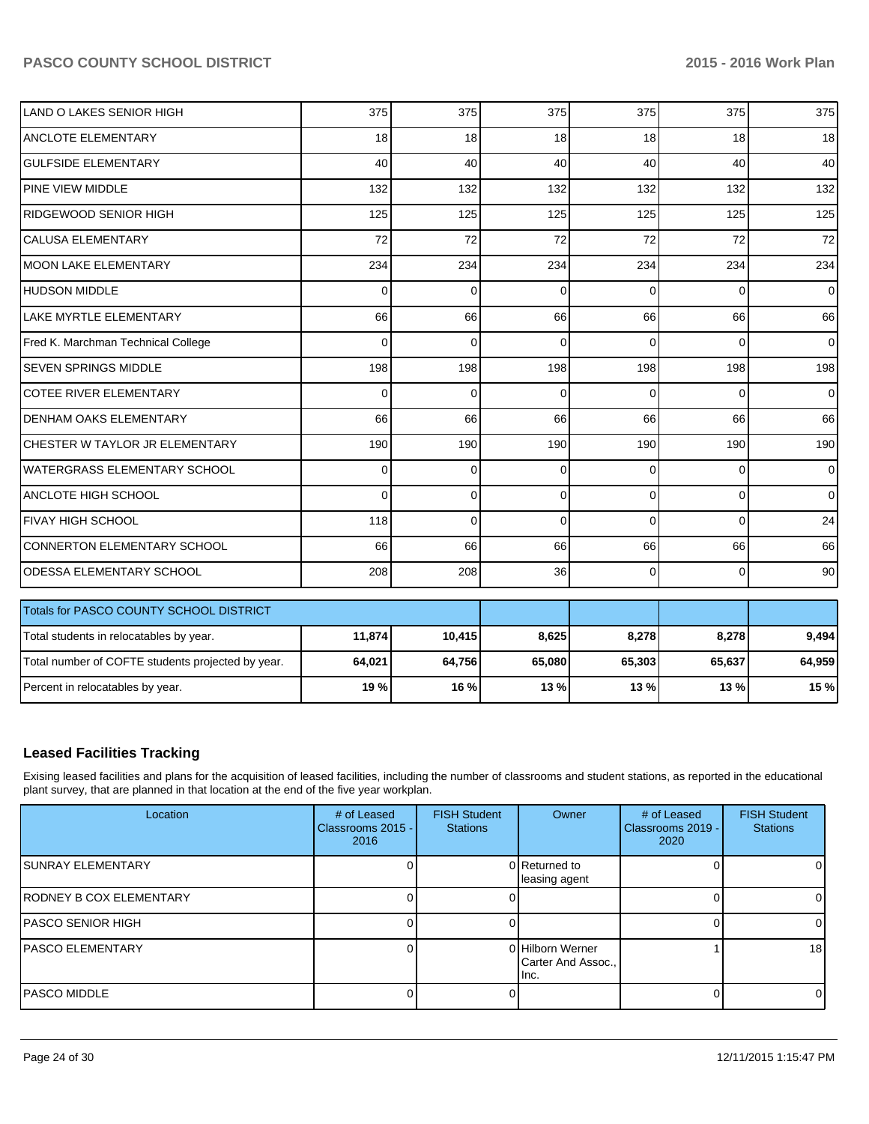| LAND O LAKES SENIOR HIGH                          | 375      | 375      | 375         | 375      | 375      | 375            |
|---------------------------------------------------|----------|----------|-------------|----------|----------|----------------|
| <b>ANCLOTE ELEMENTARY</b>                         | 18       | 18       | 18          | 18       | 18       | 18             |
| <b>GULFSIDE ELEMENTARY</b>                        | 40       | 40       | 40          | 40       | 40       | 40             |
| <b>PINE VIEW MIDDLE</b>                           | 132      | 132      | 132         | 132      | 132      | 132            |
| RIDGEWOOD SENIOR HIGH                             | 125      | 125      | 125         | 125      | 125      | 125            |
| <b>CALUSA ELEMENTARY</b>                          | 72       | 72       | 72          | 72       | 72       | 72             |
| <b>MOON LAKE ELEMENTARY</b>                       | 234      | 234      | 234         | 234      | 234      | 234            |
| <b>HUDSON MIDDLE</b>                              | $\Omega$ | $\Omega$ | $\Omega$    | $\Omega$ | 0        | $\overline{0}$ |
| <b>LAKE MYRTLE ELEMENTARY</b>                     | 66       | 66       | 66          | 66       | 66       | 66             |
| Fred K. Marchman Technical College                | $\Omega$ | $\Omega$ | $\Omega$    | $\Omega$ | $\Omega$ | $\overline{0}$ |
| SEVEN SPRINGS MIDDLE                              | 198      | 198      | 198         | 198      | 198      | 198            |
| <b>COTEE RIVER ELEMENTARY</b>                     | $\Omega$ | 0        | $\Omega$    | $\Omega$ | $\Omega$ | $\overline{0}$ |
| <b>DENHAM OAKS ELEMENTARY</b>                     | 66       | 66       | 66          | 66       | 66       | 66             |
| CHESTER W TAYLOR JR ELEMENTARY                    | 190      | 190      | 190         | 190      | 190      | 190            |
| <b>WATERGRASS ELEMENTARY SCHOOL</b>               | $\Omega$ | 0        | $\Omega$    | $\Omega$ | 0        | $\overline{0}$ |
| <b>ANCLOTE HIGH SCHOOL</b>                        | $\Omega$ | 0        | $\mathbf 0$ | $\Omega$ | 0        | $\overline{0}$ |
| <b>FIVAY HIGH SCHOOL</b>                          | 118      | $\Omega$ | $\Omega$    | $\Omega$ | $\Omega$ | 24             |
| <b>CONNERTON ELEMENTARY SCHOOL</b>                | 66       | 66       | 66          | 66       | 66       | 66             |
| ODESSA ELEMENTARY SCHOOL                          | 208      | 208      | 36          | $\Omega$ | 0        | 90             |
|                                                   |          |          |             |          |          |                |
| Totals for PASCO COUNTY SCHOOL DISTRICT           |          |          |             |          |          |                |
| Total students in relocatables by year.           | 11,874   | 10,415   | 8,625       | 8,278    | 8,278    | 9,494          |
| Total number of COFTE students projected by year. | 64,021   | 64,756   | 65,080      | 65,303   | 65,637   | 64,959         |
| Percent in relocatables by year.                  | 19%      | 16%      | 13 %        | 13%      | 13%      | 15 %           |

## **Leased Facilities Tracking**

Exising leased facilities and plans for the acquisition of leased facilities, including the number of classrooms and student stations, as reported in the educational plant survey, that are planned in that location at the end of the five year workplan.

| Location                        | # of Leased<br>Classrooms 2015 -<br>2016 | <b>FISH Student</b><br><b>Stations</b> | Owner                                          | # of Leased<br>Classrooms 2019 -<br>2020 | <b>FISH Student</b><br><b>Stations</b> |
|---------------------------------|------------------------------------------|----------------------------------------|------------------------------------------------|------------------------------------------|----------------------------------------|
| <b>ISUNRAY ELEMENTARY</b>       |                                          |                                        | 0 Returned to<br>leasing agent                 |                                          |                                        |
| <b>IRODNEY B COX ELEMENTARY</b> |                                          |                                        |                                                |                                          |                                        |
| <b>PASCO SENIOR HIGH</b>        |                                          |                                        |                                                |                                          |                                        |
| <b>IPASCO ELEMENTARY</b>        |                                          |                                        | 0 Hilborn Werner<br>Carter And Assoc.,<br>Inc. |                                          | 18                                     |
| IPASCO MIDDLE                   |                                          |                                        |                                                |                                          |                                        |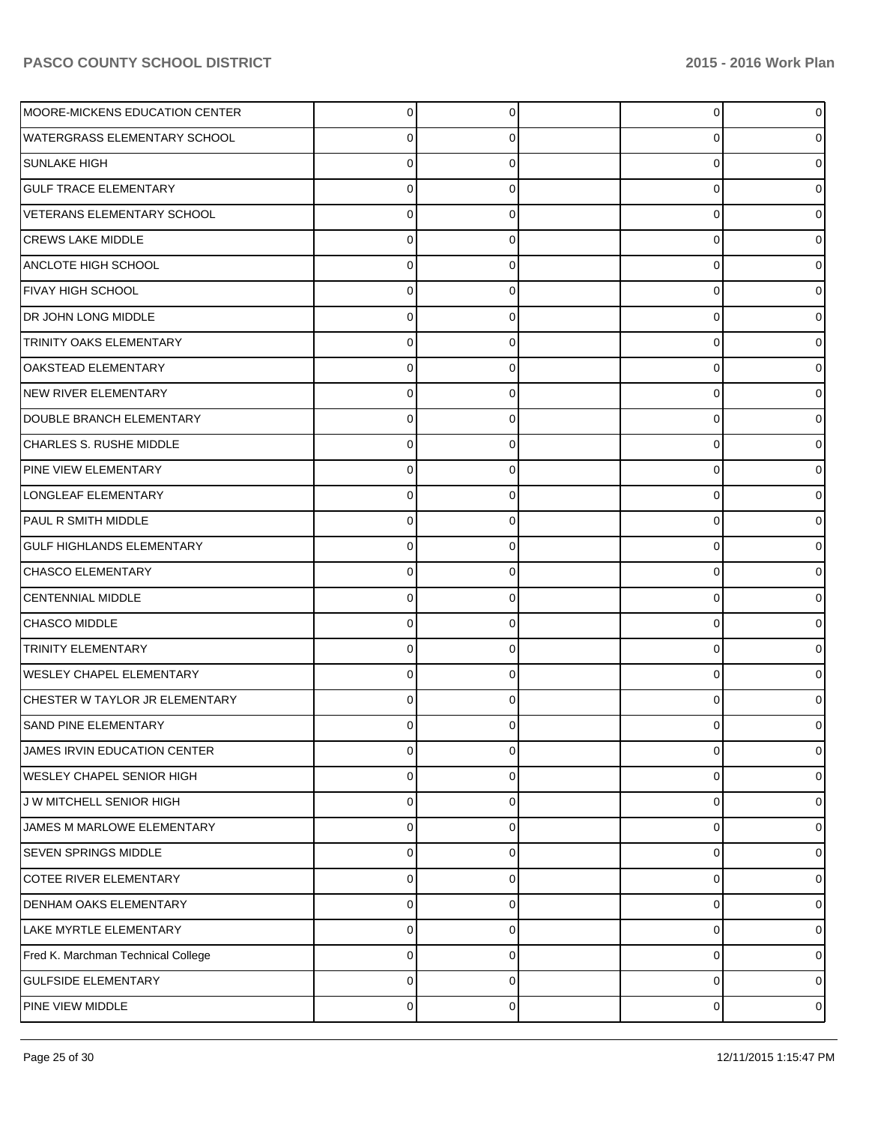| MOORE-MICKENS EDUCATION CENTER     | $\Omega$       |   | 0 |   |
|------------------------------------|----------------|---|---|---|
| WATERGRASS ELEMENTARY SCHOOL       |                |   | 0 |   |
| <b>SUNLAKE HIGH</b>                |                |   | 0 |   |
| <b>GULF TRACE ELEMENTARY</b>       | 0              |   | 0 |   |
| VETERANS ELEMENTARY SCHOOL         | U              |   | 0 |   |
| <b>CREWS LAKE MIDDLE</b>           | 0              |   | 0 |   |
| ANCLOTE HIGH SCHOOL                | ∩              |   | 0 |   |
| <b>FIVAY HIGH SCHOOL</b>           | $\Omega$       |   | 0 |   |
| DR JOHN LONG MIDDLE                |                |   | 0 |   |
| <b>TRINITY OAKS ELEMENTARY</b>     | $\Omega$       |   | 0 |   |
| OAKSTEAD ELEMENTARY                | ∩              |   | 0 |   |
| NEW RIVER ELEMENTARY               | $\Omega$       |   | 0 |   |
| DOUBLE BRANCH ELEMENTARY           |                |   | 0 |   |
| CHARLES S. RUSHE MIDDLE            | $\Omega$       |   | 0 |   |
| PINE VIEW ELEMENTARY               |                |   | 0 |   |
| LONGLEAF ELEMENTARY                | $\Omega$       |   | 0 |   |
| PAUL R SMITH MIDDLE                |                |   | 0 |   |
| <b>GULF HIGHLANDS ELEMENTARY</b>   | $\Omega$       |   | 0 |   |
| CHASCO ELEMENTARY                  |                |   | 0 |   |
| <b>CENTENNIAL MIDDLE</b>           | $\Omega$       |   | 0 |   |
| CHASCO MIDDLE                      | ∩              |   | 0 |   |
| <b>TRINITY ELEMENTARY</b>          | $\Omega$       |   | 0 |   |
| <b>WESLEY CHAPEL ELEMENTARY</b>    |                |   | 0 |   |
| CHESTER W TAYLOR JR ELEMENTARY     | $\Omega$       |   | 0 |   |
| <b>SAND PINE ELEMENTARY</b>        |                |   | 0 |   |
| JAMES IRVIN EDUCATION CENTER       | $\mathbf 0$    | C | 0 |   |
| <b>WESLEY CHAPEL SENIOR HIGH</b>   | $\mathbf 0$    | 0 | 0 |   |
| J W MITCHELL SENIOR HIGH           | $\mathbf 0$    | O | 0 |   |
| JAMES M MARLOWE ELEMENTARY         | $\mathbf 0$    | 0 | 0 |   |
| <b>SEVEN SPRINGS MIDDLE</b>        | $\mathbf 0$    |   | 0 |   |
| COTEE RIVER ELEMENTARY             | $\mathbf 0$    | 0 | 0 |   |
| DENHAM OAKS ELEMENTARY             | $\mathbf 0$    | C | 0 |   |
| LAKE MYRTLE ELEMENTARY             | $\mathbf 0$    | 0 | 0 |   |
| Fred K. Marchman Technical College | $\mathbf 0$    | C | 0 |   |
| <b>GULFSIDE ELEMENTARY</b>         | $\mathbf 0$    | 0 | 0 |   |
| PINE VIEW MIDDLE                   | $\overline{0}$ | 0 | 0 | 0 |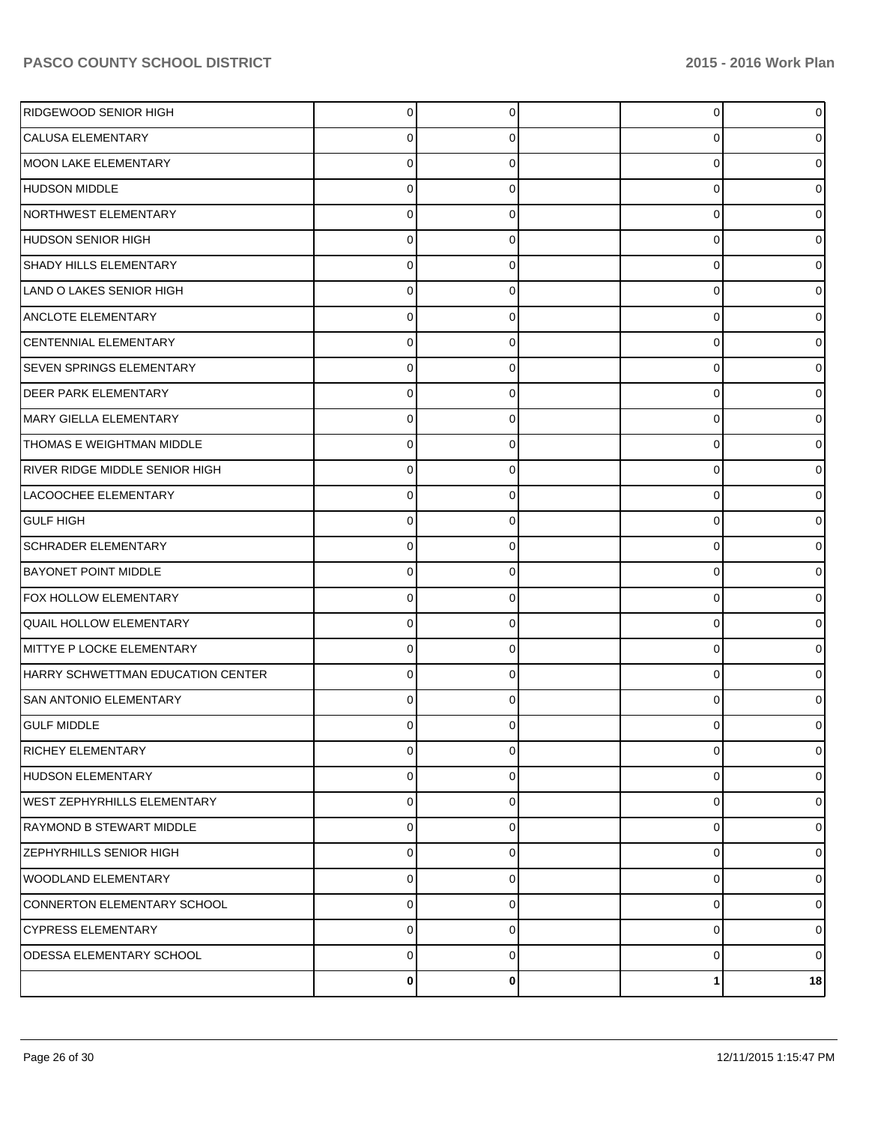| RIDGEWOOD SENIOR HIGH             | $\Omega$ | $\Omega$    | $\overline{0}$ | $\overline{0}$ |
|-----------------------------------|----------|-------------|----------------|----------------|
| <b>CALUSA ELEMENTARY</b>          | 0        | 0           | 0              | 0              |
| MOON LAKE ELEMENTARY              | 0        | C           | 0              | 0              |
| HUDSON MIDDLE                     | 0        | $\Omega$    | 0              | 0              |
| NORTHWEST ELEMENTARY              | 0        | C           | 0              | 0              |
| <b>HUDSON SENIOR HIGH</b>         | 0        | $\Omega$    | 0              | 0              |
| <b>SHADY HILLS ELEMENTARY</b>     | 0        | C           | 0              | 0              |
| LAND O LAKES SENIOR HIGH          | 0        | 0           | 0              | 0              |
| <b>ANCLOTE ELEMENTARY</b>         | 0        | C           | 0              | 0              |
| CENTENNIAL ELEMENTARY             | 0        | $\Omega$    | 0              | 0              |
| <b>SEVEN SPRINGS ELEMENTARY</b>   | 0        | C           | 0              | 0              |
| <b>DEER PARK ELEMENTARY</b>       | 0        | $\Omega$    | 0              | 0              |
| MARY GIELLA ELEMENTARY            | 0        | C           | 0              | 0              |
| <b>THOMAS E WEIGHTMAN MIDDLE</b>  | $\Omega$ | $\Omega$    | 0              | 0              |
| RIVER RIDGE MIDDLE SENIOR HIGH    | 0        | C           | 0              | 0              |
| LACOOCHEE ELEMENTARY              | 0        | $\Omega$    | 0              | 0              |
| <b>GULF HIGH</b>                  | 0        | C           | 0              | 0              |
| <b>SCHRADER ELEMENTARY</b>        | $\Omega$ | $\Omega$    | 0              | 0              |
| <b>BAYONET POINT MIDDLE</b>       | 0        | C           | 0              | 0              |
| FOX HOLLOW ELEMENTARY             | $\Omega$ | $\Omega$    | 0              | 0              |
| <b>QUAIL HOLLOW ELEMENTARY</b>    | 0        | C           | 0              | 0              |
| MITTYE P LOCKE ELEMENTARY         | $\Omega$ | $\Omega$    | 0              | 0              |
| HARRY SCHWETTMAN EDUCATION CENTER | 0        | $\Omega$    | 0              | 0              |
| <b>SAN ANTONIO ELEMENTARY</b>     | 0        | $\Omega$    | $\Omega$       | 0              |
| <b>GULF MIDDLE</b>                |          |             | 0              | 0              |
| <b>RICHEY ELEMENTARY</b>          | 0        | $\mathbf 0$ | 0              | $\overline{0}$ |
| HUDSON ELEMENTARY                 | 0        | $\mathbf 0$ | 0              | $\overline{0}$ |
| WEST ZEPHYRHILLS ELEMENTARY       | 0        | $\Omega$    | 0              | $\overline{0}$ |
| RAYMOND B STEWART MIDDLE          | 0        | $\mathbf 0$ | 0              | $\overline{0}$ |
| <b>ZEPHYRHILLS SENIOR HIGH</b>    | 0        | $\Omega$    | 0              | $\overline{0}$ |
| <b>WOODLAND ELEMENTARY</b>        | 0        | $\Omega$    | 0              | $\overline{0}$ |
| CONNERTON ELEMENTARY SCHOOL       | 0        | $\Omega$    | 0              | $\overline{0}$ |
| <b>CYPRESS ELEMENTARY</b>         | 0        | $\Omega$    | 0              | $\overline{0}$ |
| <b>ODESSA ELEMENTARY SCHOOL</b>   | 0        | $\Omega$    | 0              | $\overline{0}$ |
|                                   | 0        | $\bf{0}$    | 1              | 18             |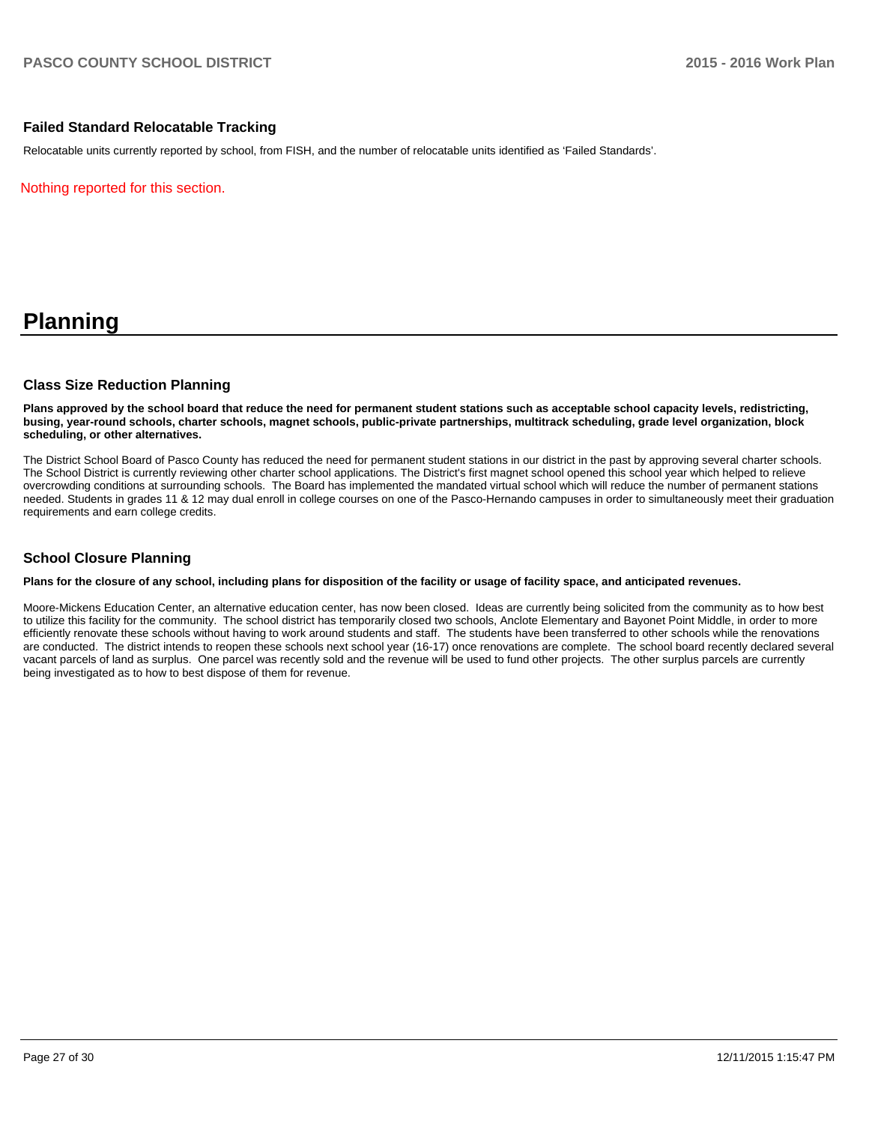#### **Failed Standard Relocatable Tracking**

Relocatable units currently reported by school, from FISH, and the number of relocatable units identified as 'Failed Standards'.

Nothing reported for this section.

# **Planning**

#### **Class Size Reduction Planning**

**Plans approved by the school board that reduce the need for permanent student stations such as acceptable school capacity levels, redistricting, busing, year-round schools, charter schools, magnet schools, public-private partnerships, multitrack scheduling, grade level organization, block scheduling, or other alternatives.**

The District School Board of Pasco County has reduced the need for permanent student stations in our district in the past by approving several charter schools. The School District is currently reviewing other charter school applications. The District's first magnet school opened this school year which helped to relieve overcrowding conditions at surrounding schools. The Board has implemented the mandated virtual school which will reduce the number of permanent stations needed. Students in grades 11 & 12 may dual enroll in college courses on one of the Pasco-Hernando campuses in order to simultaneously meet their graduation requirements and earn college credits.

#### **School Closure Planning**

#### **Plans for the closure of any school, including plans for disposition of the facility or usage of facility space, and anticipated revenues.**

Moore-Mickens Education Center, an alternative education center, has now been closed. Ideas are currently being solicited from the community as to how best to utilize this facility for the community. The school district has temporarily closed two schools, Anclote Elementary and Bayonet Point Middle, in order to more efficiently renovate these schools without having to work around students and staff. The students have been transferred to other schools while the renovations are conducted. The district intends to reopen these schools next school year (16-17) once renovations are complete. The school board recently declared several vacant parcels of land as surplus. One parcel was recently sold and the revenue will be used to fund other projects. The other surplus parcels are currently being investigated as to how to best dispose of them for revenue.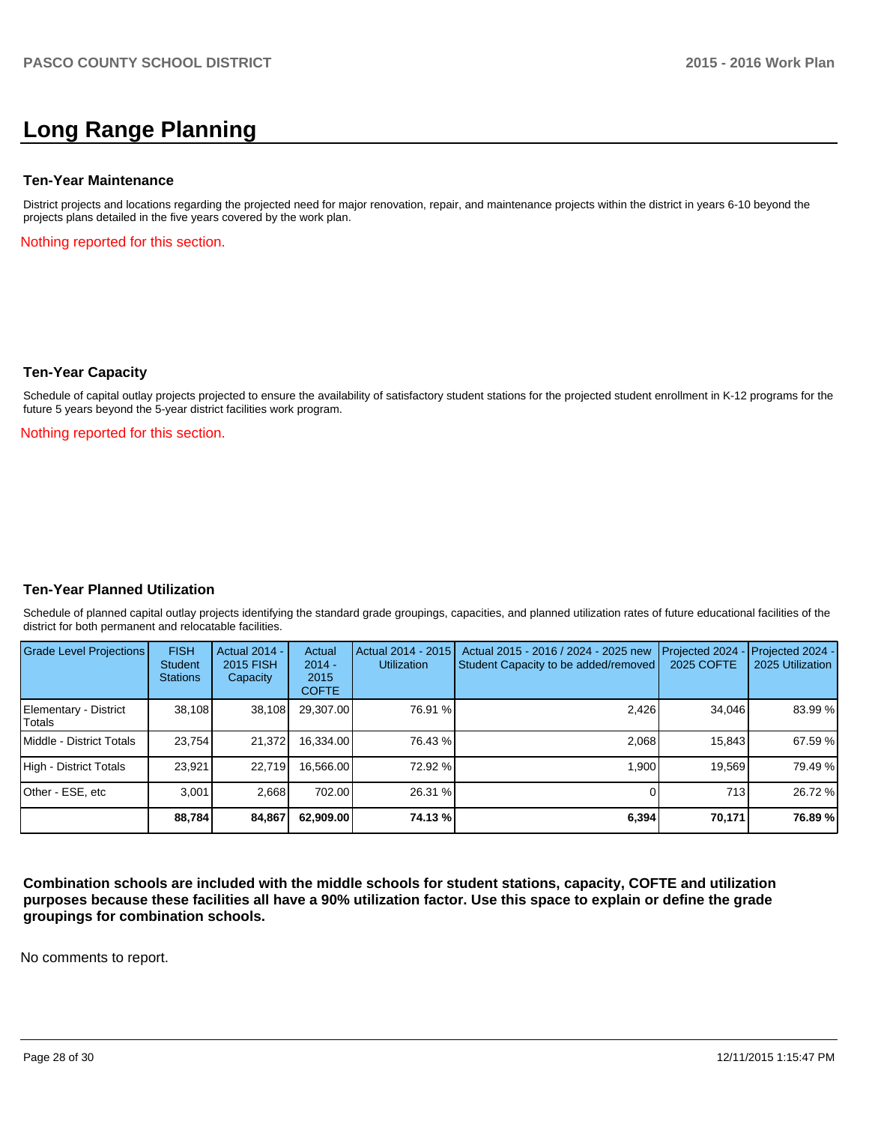# **Long Range Planning**

#### **Ten-Year Maintenance**

District projects and locations regarding the projected need for major renovation, repair, and maintenance projects within the district in years 6-10 beyond the projects plans detailed in the five years covered by the work plan.

Nothing reported for this section.

#### **Ten-Year Capacity**

Schedule of capital outlay projects projected to ensure the availability of satisfactory student stations for the projected student enrollment in K-12 programs for the future 5 years beyond the 5-year district facilities work program.

Nothing reported for this section.

#### **Ten-Year Planned Utilization**

Schedule of planned capital outlay projects identifying the standard grade groupings, capacities, and planned utilization rates of future educational facilities of the district for both permanent and relocatable facilities.

| Grade Level Projections         | <b>FISH</b><br>Student<br><b>Stations</b> | Actual 2014 -<br>2015 FISH<br>Capacity | Actual<br>$2014 -$<br>2015<br><b>COFTE</b> | Actual 2014 - 2015<br><b>Utilization</b> | Actual 2015 - 2016 / 2024 - 2025 new<br>Student Capacity to be added/removed | Projected 2024<br>2025 COFTE | Projected 2024 -<br>2025 Utilization |
|---------------------------------|-------------------------------------------|----------------------------------------|--------------------------------------------|------------------------------------------|------------------------------------------------------------------------------|------------------------------|--------------------------------------|
| Elementary - District<br>Totals | 38,108                                    | 38,108                                 | 29,307.00                                  | 76.91 %                                  | 2,426                                                                        | 34,046                       | 83.99 %                              |
| Middle - District Totals        | 23.754                                    | 21.372                                 | 16.334.00                                  | 76.43 %                                  | 2.068                                                                        | 15.843                       | 67.59 %                              |
| High - District Totals          | 23.921                                    | 22.719                                 | 16.566.00                                  | 72.92 %                                  | 1.900                                                                        | 19.569                       | 79.49 %                              |
| Other - ESE, etc                | 3.001                                     | 2,668                                  | 702.00                                     | 26.31 %                                  |                                                                              | 713                          | 26.72 %                              |
|                                 | 88,784                                    | 84,867                                 | 62.909.00                                  | 74.13 %l                                 | 6,394                                                                        | 70,171                       | 76.89%                               |

**Combination schools are included with the middle schools for student stations, capacity, COFTE and utilization purposes because these facilities all have a 90% utilization factor. Use this space to explain or define the grade groupings for combination schools.**

No comments to report.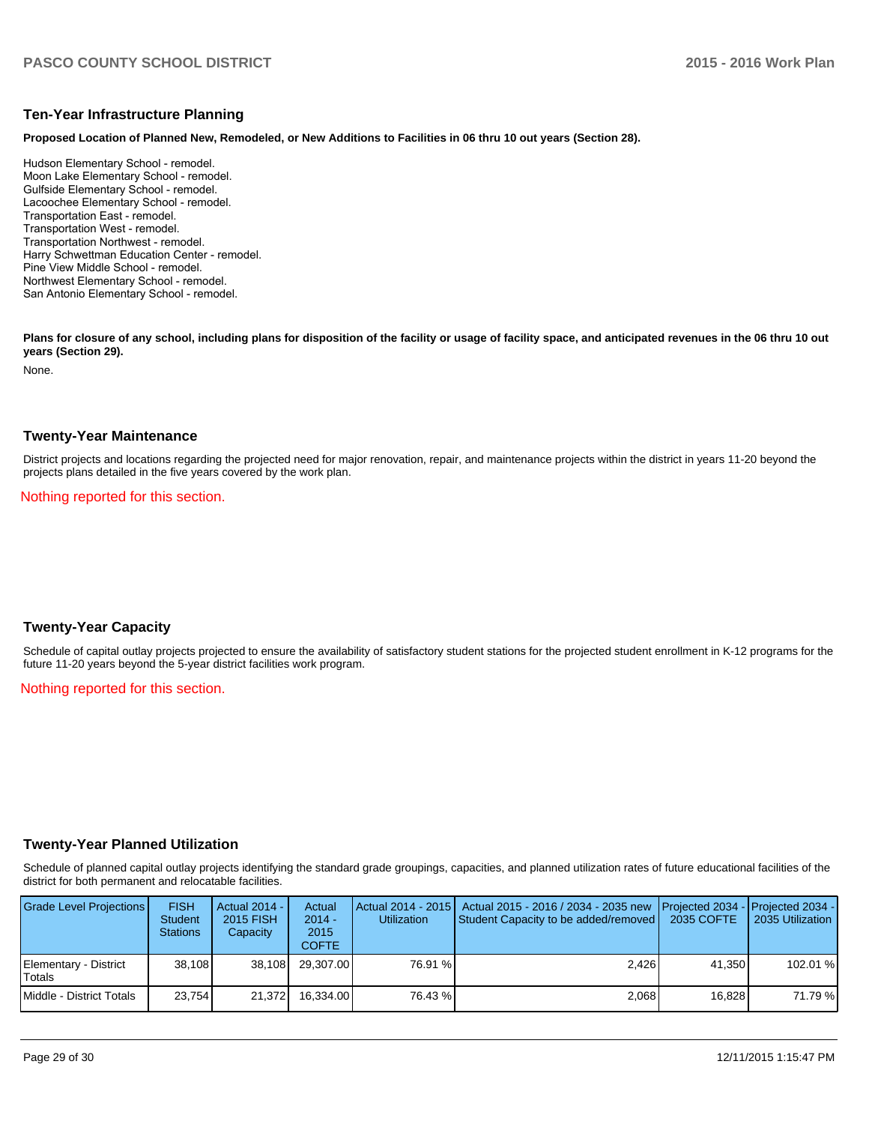#### **Ten-Year Infrastructure Planning**

**Proposed Location of Planned New, Remodeled, or New Additions to Facilities in 06 thru 10 out years (Section 28).**

Hudson Elementary School - remodel. Moon Lake Elementary School - remodel. Gulfside Elementary School - remodel. Lacoochee Elementary School - remodel. Transportation East - remodel. Transportation West - remodel. Transportation Northwest - remodel. Harry Schwettman Education Center - remodel. Pine View Middle School - remodel. Northwest Elementary School - remodel. San Antonio Elementary School - remodel.

Plans for closure of any school, including plans for disposition of the facility or usage of facility space, and anticipated revenues in the 06 thru 10 out **years (Section 29).**

None.

#### **Twenty-Year Maintenance**

District projects and locations regarding the projected need for major renovation, repair, and maintenance projects within the district in years 11-20 beyond the projects plans detailed in the five years covered by the work plan.

Nothing reported for this section.

#### **Twenty-Year Capacity**

Schedule of capital outlay projects projected to ensure the availability of satisfactory student stations for the projected student enrollment in K-12 programs for the future 11-20 years beyond the 5-year district facilities work program.

Nothing reported for this section.

#### **Twenty-Year Planned Utilization**

Schedule of planned capital outlay projects identifying the standard grade groupings, capacities, and planned utilization rates of future educational facilities of the district for both permanent and relocatable facilities.

| Grade Level Projections         | <b>FISH</b><br><b>Student</b><br><b>Stations</b> | Actual 2014 -<br>2015 FISH<br>Capacity | Actual<br>$2014 -$<br>2015<br><b>COFTE</b> | <b>Utilization</b> | Actual 2014 - 2015   Actual 2015 - 2016 / 2034 - 2035 new<br>Student Capacity to be added/removed | Projected 2034 - Projected 2034 -<br>2035 COFTE | 2035 Utilization |
|---------------------------------|--------------------------------------------------|----------------------------------------|--------------------------------------------|--------------------|---------------------------------------------------------------------------------------------------|-------------------------------------------------|------------------|
| Elementary - District<br>Totals | 38.108                                           | 38.108                                 | 29.307.00                                  | 76.91 %            | 2.426                                                                                             | 41.350                                          | 102.01 %         |
| Middle - District Totals        | 23.754                                           | 21.372                                 | 16.334.00                                  | 76.43 %            | 2.068                                                                                             | 16.828                                          | 71.79 %          |